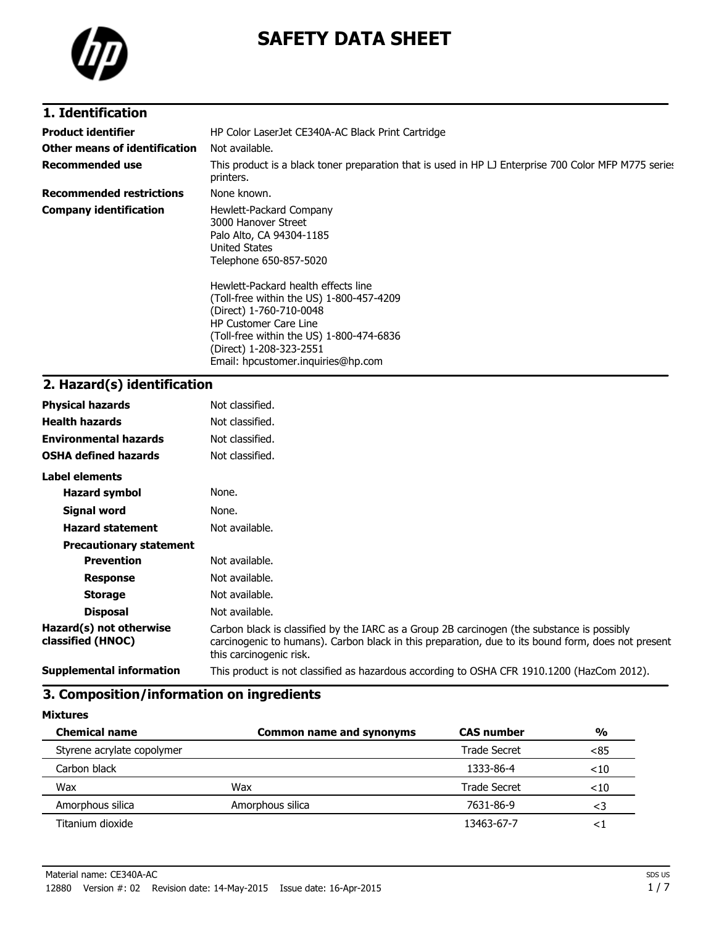

# **SAFETY DATA SHEET**

# **1. Identification**

| <b>Product identifier</b><br>Other means of identification<br>Recommended use | HP Color LaserJet CE340A-AC Black Print Cartridge<br>Not available.<br>This product is a black toner preparation that is used in HP LJ Enterprise 700 Color MFP M775 series<br>printers.                                                                                                                                                                                                |
|-------------------------------------------------------------------------------|-----------------------------------------------------------------------------------------------------------------------------------------------------------------------------------------------------------------------------------------------------------------------------------------------------------------------------------------------------------------------------------------|
| <b>Recommended restrictions</b>                                               | None known.                                                                                                                                                                                                                                                                                                                                                                             |
| <b>Company identification</b>                                                 | Hewlett-Packard Company<br>3000 Hanover Street<br>Palo Alto, CA 94304-1185<br><b>United States</b><br>Telephone 650-857-5020<br>Hewlett-Packard health effects line<br>(Toll-free within the US) 1-800-457-4209<br>(Direct) 1-760-710-0048<br><b>HP Customer Care Line</b><br>(Toll-free within the US) 1-800-474-6836<br>(Direct) 1-208-323-2551<br>Email: hpcustomer.inguiries@hp.com |

## **2. Hazard(s) identification**

| <b>Physical hazards</b>                      | Not classified.                                                                                                                                                                                                             |
|----------------------------------------------|-----------------------------------------------------------------------------------------------------------------------------------------------------------------------------------------------------------------------------|
| <b>Health hazards</b>                        | Not classified.                                                                                                                                                                                                             |
| <b>Environmental hazards</b>                 | Not classified.                                                                                                                                                                                                             |
| <b>OSHA defined hazards</b>                  | Not classified.                                                                                                                                                                                                             |
| Label elements                               |                                                                                                                                                                                                                             |
| Hazard symbol                                | None.                                                                                                                                                                                                                       |
| Signal word                                  | None.                                                                                                                                                                                                                       |
| <b>Hazard statement</b>                      | Not available.                                                                                                                                                                                                              |
| <b>Precautionary statement</b>               |                                                                                                                                                                                                                             |
| <b>Prevention</b>                            | Not available.                                                                                                                                                                                                              |
| <b>Response</b>                              | Not available.                                                                                                                                                                                                              |
| <b>Storage</b>                               | Not available.                                                                                                                                                                                                              |
| <b>Disposal</b>                              | Not available.                                                                                                                                                                                                              |
| Hazard(s) not otherwise<br>classified (HNOC) | Carbon black is classified by the IARC as a Group 2B carcinogen (the substance is possibly<br>carcinogenic to humans). Carbon black in this preparation, due to its bound form, does not present<br>this carcinogenic risk. |
| <b>Supplemental information</b>              | This product is not classified as hazardous according to OSHA CFR 1910.1200 (HazCom 2012).                                                                                                                                  |

## **3. Composition/information on ingredients**

**Mixtures**

| <b>Chemical name</b><br><b>Common name and synonyms</b> |                  | <b>CAS number</b>   | $\frac{0}{0}$ |
|---------------------------------------------------------|------------------|---------------------|---------------|
| Styrene acrylate copolymer                              |                  | <b>Trade Secret</b> | < 85          |
| Carbon black                                            |                  | 1333-86-4           | $<$ 10        |
| Wax                                                     | Wax              | <b>Trade Secret</b> | $<$ 10        |
| Amorphous silica                                        | Amorphous silica | 7631-86-9           | <3            |
| Titanium dioxide                                        |                  | 13463-67-7          | <1            |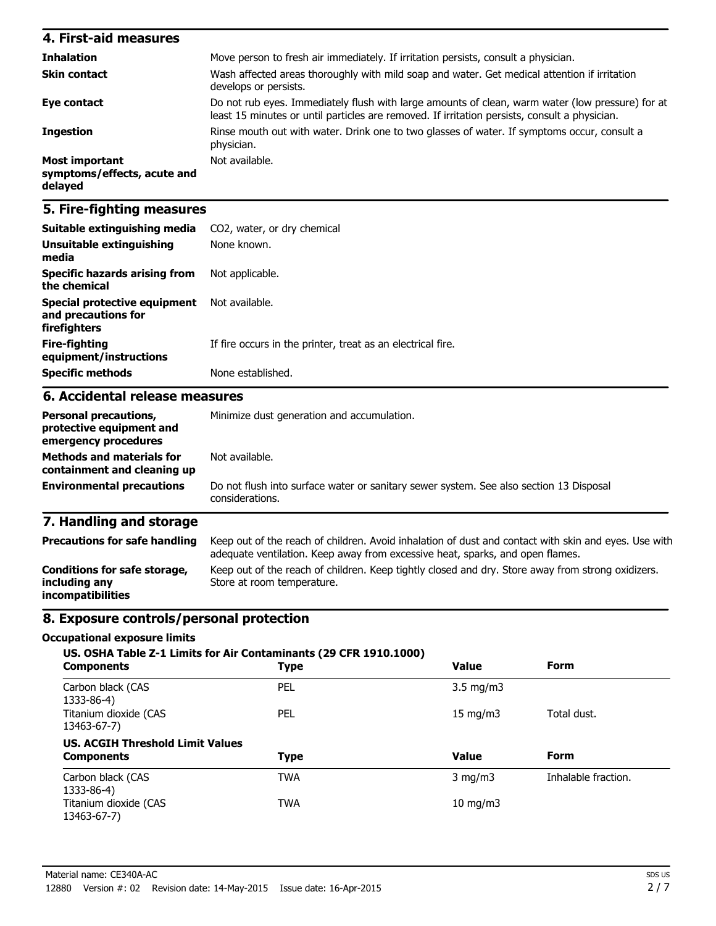| 4. First-aid measures                                    |                                                                                                                                                                                                   |
|----------------------------------------------------------|---------------------------------------------------------------------------------------------------------------------------------------------------------------------------------------------------|
| <b>Inhalation</b>                                        | Move person to fresh air immediately. If irritation persists, consult a physician.                                                                                                                |
| <b>Skin contact</b>                                      | Wash affected areas thoroughly with mild soap and water. Get medical attention if irritation<br>develops or persists.                                                                             |
| Eye contact                                              | Do not rub eyes. Immediately flush with large amounts of clean, warm water (low pressure) for at<br>least 15 minutes or until particles are removed. If irritation persists, consult a physician. |
| <b>Ingestion</b>                                         | Rinse mouth out with water. Drink one to two glasses of water. If symptoms occur, consult a<br>physician.                                                                                         |
| Most important<br>symptoms/effects, acute and<br>delayed | Not available.                                                                                                                                                                                    |

## **5. Fire-fighting measures**

| Suitable extinguishing media                                                                                                             | CO2, water, or dry chemical                                                                                                                                                           |  |  |  |  |
|------------------------------------------------------------------------------------------------------------------------------------------|---------------------------------------------------------------------------------------------------------------------------------------------------------------------------------------|--|--|--|--|
| Unsuitable extinguishing<br>media                                                                                                        | None known.                                                                                                                                                                           |  |  |  |  |
| <b>Specific hazards arising from</b><br>the chemical                                                                                     | Not applicable.                                                                                                                                                                       |  |  |  |  |
| <b>Special protective equipment</b><br>and precautions for<br>firefighters                                                               | Not available.                                                                                                                                                                        |  |  |  |  |
| <b>Fire-fighting</b><br>equipment/instructions                                                                                           | If fire occurs in the printer, treat as an electrical fire.                                                                                                                           |  |  |  |  |
| <b>Specific methods</b>                                                                                                                  | None established.                                                                                                                                                                     |  |  |  |  |
| 6. Accidental release measures                                                                                                           |                                                                                                                                                                                       |  |  |  |  |
| <b>Personal precautions,</b><br>protective equipment and<br>emergency procedures                                                         | Minimize dust generation and accumulation.                                                                                                                                            |  |  |  |  |
| <b>Methods and materials for</b><br>containment and cleaning up                                                                          | Not available.                                                                                                                                                                        |  |  |  |  |
| <b>Environmental precautions</b>                                                                                                         | Do not flush into surface water or sanitary sewer system. See also section 13 Disposal<br>considerations.                                                                             |  |  |  |  |
| 7. Handling and storage                                                                                                                  |                                                                                                                                                                                       |  |  |  |  |
| <b>Precautions for safe handling</b>                                                                                                     | Keep out of the reach of children. Avoid inhalation of dust and contact with skin and eyes. Use with<br>adequate ventilation. Keep away from excessive heat, sparks, and open flames. |  |  |  |  |
| Keep out of the reach of children. Keep tightly closed and dry. Store away from strong oxidizers.<br><b>Conditions for safe storage,</b> |                                                                                                                                                                                       |  |  |  |  |

## **8. Exposure controls/personal protection**

Store at room temperature.

#### **Occupational exposure limits**

**including any incompatibilities**

| <b>Components</b>                       | US. OSHA Table Z-1 Limits for Air Contaminants (29 CFR 1910.1000)<br><b>Type</b> | <b>Value</b>       | <b>Form</b>         |  |
|-----------------------------------------|----------------------------------------------------------------------------------|--------------------|---------------------|--|
| Carbon black (CAS<br>1333-86-4)         | PEL                                                                              | $3.5 \text{ mg/m}$ |                     |  |
| Titanium dioxide (CAS<br>13463-67-7)    | PEL                                                                              | $15 \text{ mg/m}$  | Total dust.         |  |
| <b>US. ACGIH Threshold Limit Values</b> |                                                                                  |                    |                     |  |
| <b>Components</b>                       | Type                                                                             | <b>Value</b>       | Form                |  |
| Carbon black (CAS<br>1333-86-4)         | TWA                                                                              | $3 \text{ mg/m}$   | Inhalable fraction. |  |
| Titanium dioxide (CAS<br>13463-67-7)    | <b>TWA</b>                                                                       | $10$ mg/m $3$      |                     |  |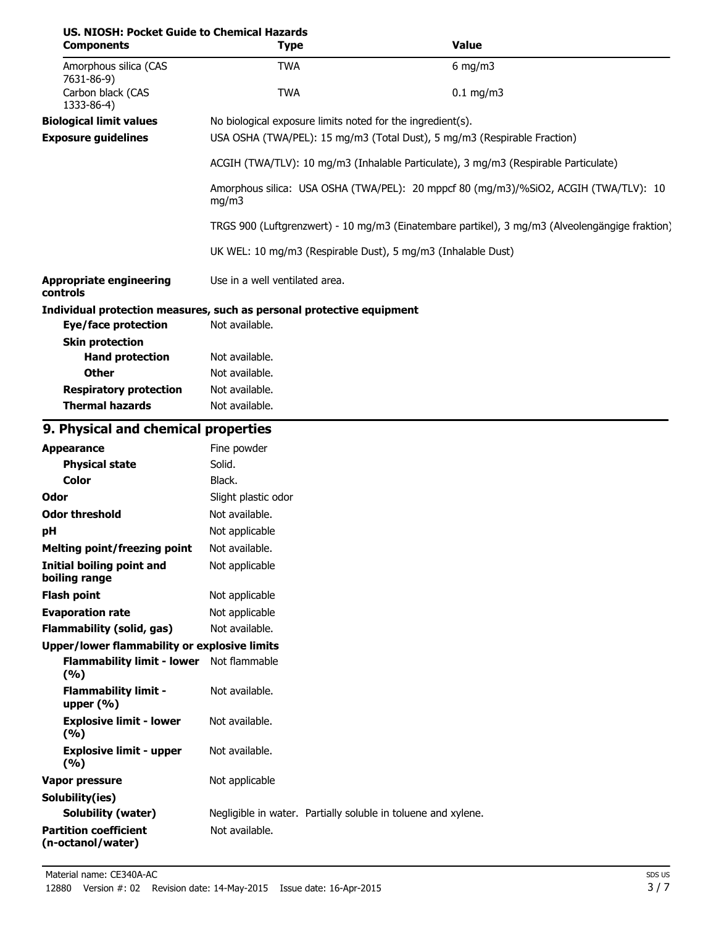| US. NIOSH: Pocket Guide to Chemical Hazards<br><b>Components</b>      | <b>Type</b>                                                                                    |                                                                          | <b>Value</b> |  |  |
|-----------------------------------------------------------------------|------------------------------------------------------------------------------------------------|--------------------------------------------------------------------------|--------------|--|--|
| Amorphous silica (CAS<br>7631-86-9)                                   | <b>TWA</b>                                                                                     |                                                                          | 6 mg/m $3$   |  |  |
| Carbon black (CAS<br>1333-86-4)                                       | <b>TWA</b>                                                                                     |                                                                          | $0.1$ mg/m3  |  |  |
| <b>Biological limit values</b>                                        | No biological exposure limits noted for the ingredient(s).                                     |                                                                          |              |  |  |
| <b>Exposure guidelines</b>                                            |                                                                                                | USA OSHA (TWA/PEL): 15 mg/m3 (Total Dust), 5 mg/m3 (Respirable Fraction) |              |  |  |
|                                                                       | ACGIH (TWA/TLV): 10 mg/m3 (Inhalable Particulate), 3 mg/m3 (Respirable Particulate)            |                                                                          |              |  |  |
|                                                                       | Amorphous silica: USA OSHA (TWA/PEL): 20 mppcf 80 (mg/m3)/%SiO2, ACGIH (TWA/TLV): 10<br>mg/m3  |                                                                          |              |  |  |
|                                                                       | TRGS 900 (Luftgrenzwert) - 10 mg/m3 (Einatembare partikel), 3 mg/m3 (Alveolengängige fraktion) |                                                                          |              |  |  |
|                                                                       |                                                                                                | UK WEL: 10 mg/m3 (Respirable Dust), 5 mg/m3 (Inhalable Dust)             |              |  |  |
| <b>Appropriate engineering</b><br>controls                            | Use in a well ventilated area.                                                                 |                                                                          |              |  |  |
| Individual protection measures, such as personal protective equipment |                                                                                                |                                                                          |              |  |  |
| Eye/face protection                                                   | Not available.                                                                                 |                                                                          |              |  |  |
| <b>Skin protection</b>                                                |                                                                                                |                                                                          |              |  |  |
| <b>Hand protection</b>                                                | Not available.                                                                                 |                                                                          |              |  |  |
| <b>Other</b>                                                          | Not available.                                                                                 |                                                                          |              |  |  |
| <b>Respiratory protection</b>                                         | Not available.                                                                                 |                                                                          |              |  |  |
| <b>Thermal hazards</b>                                                | Not available.                                                                                 |                                                                          |              |  |  |
| 9. Physical and chemical properties                                   |                                                                                                |                                                                          |              |  |  |
| <b>Appearance</b>                                                     | Fine powder                                                                                    |                                                                          |              |  |  |
| <b>Physical state</b>                                                 | Solid.                                                                                         |                                                                          |              |  |  |
| <b>Color</b>                                                          | Black.                                                                                         |                                                                          |              |  |  |
| Odor                                                                  | Slight plastic odor                                                                            |                                                                          |              |  |  |
| <b>Odor threshold</b>                                                 | Not available.                                                                                 |                                                                          |              |  |  |
| pH                                                                    | Not applicable                                                                                 |                                                                          |              |  |  |
| <b>Melting point/freezing point</b>                                   | Not available.                                                                                 |                                                                          |              |  |  |
| <b>Initial boiling point and</b><br>boiling range                     | Not applicable                                                                                 |                                                                          |              |  |  |
| <b>Flash point</b>                                                    | Not applicable                                                                                 |                                                                          |              |  |  |
| <b>Evaporation rate</b>                                               | Not applicable                                                                                 |                                                                          |              |  |  |
| <b>Flammability (solid, gas)</b>                                      | Not available.                                                                                 |                                                                          |              |  |  |
| Upper/lower flammability or explosive limits                          |                                                                                                |                                                                          |              |  |  |
| Flammability limit - lower Not flammable<br>(%)                       |                                                                                                |                                                                          |              |  |  |
| <b>Flammability limit -</b><br>upper $(% )$                           | Not available.                                                                                 |                                                                          |              |  |  |
| <b>Explosive limit - lower</b><br>(%)                                 | Not available.                                                                                 |                                                                          |              |  |  |
| <b>Explosive limit - upper</b><br>(%)                                 | Not available.                                                                                 |                                                                          |              |  |  |
| <b>Vapor pressure</b>                                                 | Not applicable                                                                                 |                                                                          |              |  |  |
| Solubility(ies)                                                       |                                                                                                |                                                                          |              |  |  |
| <b>Solubility (water)</b>                                             |                                                                                                | Negligible in water. Partially soluble in toluene and xylene.            |              |  |  |
| <b>Partition coefficient</b><br>(n-octanol/water)                     | Not available.                                                                                 |                                                                          |              |  |  |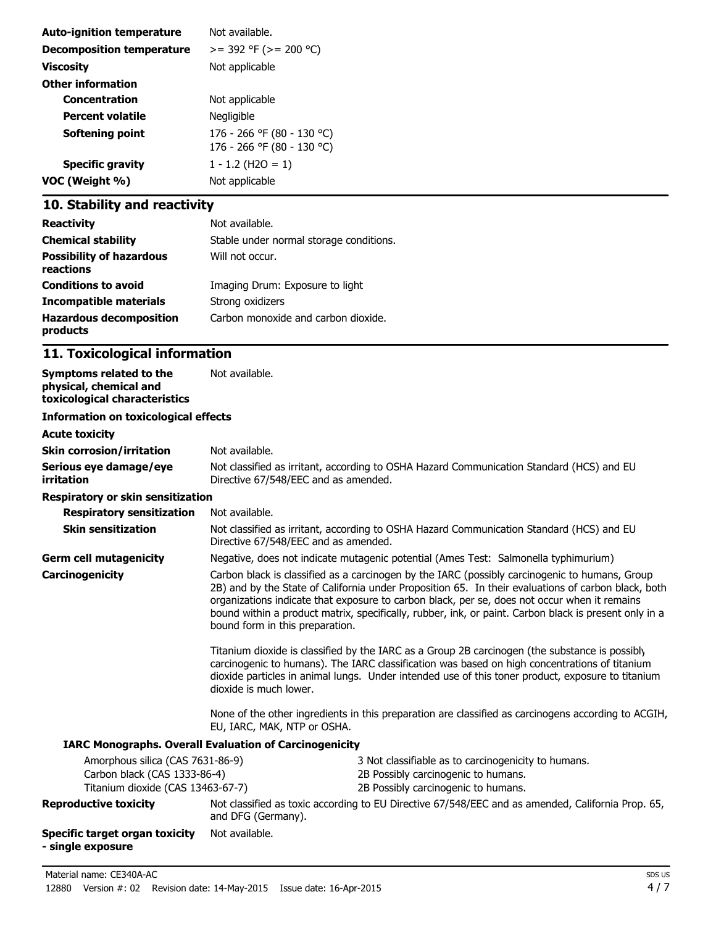| <b>Auto-ignition temperature</b>   | Not available.                                           |
|------------------------------------|----------------------------------------------------------|
| Decomposition temperature          | $>=$ 392 °F ( $>=$ 200 °C)                               |
| <b>Viscosity</b><br>Not applicable |                                                          |
| <b>Other information</b>           |                                                          |
| Concentration                      | Not applicable                                           |
| <b>Percent volatile</b>            | <b>Negligible</b>                                        |
| Softening point                    | 176 - 266 °F (80 - 130 °C)<br>176 - 266 °F (80 - 130 °C) |
| <b>Specific gravity</b>            | $1 - 1.2$ (H2O = 1)                                      |
| VOC (Weight %)                     | Not applicable                                           |

# **10. Stability and reactivity**

| <b>Reactivity</b>                            | Not available.                          |
|----------------------------------------------|-----------------------------------------|
| <b>Chemical stability</b>                    | Stable under normal storage conditions. |
| <b>Possibility of hazardous</b><br>reactions | Will not occur.                         |
| <b>Conditions to avoid</b>                   | Imaging Drum: Exposure to light         |
| <b>Incompatible materials</b>                | Strong oxidizers                        |
| <b>Hazardous decomposition</b><br>products   | Carbon monoxide and carbon dioxide.     |

## **11. Toxicological information**

| Symptoms related to the<br>physical, chemical and<br>toxicological characteristics                    | Not available.                                                                                                                                                                                                                                                                                                                                                                                                                                    |                                                                                                                                                                                                                                                                                                      |  |  |
|-------------------------------------------------------------------------------------------------------|---------------------------------------------------------------------------------------------------------------------------------------------------------------------------------------------------------------------------------------------------------------------------------------------------------------------------------------------------------------------------------------------------------------------------------------------------|------------------------------------------------------------------------------------------------------------------------------------------------------------------------------------------------------------------------------------------------------------------------------------------------------|--|--|
| <b>Information on toxicological effects</b>                                                           |                                                                                                                                                                                                                                                                                                                                                                                                                                                   |                                                                                                                                                                                                                                                                                                      |  |  |
| <b>Acute toxicity</b>                                                                                 |                                                                                                                                                                                                                                                                                                                                                                                                                                                   |                                                                                                                                                                                                                                                                                                      |  |  |
| <b>Skin corrosion/irritation</b>                                                                      | Not available.                                                                                                                                                                                                                                                                                                                                                                                                                                    |                                                                                                                                                                                                                                                                                                      |  |  |
| Serious eye damage/eye<br>irritation                                                                  | Directive 67/548/EEC and as amended.                                                                                                                                                                                                                                                                                                                                                                                                              | Not classified as irritant, according to OSHA Hazard Communication Standard (HCS) and EU                                                                                                                                                                                                             |  |  |
| Respiratory or skin sensitization                                                                     |                                                                                                                                                                                                                                                                                                                                                                                                                                                   |                                                                                                                                                                                                                                                                                                      |  |  |
| <b>Respiratory sensitization</b>                                                                      | Not available.                                                                                                                                                                                                                                                                                                                                                                                                                                    |                                                                                                                                                                                                                                                                                                      |  |  |
| <b>Skin sensitization</b>                                                                             | Directive 67/548/EEC and as amended.                                                                                                                                                                                                                                                                                                                                                                                                              | Not classified as irritant, according to OSHA Hazard Communication Standard (HCS) and EU                                                                                                                                                                                                             |  |  |
| <b>Germ cell mutagenicity</b>                                                                         |                                                                                                                                                                                                                                                                                                                                                                                                                                                   | Negative, does not indicate mutagenic potential (Ames Test: Salmonella typhimurium)                                                                                                                                                                                                                  |  |  |
| Carcinogenicity                                                                                       | Carbon black is classified as a carcinogen by the IARC (possibly carcinogenic to humans, Group<br>2B) and by the State of California under Proposition 65. In their evaluations of carbon black, both<br>organizations indicate that exposure to carbon black, per se, does not occur when it remains<br>bound within a product matrix, specifically, rubber, ink, or paint. Carbon black is present only in a<br>bound form in this preparation. |                                                                                                                                                                                                                                                                                                      |  |  |
|                                                                                                       | dioxide is much lower.                                                                                                                                                                                                                                                                                                                                                                                                                            | Titanium dioxide is classified by the IARC as a Group 2B carcinogen (the substance is possibly<br>carcinogenic to humans). The IARC classification was based on high concentrations of titanium<br>dioxide particles in animal lungs. Under intended use of this toner product, exposure to titanium |  |  |
|                                                                                                       | EU, IARC, MAK, NTP or OSHA.                                                                                                                                                                                                                                                                                                                                                                                                                       | None of the other ingredients in this preparation are classified as carcinogens according to ACGIH,                                                                                                                                                                                                  |  |  |
| <b>IARC Monographs. Overall Evaluation of Carcinogenicity</b>                                         |                                                                                                                                                                                                                                                                                                                                                                                                                                                   |                                                                                                                                                                                                                                                                                                      |  |  |
| Amorphous silica (CAS 7631-86-9)<br>Carbon black (CAS 1333-86-4)<br>Titanium dioxide (CAS 13463-67-7) |                                                                                                                                                                                                                                                                                                                                                                                                                                                   | 3 Not classifiable as to carcinogenicity to humans.<br>2B Possibly carcinogenic to humans.<br>2B Possibly carcinogenic to humans.                                                                                                                                                                    |  |  |
| <b>Reproductive toxicity</b>                                                                          | Not classified as toxic according to EU Directive 67/548/EEC and as amended, California Prop. 65,<br>and DFG (Germany).                                                                                                                                                                                                                                                                                                                           |                                                                                                                                                                                                                                                                                                      |  |  |
| <b>Specific target organ toxicity</b><br>- single exposure                                            | Not available.                                                                                                                                                                                                                                                                                                                                                                                                                                    |                                                                                                                                                                                                                                                                                                      |  |  |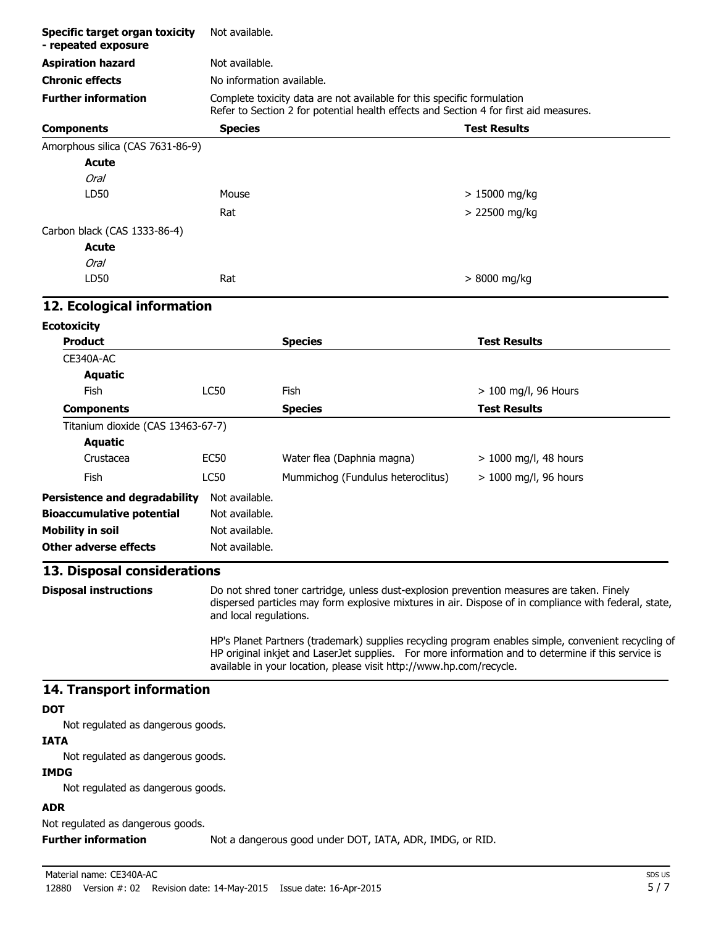| <b>Specific target organ toxicity</b><br>- repeated exposure | Not available.                                                                                                                                                  |                                                                                           |                                                                                                                                                                                                           |
|--------------------------------------------------------------|-----------------------------------------------------------------------------------------------------------------------------------------------------------------|-------------------------------------------------------------------------------------------|-----------------------------------------------------------------------------------------------------------------------------------------------------------------------------------------------------------|
| <b>Aspiration hazard</b>                                     | Not available.                                                                                                                                                  |                                                                                           |                                                                                                                                                                                                           |
| <b>Chronic effects</b>                                       | No information available.                                                                                                                                       |                                                                                           |                                                                                                                                                                                                           |
| <b>Further information</b>                                   | Complete toxicity data are not available for this specific formulation<br>Refer to Section 2 for potential health effects and Section 4 for first aid measures. |                                                                                           |                                                                                                                                                                                                           |
| <b>Components</b>                                            | <b>Species</b>                                                                                                                                                  |                                                                                           | <b>Test Results</b>                                                                                                                                                                                       |
| Amorphous silica (CAS 7631-86-9)                             |                                                                                                                                                                 |                                                                                           |                                                                                                                                                                                                           |
| <b>Acute</b>                                                 |                                                                                                                                                                 |                                                                                           |                                                                                                                                                                                                           |
| <b>Oral</b>                                                  |                                                                                                                                                                 |                                                                                           |                                                                                                                                                                                                           |
| LD50                                                         | Mouse                                                                                                                                                           |                                                                                           | > 15000 mg/kg                                                                                                                                                                                             |
|                                                              | Rat                                                                                                                                                             |                                                                                           | > 22500 mg/kg                                                                                                                                                                                             |
| Carbon black (CAS 1333-86-4)                                 |                                                                                                                                                                 |                                                                                           |                                                                                                                                                                                                           |
| Acute                                                        |                                                                                                                                                                 |                                                                                           |                                                                                                                                                                                                           |
| <b>Oral</b>                                                  |                                                                                                                                                                 |                                                                                           |                                                                                                                                                                                                           |
| LD50                                                         | Rat                                                                                                                                                             |                                                                                           | > 8000 mg/kg                                                                                                                                                                                              |
|                                                              |                                                                                                                                                                 |                                                                                           |                                                                                                                                                                                                           |
| 12. Ecological information                                   |                                                                                                                                                                 |                                                                                           |                                                                                                                                                                                                           |
| <b>Ecotoxicity</b>                                           |                                                                                                                                                                 |                                                                                           |                                                                                                                                                                                                           |
| <b>Product</b>                                               |                                                                                                                                                                 | <b>Species</b>                                                                            | <b>Test Results</b>                                                                                                                                                                                       |
| CE340A-AC                                                    |                                                                                                                                                                 |                                                                                           |                                                                                                                                                                                                           |
| <b>Aquatic</b>                                               |                                                                                                                                                                 |                                                                                           |                                                                                                                                                                                                           |
| Fish                                                         | <b>LC50</b>                                                                                                                                                     | Fish                                                                                      | > 100 mg/l, 96 Hours                                                                                                                                                                                      |
| <b>Components</b>                                            |                                                                                                                                                                 | <b>Species</b>                                                                            | <b>Test Results</b>                                                                                                                                                                                       |
| Titanium dioxide (CAS 13463-67-7)                            |                                                                                                                                                                 |                                                                                           |                                                                                                                                                                                                           |
| <b>Aquatic</b>                                               |                                                                                                                                                                 |                                                                                           |                                                                                                                                                                                                           |
| Crustacea                                                    | <b>EC50</b>                                                                                                                                                     | Water flea (Daphnia magna)                                                                | $> 1000$ mg/l, 48 hours                                                                                                                                                                                   |
| <b>Fish</b>                                                  | <b>LC50</b>                                                                                                                                                     | Mummichog (Fundulus heteroclitus)                                                         | > 1000 mg/l, 96 hours                                                                                                                                                                                     |
| <b>Persistence and degradability</b>                         | Not available.                                                                                                                                                  |                                                                                           |                                                                                                                                                                                                           |
| <b>Bioaccumulative potential</b>                             | Not available.                                                                                                                                                  |                                                                                           |                                                                                                                                                                                                           |
| <b>Mobility in soil</b>                                      | Not available.                                                                                                                                                  |                                                                                           |                                                                                                                                                                                                           |
| <b>Other adverse effects</b>                                 | Not available.                                                                                                                                                  |                                                                                           |                                                                                                                                                                                                           |
| 13. Disposal considerations                                  |                                                                                                                                                                 |                                                                                           |                                                                                                                                                                                                           |
| <b>Disposal instructions</b>                                 |                                                                                                                                                                 | Do not shred toner cartridge, unless dust-explosion prevention measures are taken. Finely |                                                                                                                                                                                                           |
|                                                              | and local regulations.                                                                                                                                          |                                                                                           | dispersed particles may form explosive mixtures in air. Dispose of in compliance with federal, state,                                                                                                     |
|                                                              |                                                                                                                                                                 | available in your location, please visit http://www.hp.com/recycle.                       | HP's Planet Partners (trademark) supplies recycling program enables simple, convenient recycling of<br>HP original inkjet and LaserJet supplies. For more information and to determine if this service is |
| 14. Transport information                                    |                                                                                                                                                                 |                                                                                           |                                                                                                                                                                                                           |
| <b>DOT</b>                                                   |                                                                                                                                                                 |                                                                                           |                                                                                                                                                                                                           |
| Not regulated as dangerous goods.                            |                                                                                                                                                                 |                                                                                           |                                                                                                                                                                                                           |
| <b>IATA</b>                                                  |                                                                                                                                                                 |                                                                                           |                                                                                                                                                                                                           |
| Not regulated as dangerous goods.                            |                                                                                                                                                                 |                                                                                           |                                                                                                                                                                                                           |
| <b>IMDG</b>                                                  |                                                                                                                                                                 |                                                                                           |                                                                                                                                                                                                           |
| Not regulated as dangerous goods.                            |                                                                                                                                                                 |                                                                                           |                                                                                                                                                                                                           |
| <b>ADR</b>                                                   |                                                                                                                                                                 |                                                                                           |                                                                                                                                                                                                           |
| Not regulated as dangerous goods.                            |                                                                                                                                                                 |                                                                                           |                                                                                                                                                                                                           |
| <b>Further information</b>                                   |                                                                                                                                                                 | Not a dangerous good under DOT, IATA, ADR, IMDG, or RID.                                  |                                                                                                                                                                                                           |

Material name: CE340A-AC 12880 Version #: 02 Revision date: 14-May-2015 Issue date: 16-Apr-2015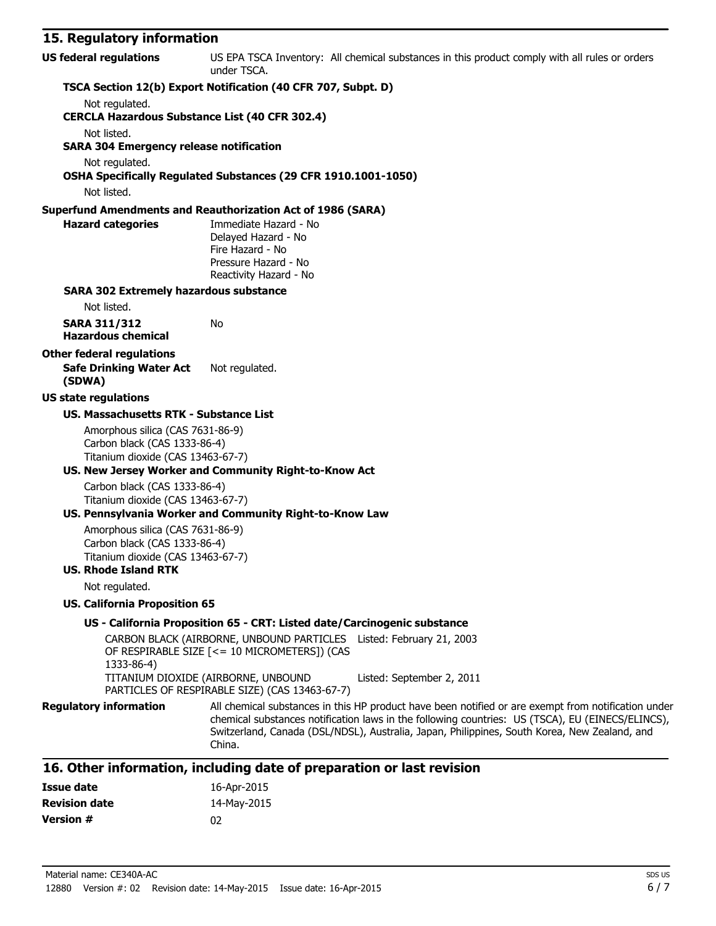## **15. Regulatory information**

| <b>US federal regulations</b>                                                                         | US EPA TSCA Inventory: All chemical substances in this product comply with all rules or orders<br>under TSCA.                                                                                                                                                                                                     |
|-------------------------------------------------------------------------------------------------------|-------------------------------------------------------------------------------------------------------------------------------------------------------------------------------------------------------------------------------------------------------------------------------------------------------------------|
|                                                                                                       | TSCA Section 12(b) Export Notification (40 CFR 707, Subpt. D)                                                                                                                                                                                                                                                     |
| Not regulated.                                                                                        |                                                                                                                                                                                                                                                                                                                   |
| <b>CERCLA Hazardous Substance List (40 CFR 302.4)</b>                                                 |                                                                                                                                                                                                                                                                                                                   |
| Not listed.<br><b>SARA 304 Emergency release notification</b>                                         |                                                                                                                                                                                                                                                                                                                   |
| Not regulated.                                                                                        |                                                                                                                                                                                                                                                                                                                   |
|                                                                                                       | OSHA Specifically Regulated Substances (29 CFR 1910.1001-1050)                                                                                                                                                                                                                                                    |
| Not listed.                                                                                           |                                                                                                                                                                                                                                                                                                                   |
|                                                                                                       | <b>Superfund Amendments and Reauthorization Act of 1986 (SARA)</b>                                                                                                                                                                                                                                                |
| <b>Hazard categories</b>                                                                              | Immediate Hazard - No<br>Delayed Hazard - No<br>Fire Hazard - No<br>Pressure Hazard - No<br>Reactivity Hazard - No                                                                                                                                                                                                |
| <b>SARA 302 Extremely hazardous substance</b>                                                         |                                                                                                                                                                                                                                                                                                                   |
| Not listed.                                                                                           |                                                                                                                                                                                                                                                                                                                   |
| <b>SARA 311/312</b><br><b>Hazardous chemical</b>                                                      | No                                                                                                                                                                                                                                                                                                                |
| <b>Other federal regulations</b>                                                                      |                                                                                                                                                                                                                                                                                                                   |
| <b>Safe Drinking Water Act</b><br>(SDWA)                                                              | Not regulated.                                                                                                                                                                                                                                                                                                    |
| <b>US state regulations</b>                                                                           |                                                                                                                                                                                                                                                                                                                   |
| <b>US. Massachusetts RTK - Substance List</b>                                                         |                                                                                                                                                                                                                                                                                                                   |
| Amorphous silica (CAS 7631-86-9)<br>Carbon black (CAS 1333-86-4)<br>Titanium dioxide (CAS 13463-67-7) |                                                                                                                                                                                                                                                                                                                   |
|                                                                                                       | US. New Jersey Worker and Community Right-to-Know Act                                                                                                                                                                                                                                                             |
| Carbon black (CAS 1333-86-4)<br>Titanium dioxide (CAS 13463-67-7)                                     |                                                                                                                                                                                                                                                                                                                   |
|                                                                                                       | US. Pennsylvania Worker and Community Right-to-Know Law                                                                                                                                                                                                                                                           |
| Amorphous silica (CAS 7631-86-9)<br>Carbon black (CAS 1333-86-4)<br>Titanium dioxide (CAS 13463-67-7) |                                                                                                                                                                                                                                                                                                                   |
| <b>US. Rhode Island RTK</b>                                                                           |                                                                                                                                                                                                                                                                                                                   |
| Not regulated.                                                                                        |                                                                                                                                                                                                                                                                                                                   |
| <b>US. California Proposition 65</b>                                                                  |                                                                                                                                                                                                                                                                                                                   |
|                                                                                                       | US - California Proposition 65 - CRT: Listed date/Carcinogenic substance                                                                                                                                                                                                                                          |
| 1333-86-4)                                                                                            | CARBON BLACK (AIRBORNE, UNBOUND PARTICLES Listed: February 21, 2003<br>OF RESPIRABLE SIZE [<= 10 MICROMETERS]) (CAS<br>TITANIUM DIOXIDE (AIRBORNE, UNBOUND<br>Listed: September 2, 2011                                                                                                                           |
|                                                                                                       | PARTICLES OF RESPIRABLE SIZE) (CAS 13463-67-7)                                                                                                                                                                                                                                                                    |
| <b>Regulatory information</b>                                                                         | All chemical substances in this HP product have been notified or are exempt from notification under<br>chemical substances notification laws in the following countries: US (TSCA), EU (EINECS/ELINCS),<br>Switzerland, Canada (DSL/NDSL), Australia, Japan, Philippines, South Korea, New Zealand, and<br>China. |
|                                                                                                       | 16. Other information, including date of preparation or last revision                                                                                                                                                                                                                                             |
| <b>Issue date</b>                                                                                     | 16-Apr-2015                                                                                                                                                                                                                                                                                                       |

**Revision date** 14-May-2015

**Version #** 02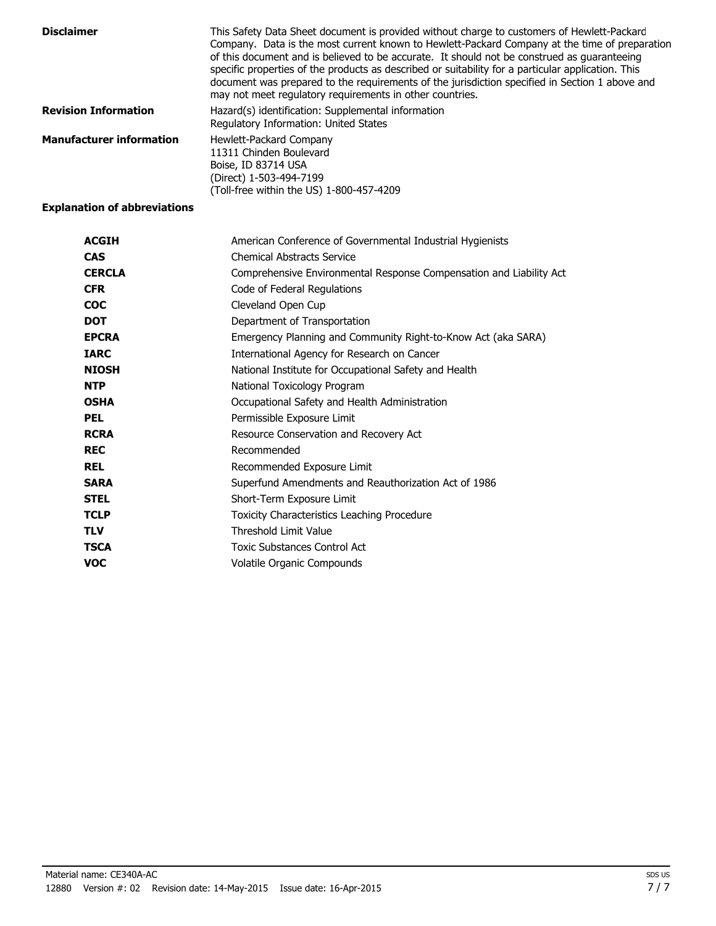| <b>Disclaimer</b>               | This Safety Data Sheet document is provided without charge to customers of Hewlett-Packard<br>Company. Data is the most current known to Hewlett-Packard Company at the time of preparation<br>of this document and is believed to be accurate. It should not be construed as quaranteeing<br>specific properties of the products as described or suitability for a particular application. This<br>document was prepared to the requirements of the jurisdiction specified in Section 1 above and<br>may not meet regulatory requirements in other countries. |
|---------------------------------|----------------------------------------------------------------------------------------------------------------------------------------------------------------------------------------------------------------------------------------------------------------------------------------------------------------------------------------------------------------------------------------------------------------------------------------------------------------------------------------------------------------------------------------------------------------|
| <b>Revision Information</b>     | Hazard(s) identification: Supplemental information<br>Regulatory Information: United States                                                                                                                                                                                                                                                                                                                                                                                                                                                                    |
| <b>Manufacturer information</b> | Hewlett-Packard Company<br>11311 Chinden Boulevard<br>Boise, ID 83714 USA<br>(Direct) 1-503-494-7199<br>Toll-free within the US) 1-800-457-4209                                                                                                                                                                                                                                                                                                                                                                                                                |

#### **Explanation of abbreviations**

| <b>ACGIH</b>  | American Conference of Governmental Industrial Hygienists           |
|---------------|---------------------------------------------------------------------|
| <b>CAS</b>    | <b>Chemical Abstracts Service</b>                                   |
| <b>CERCLA</b> | Comprehensive Environmental Response Compensation and Liability Act |
| <b>CFR</b>    | Code of Federal Regulations                                         |
| <b>COC</b>    | Cleveland Open Cup                                                  |
| <b>DOT</b>    | Department of Transportation                                        |
| <b>EPCRA</b>  | Emergency Planning and Community Right-to-Know Act (aka SARA)       |
| <b>IARC</b>   | International Agency for Research on Cancer                         |
| <b>NIOSH</b>  | National Institute for Occupational Safety and Health               |
| <b>NTP</b>    | National Toxicology Program                                         |
| <b>OSHA</b>   | Occupational Safety and Health Administration                       |
| <b>PEL</b>    | Permissible Exposure Limit                                          |
| <b>RCRA</b>   | Resource Conservation and Recovery Act                              |
| <b>REC</b>    | Recommended                                                         |
| <b>REL</b>    | Recommended Exposure Limit                                          |
| <b>SARA</b>   | Superfund Amendments and Reauthorization Act of 1986                |
| <b>STEL</b>   | Short-Term Exposure Limit                                           |
| <b>TCLP</b>   | Toxicity Characteristics Leaching Procedure                         |
| <b>TLV</b>    | Threshold Limit Value                                               |
| <b>TSCA</b>   | <b>Toxic Substances Control Act</b>                                 |
| <b>VOC</b>    | Volatile Organic Compounds                                          |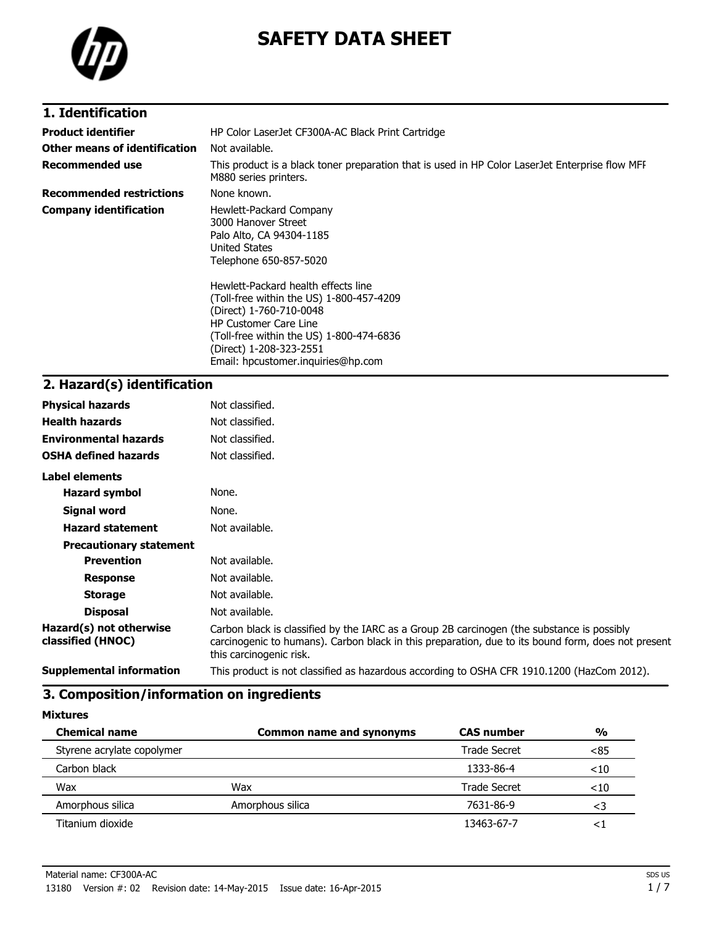

# **SAFETY DATA SHEET**

# **1. Identification**

| <b>Product identifier</b>       | HP Color LaserJet CF300A-AC Black Print Cartridge                                                                                                                                                                                                                                                                                                                                |  |  |
|---------------------------------|----------------------------------------------------------------------------------------------------------------------------------------------------------------------------------------------------------------------------------------------------------------------------------------------------------------------------------------------------------------------------------|--|--|
| Other means of identification   | Not available.                                                                                                                                                                                                                                                                                                                                                                   |  |  |
| <b>Recommended use</b>          | This product is a black toner preparation that is used in HP Color LaserJet Enterprise flow MFF<br>M880 series printers.                                                                                                                                                                                                                                                         |  |  |
| <b>Recommended restrictions</b> | None known.                                                                                                                                                                                                                                                                                                                                                                      |  |  |
| <b>Company identification</b>   | Hewlett-Packard Company<br>3000 Hanover Street<br>Palo Alto, CA 94304-1185<br>United States<br>Telephone 650-857-5020<br>Hewlett-Packard health effects line<br>(Toll-free within the US) 1-800-457-4209<br>(Direct) 1-760-710-0048<br><b>HP Customer Care Line</b><br>(Toll-free within the US) 1-800-474-6836<br>(Direct) 1-208-323-2551<br>Email: hpcustomer.inquiries@hp.com |  |  |

# **2. Hazard(s) identification**

| <b>Physical hazards</b>                      | Not classified.                                                                                                                                                                                                             |
|----------------------------------------------|-----------------------------------------------------------------------------------------------------------------------------------------------------------------------------------------------------------------------------|
| <b>Health hazards</b>                        | Not classified.                                                                                                                                                                                                             |
| <b>Environmental hazards</b>                 | Not classified.                                                                                                                                                                                                             |
| <b>OSHA defined hazards</b>                  | Not classified.                                                                                                                                                                                                             |
| Label elements                               |                                                                                                                                                                                                                             |
| <b>Hazard symbol</b>                         | None.                                                                                                                                                                                                                       |
| Signal word                                  | None.                                                                                                                                                                                                                       |
| <b>Hazard statement</b>                      | Not available.                                                                                                                                                                                                              |
| <b>Precautionary statement</b>               |                                                                                                                                                                                                                             |
| <b>Prevention</b>                            | Not available.                                                                                                                                                                                                              |
| <b>Response</b>                              | Not available.                                                                                                                                                                                                              |
| <b>Storage</b>                               | Not available.                                                                                                                                                                                                              |
| <b>Disposal</b>                              | Not available.                                                                                                                                                                                                              |
| Hazard(s) not otherwise<br>classified (HNOC) | Carbon black is classified by the IARC as a Group 2B carcinogen (the substance is possibly<br>carcinogenic to humans). Carbon black in this preparation, due to its bound form, does not present<br>this carcinogenic risk. |
| <b>Supplemental information</b>              | This product is not classified as hazardous according to OSHA CFR 1910.1200 (HazCom 2012).                                                                                                                                  |

## **3. Composition/information on ingredients**

**Mixtures**

| <b>Chemical name</b><br><b>Common name and synonyms</b> |                  | <b>CAS number</b>   | $\frac{0}{0}$ |
|---------------------------------------------------------|------------------|---------------------|---------------|
| Styrene acrylate copolymer                              |                  | <b>Trade Secret</b> | < 85          |
| Carbon black                                            |                  | 1333-86-4           | $<$ 10        |
| Wax                                                     | Wax              | <b>Trade Secret</b> | $<$ 10        |
| Amorphous silica                                        | Amorphous silica | 7631-86-9           | <3            |
| Titanium dioxide                                        |                  | 13463-67-7          | <1            |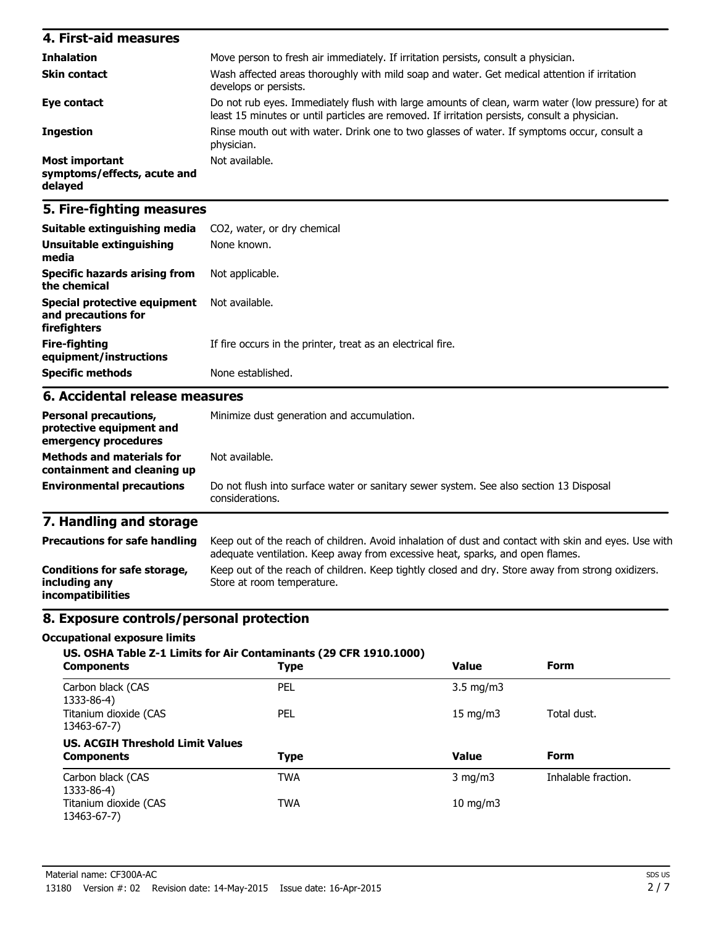| 4. First-aid measures                                    |                                                                                                                                                                                                   |
|----------------------------------------------------------|---------------------------------------------------------------------------------------------------------------------------------------------------------------------------------------------------|
| <b>Inhalation</b>                                        | Move person to fresh air immediately. If irritation persists, consult a physician.                                                                                                                |
| <b>Skin contact</b>                                      | Wash affected areas thoroughly with mild soap and water. Get medical attention if irritation<br>develops or persists.                                                                             |
| Eye contact                                              | Do not rub eyes. Immediately flush with large amounts of clean, warm water (low pressure) for at<br>least 15 minutes or until particles are removed. If irritation persists, consult a physician. |
| <b>Ingestion</b>                                         | Rinse mouth out with water. Drink one to two glasses of water. If symptoms occur, consult a<br>physician.                                                                                         |
| Most important<br>symptoms/effects, acute and<br>delayed | Not available.                                                                                                                                                                                    |

## **5. Fire-fighting measures**

| Suitable extinguishing media                                                     | CO2, water, or dry chemical                                                                                                                                                           |  |  |  |  |  |
|----------------------------------------------------------------------------------|---------------------------------------------------------------------------------------------------------------------------------------------------------------------------------------|--|--|--|--|--|
| Unsuitable extinguishing<br>media                                                | None known.                                                                                                                                                                           |  |  |  |  |  |
| <b>Specific hazards arising from</b><br>the chemical                             | Not applicable.                                                                                                                                                                       |  |  |  |  |  |
| <b>Special protective equipment</b><br>and precautions for<br>firefighters       | Not available.                                                                                                                                                                        |  |  |  |  |  |
| <b>Fire-fighting</b><br>equipment/instructions                                   | If fire occurs in the printer, treat as an electrical fire.                                                                                                                           |  |  |  |  |  |
| <b>Specific methods</b>                                                          | None established.                                                                                                                                                                     |  |  |  |  |  |
| 6. Accidental release measures                                                   |                                                                                                                                                                                       |  |  |  |  |  |
| <b>Personal precautions,</b><br>protective equipment and<br>emergency procedures | Minimize dust generation and accumulation.                                                                                                                                            |  |  |  |  |  |
| <b>Methods and materials for</b><br>containment and cleaning up                  | Not available.                                                                                                                                                                        |  |  |  |  |  |
| <b>Environmental precautions</b>                                                 | Do not flush into surface water or sanitary sewer system. See also section 13 Disposal<br>considerations.                                                                             |  |  |  |  |  |
| 7. Handling and storage                                                          |                                                                                                                                                                                       |  |  |  |  |  |
| <b>Precautions for safe handling</b>                                             | Keep out of the reach of children. Avoid inhalation of dust and contact with skin and eyes. Use with<br>adequate ventilation. Keep away from excessive heat, sparks, and open flames. |  |  |  |  |  |
| <b>Conditions for safe storage,</b>                                              | Keep out of the reach of children. Keep tightly closed and dry. Store away from strong oxidizers.                                                                                     |  |  |  |  |  |

## **8. Exposure controls/personal protection**

Store at room temperature.

#### **Occupational exposure limits**

**including any incompatibilities**

| US. OSHA Table Z-1 Limits for Air Contaminants (29 CFR 1910.1000)<br><b>Form</b><br><b>Value</b><br><b>Type</b><br><b>Components</b> |            |                    |                     |  |
|--------------------------------------------------------------------------------------------------------------------------------------|------------|--------------------|---------------------|--|
| Carbon black (CAS<br>1333-86-4)                                                                                                      | PEL        | $3.5 \text{ mg/m}$ |                     |  |
| Titanium dioxide (CAS<br>13463-67-7)                                                                                                 | PEL        | 15 mg/m $3$        | Total dust.         |  |
| <b>US. ACGIH Threshold Limit Values</b>                                                                                              |            |                    |                     |  |
| <b>Components</b>                                                                                                                    | Type       | Value              | <b>Form</b>         |  |
| Carbon black (CAS<br>1333-86-4)                                                                                                      | <b>TWA</b> | $3 \text{ mg/m}$   | Inhalable fraction. |  |
| Titanium dioxide (CAS<br>13463-67-7)                                                                                                 | <b>TWA</b> | $10$ mg/m $3$      |                     |  |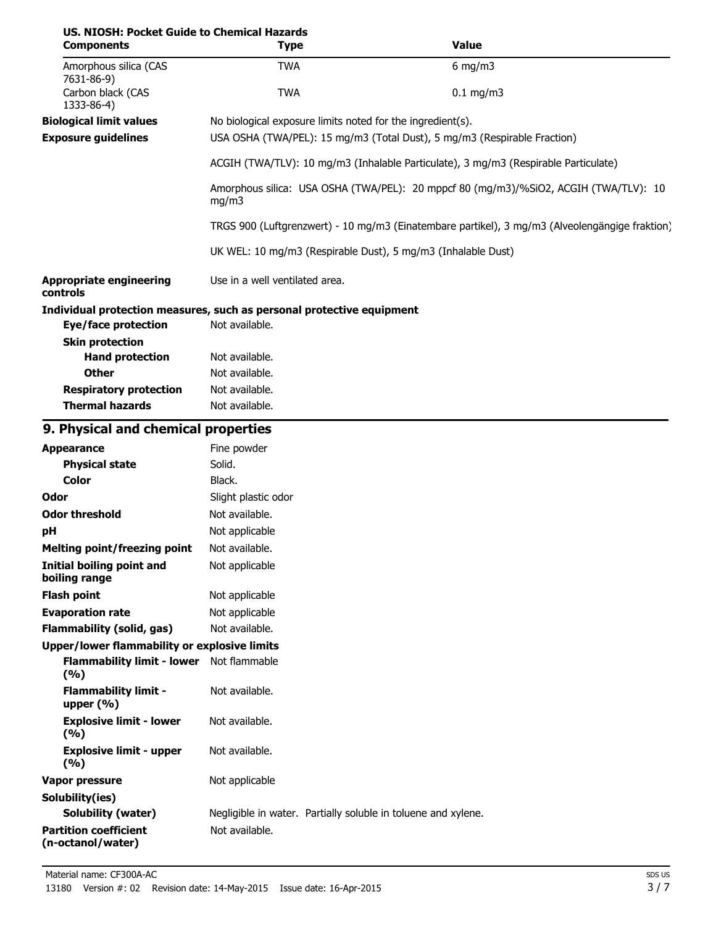| US. NIOSH: Pocket Guide to Chemical Hazards<br><b>Components</b>      | <b>Type</b>                                                                                    |                                                                          | <b>Value</b> |
|-----------------------------------------------------------------------|------------------------------------------------------------------------------------------------|--------------------------------------------------------------------------|--------------|
| Amorphous silica (CAS<br>7631-86-9)                                   | <b>TWA</b>                                                                                     |                                                                          | 6 mg/m $3$   |
| Carbon black (CAS<br>1333-86-4)                                       | <b>TWA</b>                                                                                     |                                                                          | $0.1$ mg/m3  |
| <b>Biological limit values</b>                                        |                                                                                                | No biological exposure limits noted for the ingredient(s).               |              |
| <b>Exposure guidelines</b>                                            |                                                                                                | USA OSHA (TWA/PEL): 15 mg/m3 (Total Dust), 5 mg/m3 (Respirable Fraction) |              |
|                                                                       | ACGIH (TWA/TLV): 10 mg/m3 (Inhalable Particulate), 3 mg/m3 (Respirable Particulate)            |                                                                          |              |
|                                                                       | Amorphous silica: USA OSHA (TWA/PEL): 20 mppcf 80 (mg/m3)/%SiO2, ACGIH (TWA/TLV): 10<br>mg/m3  |                                                                          |              |
|                                                                       | TRGS 900 (Luftgrenzwert) - 10 mg/m3 (Einatembare partikel), 3 mg/m3 (Alveolengängige fraktion) |                                                                          |              |
|                                                                       |                                                                                                | UK WEL: 10 mg/m3 (Respirable Dust), 5 mg/m3 (Inhalable Dust)             |              |
| <b>Appropriate engineering</b><br>controls                            | Use in a well ventilated area.                                                                 |                                                                          |              |
| Individual protection measures, such as personal protective equipment |                                                                                                |                                                                          |              |
| Eye/face protection                                                   | Not available.                                                                                 |                                                                          |              |
| <b>Skin protection</b>                                                |                                                                                                |                                                                          |              |
| <b>Hand protection</b>                                                | Not available.                                                                                 |                                                                          |              |
| <b>Other</b>                                                          | Not available.                                                                                 |                                                                          |              |
| <b>Respiratory protection</b>                                         | Not available.                                                                                 |                                                                          |              |
| <b>Thermal hazards</b>                                                | Not available.                                                                                 |                                                                          |              |
| 9. Physical and chemical properties                                   |                                                                                                |                                                                          |              |
| <b>Appearance</b>                                                     | Fine powder                                                                                    |                                                                          |              |
| <b>Physical state</b>                                                 | Solid.                                                                                         |                                                                          |              |
| <b>Color</b>                                                          | Black.                                                                                         |                                                                          |              |
| Odor                                                                  | Slight plastic odor                                                                            |                                                                          |              |
| <b>Odor threshold</b>                                                 | Not available.                                                                                 |                                                                          |              |
| pH                                                                    | Not applicable                                                                                 |                                                                          |              |
| <b>Melting point/freezing point</b>                                   | Not available.                                                                                 |                                                                          |              |
| <b>Initial boiling point and</b><br>boiling range                     | Not applicable                                                                                 |                                                                          |              |
| <b>Flash point</b>                                                    | Not applicable                                                                                 |                                                                          |              |
| <b>Evaporation rate</b>                                               | Not applicable                                                                                 |                                                                          |              |
| <b>Flammability (solid, gas)</b>                                      | Not available.                                                                                 |                                                                          |              |
| Upper/lower flammability or explosive limits                          |                                                                                                |                                                                          |              |
| Flammability limit - lower Not flammable<br>(%)                       |                                                                                                |                                                                          |              |
| <b>Flammability limit -</b><br>upper $(% )$                           | Not available.                                                                                 |                                                                          |              |
| <b>Explosive limit - lower</b><br>(%)                                 | Not available.                                                                                 |                                                                          |              |
| <b>Explosive limit - upper</b><br>(%)                                 | Not available.                                                                                 |                                                                          |              |
| <b>Vapor pressure</b>                                                 | Not applicable                                                                                 |                                                                          |              |
| Solubility(ies)                                                       |                                                                                                |                                                                          |              |
| <b>Solubility (water)</b>                                             |                                                                                                | Negligible in water. Partially soluble in toluene and xylene.            |              |
| <b>Partition coefficient</b><br>(n-octanol/water)                     | Not available.                                                                                 |                                                                          |              |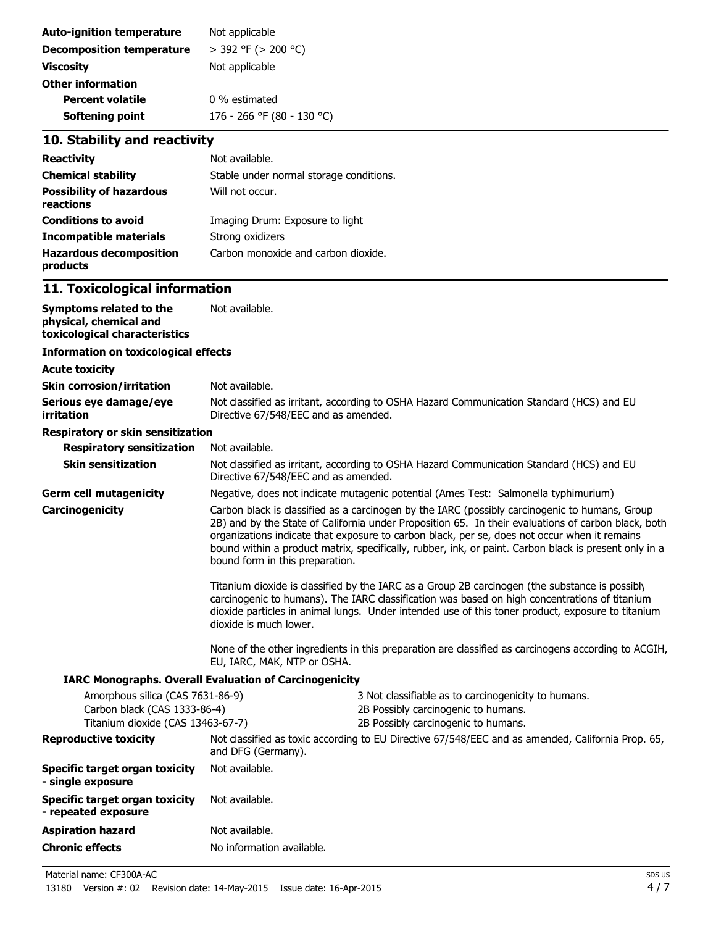| <b>Auto-ignition temperature</b> | Not applicable             |
|----------------------------------|----------------------------|
| <b>Decomposition temperature</b> | $>$ 392 °F ( $>$ 200 °C)   |
| <b>Viscosity</b>                 | Not applicable             |
| Other information                |                            |
| <b>Percent volatile</b>          | 0 % estimated              |
| Softening point                  | 176 - 266 °F (80 - 130 °C) |

# **10. Stability and reactivity**

| <b>Reactivity</b>                            | Not available.                          |
|----------------------------------------------|-----------------------------------------|
| <b>Chemical stability</b>                    | Stable under normal storage conditions. |
| <b>Possibility of hazardous</b><br>reactions | Will not occur.                         |
| <b>Conditions to avoid</b>                   | Imaging Drum: Exposure to light         |
| Incompatible materials                       | Strong oxidizers                        |
| <b>Hazardous decomposition</b><br>products   | Carbon monoxide and carbon dioxide.     |

# **11. Toxicological information**

| Symptoms related to the<br>physical, chemical and<br>toxicological characteristics                    | Not available.                                                                                                                                                                                                                                                                                                                                                                                                                                                                                                                                                                                                                                                                                                                                                                      |                                                                                                                                   |  |
|-------------------------------------------------------------------------------------------------------|-------------------------------------------------------------------------------------------------------------------------------------------------------------------------------------------------------------------------------------------------------------------------------------------------------------------------------------------------------------------------------------------------------------------------------------------------------------------------------------------------------------------------------------------------------------------------------------------------------------------------------------------------------------------------------------------------------------------------------------------------------------------------------------|-----------------------------------------------------------------------------------------------------------------------------------|--|
| <b>Information on toxicological effects</b>                                                           |                                                                                                                                                                                                                                                                                                                                                                                                                                                                                                                                                                                                                                                                                                                                                                                     |                                                                                                                                   |  |
| <b>Acute toxicity</b>                                                                                 |                                                                                                                                                                                                                                                                                                                                                                                                                                                                                                                                                                                                                                                                                                                                                                                     |                                                                                                                                   |  |
| <b>Skin corrosion/irritation</b>                                                                      | Not available.                                                                                                                                                                                                                                                                                                                                                                                                                                                                                                                                                                                                                                                                                                                                                                      |                                                                                                                                   |  |
| Serious eye damage/eye<br>irritation                                                                  | Directive 67/548/EEC and as amended.                                                                                                                                                                                                                                                                                                                                                                                                                                                                                                                                                                                                                                                                                                                                                | Not classified as irritant, according to OSHA Hazard Communication Standard (HCS) and EU                                          |  |
| Respiratory or skin sensitization                                                                     |                                                                                                                                                                                                                                                                                                                                                                                                                                                                                                                                                                                                                                                                                                                                                                                     |                                                                                                                                   |  |
| <b>Respiratory sensitization</b>                                                                      | Not available.                                                                                                                                                                                                                                                                                                                                                                                                                                                                                                                                                                                                                                                                                                                                                                      |                                                                                                                                   |  |
| <b>Skin sensitization</b>                                                                             | Not classified as irritant, according to OSHA Hazard Communication Standard (HCS) and EU<br>Directive 67/548/EEC and as amended.                                                                                                                                                                                                                                                                                                                                                                                                                                                                                                                                                                                                                                                    |                                                                                                                                   |  |
| <b>Germ cell mutagenicity</b>                                                                         | Negative, does not indicate mutagenic potential (Ames Test: Salmonella typhimurium)                                                                                                                                                                                                                                                                                                                                                                                                                                                                                                                                                                                                                                                                                                 |                                                                                                                                   |  |
| Carcinogenicity                                                                                       | Carbon black is classified as a carcinogen by the IARC (possibly carcinogenic to humans, Group<br>2B) and by the State of California under Proposition 65. In their evaluations of carbon black, both<br>organizations indicate that exposure to carbon black, per se, does not occur when it remains<br>bound within a product matrix, specifically, rubber, ink, or paint. Carbon black is present only in a<br>bound form in this preparation.<br>Titanium dioxide is classified by the IARC as a Group 2B carcinogen (the substance is possibly<br>carcinogenic to humans). The IARC classification was based on high concentrations of titanium<br>dioxide particles in animal lungs. Under intended use of this toner product, exposure to titanium<br>dioxide is much lower. |                                                                                                                                   |  |
|                                                                                                       |                                                                                                                                                                                                                                                                                                                                                                                                                                                                                                                                                                                                                                                                                                                                                                                     |                                                                                                                                   |  |
|                                                                                                       | None of the other ingredients in this preparation are classified as carcinogens according to ACGIH,<br>EU, IARC, MAK, NTP or OSHA.                                                                                                                                                                                                                                                                                                                                                                                                                                                                                                                                                                                                                                                  |                                                                                                                                   |  |
|                                                                                                       | <b>IARC Monographs. Overall Evaluation of Carcinogenicity</b>                                                                                                                                                                                                                                                                                                                                                                                                                                                                                                                                                                                                                                                                                                                       |                                                                                                                                   |  |
| Amorphous silica (CAS 7631-86-9)<br>Carbon black (CAS 1333-86-4)<br>Titanium dioxide (CAS 13463-67-7) |                                                                                                                                                                                                                                                                                                                                                                                                                                                                                                                                                                                                                                                                                                                                                                                     | 3 Not classifiable as to carcinogenicity to humans.<br>2B Possibly carcinogenic to humans.<br>2B Possibly carcinogenic to humans. |  |
| <b>Reproductive toxicity</b>                                                                          | Not classified as toxic according to EU Directive 67/548/EEC and as amended, California Prop. 65,<br>and DFG (Germany).                                                                                                                                                                                                                                                                                                                                                                                                                                                                                                                                                                                                                                                             |                                                                                                                                   |  |
| <b>Specific target organ toxicity</b><br>- single exposure                                            | Not available.                                                                                                                                                                                                                                                                                                                                                                                                                                                                                                                                                                                                                                                                                                                                                                      |                                                                                                                                   |  |
| <b>Specific target organ toxicity</b><br>- repeated exposure                                          | Not available.                                                                                                                                                                                                                                                                                                                                                                                                                                                                                                                                                                                                                                                                                                                                                                      |                                                                                                                                   |  |
| <b>Aspiration hazard</b>                                                                              | Not available.                                                                                                                                                                                                                                                                                                                                                                                                                                                                                                                                                                                                                                                                                                                                                                      |                                                                                                                                   |  |
| <b>Chronic effects</b>                                                                                | No information available.                                                                                                                                                                                                                                                                                                                                                                                                                                                                                                                                                                                                                                                                                                                                                           |                                                                                                                                   |  |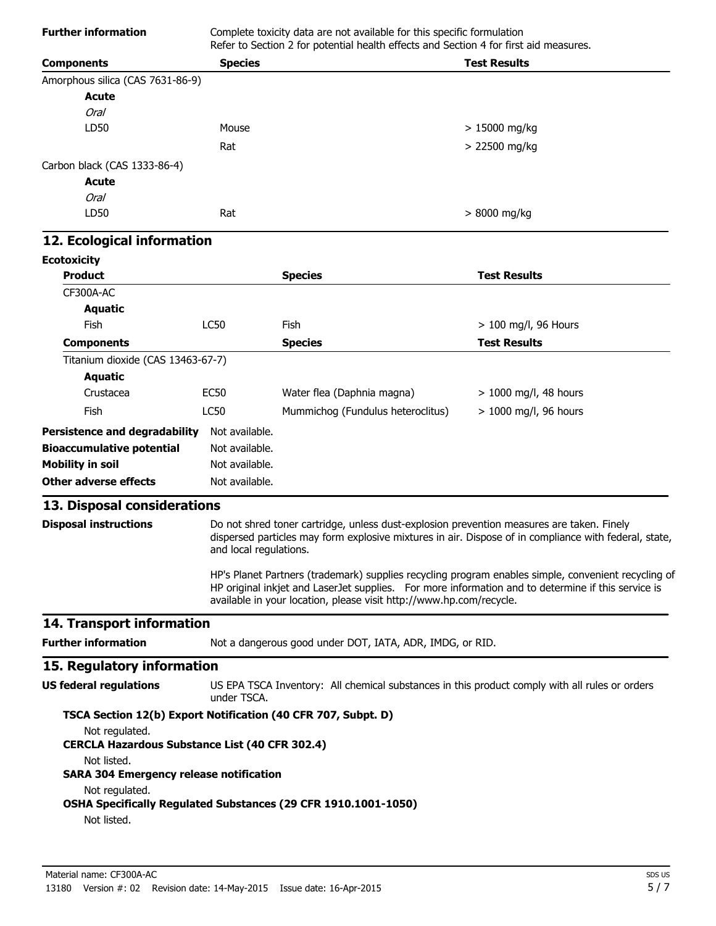| <b>Further information</b>                                                                                                                                                                                                                                                                                   | Complete toxicity data are not available for this specific formulation<br>Refer to Section 2 for potential health effects and Section 4 for first aid measures.                                                                                                                  |                                                                                           |                                                                                                |
|--------------------------------------------------------------------------------------------------------------------------------------------------------------------------------------------------------------------------------------------------------------------------------------------------------------|----------------------------------------------------------------------------------------------------------------------------------------------------------------------------------------------------------------------------------------------------------------------------------|-------------------------------------------------------------------------------------------|------------------------------------------------------------------------------------------------|
| <b>Components</b>                                                                                                                                                                                                                                                                                            | <b>Species</b>                                                                                                                                                                                                                                                                   |                                                                                           | <b>Test Results</b>                                                                            |
| Amorphous silica (CAS 7631-86-9)                                                                                                                                                                                                                                                                             |                                                                                                                                                                                                                                                                                  |                                                                                           |                                                                                                |
| <b>Acute</b>                                                                                                                                                                                                                                                                                                 |                                                                                                                                                                                                                                                                                  |                                                                                           |                                                                                                |
| <b>Oral</b>                                                                                                                                                                                                                                                                                                  |                                                                                                                                                                                                                                                                                  |                                                                                           |                                                                                                |
| LD50                                                                                                                                                                                                                                                                                                         | Mouse                                                                                                                                                                                                                                                                            |                                                                                           | > 15000 mg/kg                                                                                  |
|                                                                                                                                                                                                                                                                                                              | Rat                                                                                                                                                                                                                                                                              |                                                                                           | > 22500 mg/kg                                                                                  |
| Carbon black (CAS 1333-86-4)                                                                                                                                                                                                                                                                                 |                                                                                                                                                                                                                                                                                  |                                                                                           |                                                                                                |
| <b>Acute</b>                                                                                                                                                                                                                                                                                                 |                                                                                                                                                                                                                                                                                  |                                                                                           |                                                                                                |
| <b>Oral</b>                                                                                                                                                                                                                                                                                                  |                                                                                                                                                                                                                                                                                  |                                                                                           |                                                                                                |
| LD50                                                                                                                                                                                                                                                                                                         | Rat                                                                                                                                                                                                                                                                              |                                                                                           | $>8000$ mg/kg                                                                                  |
| 12. Ecological information                                                                                                                                                                                                                                                                                   |                                                                                                                                                                                                                                                                                  |                                                                                           |                                                                                                |
| <b>Ecotoxicity</b>                                                                                                                                                                                                                                                                                           |                                                                                                                                                                                                                                                                                  |                                                                                           |                                                                                                |
| <b>Product</b>                                                                                                                                                                                                                                                                                               |                                                                                                                                                                                                                                                                                  | <b>Species</b>                                                                            | <b>Test Results</b>                                                                            |
| CF300A-AC                                                                                                                                                                                                                                                                                                    |                                                                                                                                                                                                                                                                                  |                                                                                           |                                                                                                |
| <b>Aquatic</b>                                                                                                                                                                                                                                                                                               |                                                                                                                                                                                                                                                                                  |                                                                                           |                                                                                                |
| <b>Fish</b>                                                                                                                                                                                                                                                                                                  | <b>LC50</b>                                                                                                                                                                                                                                                                      | Fish                                                                                      | $> 100$ mg/l, 96 Hours                                                                         |
| <b>Components</b>                                                                                                                                                                                                                                                                                            |                                                                                                                                                                                                                                                                                  | <b>Species</b>                                                                            | <b>Test Results</b>                                                                            |
| Titanium dioxide (CAS 13463-67-7)<br><b>Aquatic</b>                                                                                                                                                                                                                                                          |                                                                                                                                                                                                                                                                                  |                                                                                           |                                                                                                |
| Crustacea                                                                                                                                                                                                                                                                                                    | EC <sub>50</sub>                                                                                                                                                                                                                                                                 | Water flea (Daphnia magna)                                                                | $> 1000$ mg/l, 48 hours                                                                        |
| <b>Fish</b>                                                                                                                                                                                                                                                                                                  | LC50                                                                                                                                                                                                                                                                             | Mummichog (Fundulus heteroclitus)                                                         | $> 1000$ mg/l, 96 hours                                                                        |
| <b>Persistence and degradability</b>                                                                                                                                                                                                                                                                         | Not available.                                                                                                                                                                                                                                                                   |                                                                                           |                                                                                                |
| <b>Bioaccumulative potential</b>                                                                                                                                                                                                                                                                             | Not available.                                                                                                                                                                                                                                                                   |                                                                                           |                                                                                                |
| <b>Mobility in soil</b>                                                                                                                                                                                                                                                                                      | Not available.                                                                                                                                                                                                                                                                   |                                                                                           |                                                                                                |
| <b>Other adverse effects</b>                                                                                                                                                                                                                                                                                 | Not available.                                                                                                                                                                                                                                                                   |                                                                                           |                                                                                                |
| 13. Disposal considerations                                                                                                                                                                                                                                                                                  |                                                                                                                                                                                                                                                                                  |                                                                                           |                                                                                                |
| <b>Disposal instructions</b>                                                                                                                                                                                                                                                                                 |                                                                                                                                                                                                                                                                                  | Do not shred toner cartridge, unless dust-explosion prevention measures are taken. Finely |                                                                                                |
|                                                                                                                                                                                                                                                                                                              | dispersed particles may form explosive mixtures in air. Dispose of in compliance with federal, state,<br>and local regulations.                                                                                                                                                  |                                                                                           |                                                                                                |
|                                                                                                                                                                                                                                                                                                              | HP's Planet Partners (trademark) supplies recycling program enables simple, convenient recycling of<br>HP original inkjet and LaserJet supplies. For more information and to determine if this service is<br>available in your location, please visit http://www.hp.com/recycle. |                                                                                           |                                                                                                |
| 14. Transport information                                                                                                                                                                                                                                                                                    |                                                                                                                                                                                                                                                                                  |                                                                                           |                                                                                                |
| <b>Further information</b>                                                                                                                                                                                                                                                                                   |                                                                                                                                                                                                                                                                                  | Not a dangerous good under DOT, IATA, ADR, IMDG, or RID.                                  |                                                                                                |
| 15. Regulatory information                                                                                                                                                                                                                                                                                   |                                                                                                                                                                                                                                                                                  |                                                                                           |                                                                                                |
| <b>US federal regulations</b>                                                                                                                                                                                                                                                                                | under TSCA.                                                                                                                                                                                                                                                                      |                                                                                           | US EPA TSCA Inventory: All chemical substances in this product comply with all rules or orders |
| TSCA Section 12(b) Export Notification (40 CFR 707, Subpt. D)<br>Not regulated.<br><b>CERCLA Hazardous Substance List (40 CFR 302.4)</b><br>Not listed.<br><b>SARA 304 Emergency release notification</b><br>Not regulated.<br>OSHA Specifically Regulated Substances (29 CFR 1910.1001-1050)<br>Not listed. |                                                                                                                                                                                                                                                                                  |                                                                                           |                                                                                                |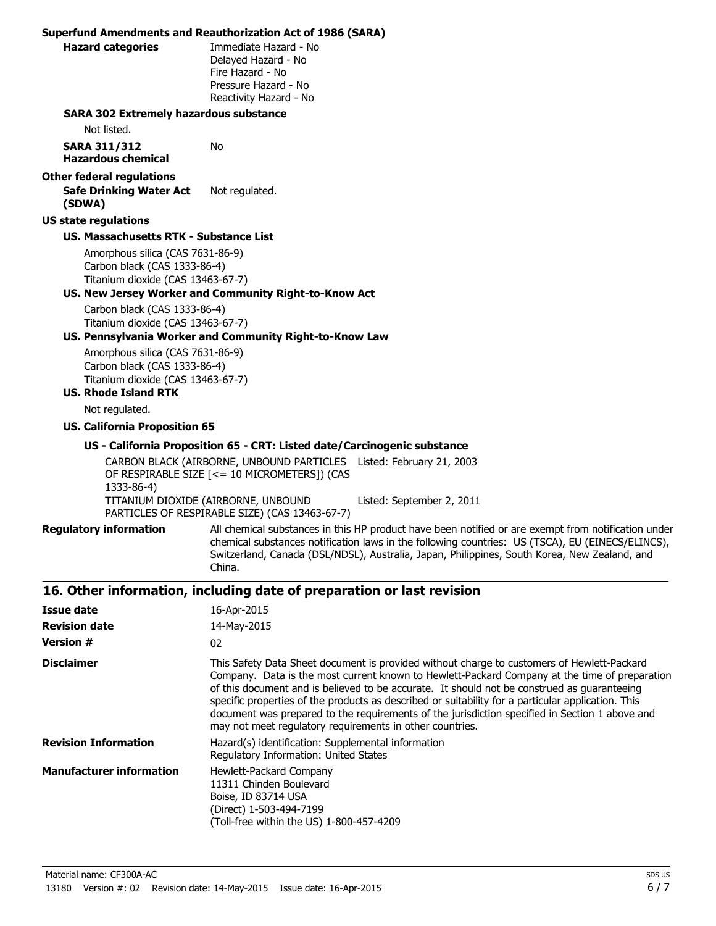|                                                                                                                                      | <b>Superfund Amendments and Reauthorization Act of 1986 (SARA)</b>                                                                                                                                                                                                                                                                                                                                                                                                                                                                                             |
|--------------------------------------------------------------------------------------------------------------------------------------|----------------------------------------------------------------------------------------------------------------------------------------------------------------------------------------------------------------------------------------------------------------------------------------------------------------------------------------------------------------------------------------------------------------------------------------------------------------------------------------------------------------------------------------------------------------|
| <b>Hazard categories</b>                                                                                                             | Immediate Hazard - No<br>Delayed Hazard - No<br>Fire Hazard - No<br>Pressure Hazard - No<br>Reactivity Hazard - No                                                                                                                                                                                                                                                                                                                                                                                                                                             |
| <b>SARA 302 Extremely hazardous substance</b>                                                                                        |                                                                                                                                                                                                                                                                                                                                                                                                                                                                                                                                                                |
| Not listed.                                                                                                                          |                                                                                                                                                                                                                                                                                                                                                                                                                                                                                                                                                                |
| <b>SARA 311/312</b><br><b>Hazardous chemical</b>                                                                                     | <b>No</b>                                                                                                                                                                                                                                                                                                                                                                                                                                                                                                                                                      |
| <b>Other federal regulations</b>                                                                                                     |                                                                                                                                                                                                                                                                                                                                                                                                                                                                                                                                                                |
| <b>Safe Drinking Water Act</b><br>(SDWA)                                                                                             | Not regulated.                                                                                                                                                                                                                                                                                                                                                                                                                                                                                                                                                 |
| <b>US state regulations</b>                                                                                                          |                                                                                                                                                                                                                                                                                                                                                                                                                                                                                                                                                                |
| <b>US. Massachusetts RTK - Substance List</b>                                                                                        |                                                                                                                                                                                                                                                                                                                                                                                                                                                                                                                                                                |
| Amorphous silica (CAS 7631-86-9)<br>Carbon black (CAS 1333-86-4)<br>Titanium dioxide (CAS 13463-67-7)                                | US. New Jersey Worker and Community Right-to-Know Act                                                                                                                                                                                                                                                                                                                                                                                                                                                                                                          |
| Carbon black (CAS 1333-86-4)<br>Titanium dioxide (CAS 13463-67-7)                                                                    | US. Pennsylvania Worker and Community Right-to-Know Law                                                                                                                                                                                                                                                                                                                                                                                                                                                                                                        |
| Amorphous silica (CAS 7631-86-9)<br>Carbon black (CAS 1333-86-4)<br>Titanium dioxide (CAS 13463-67-7)<br><b>US. Rhode Island RTK</b> |                                                                                                                                                                                                                                                                                                                                                                                                                                                                                                                                                                |
| Not regulated.                                                                                                                       |                                                                                                                                                                                                                                                                                                                                                                                                                                                                                                                                                                |
| <b>US. California Proposition 65</b>                                                                                                 |                                                                                                                                                                                                                                                                                                                                                                                                                                                                                                                                                                |
| 1333-86-4)                                                                                                                           | US - California Proposition 65 - CRT: Listed date/Carcinogenic substance<br>CARBON BLACK (AIRBORNE, UNBOUND PARTICLES Listed: February 21, 2003<br>OF RESPIRABLE SIZE [<= 10 MICROMETERS]) (CAS<br>TITANIUM DIOXIDE (AIRBORNE, UNBOUND<br>Listed: September 2, 2011<br>PARTICLES OF RESPIRABLE SIZE) (CAS 13463-67-7)                                                                                                                                                                                                                                          |
| <b>Regulatory information</b>                                                                                                        | All chemical substances in this HP product have been notified or are exempt from notification under<br>chemical substances notification laws in the following countries: US (TSCA), EU (EINECS/ELINCS),<br>Switzerland, Canada (DSL/NDSL), Australia, Japan, Philippines, South Korea, New Zealand, and<br>China.                                                                                                                                                                                                                                              |
|                                                                                                                                      | 16. Other information, including date of preparation or last revision                                                                                                                                                                                                                                                                                                                                                                                                                                                                                          |
| <b>Issue date</b>                                                                                                                    | 16-Apr-2015                                                                                                                                                                                                                                                                                                                                                                                                                                                                                                                                                    |
| <b>Revision date</b>                                                                                                                 | 14-May-2015                                                                                                                                                                                                                                                                                                                                                                                                                                                                                                                                                    |
| <b>Version #</b>                                                                                                                     | 02                                                                                                                                                                                                                                                                                                                                                                                                                                                                                                                                                             |
| <b>Disclaimer</b>                                                                                                                    | This Safety Data Sheet document is provided without charge to customers of Hewlett-Packard<br>Company. Data is the most current known to Hewlett-Packard Company at the time of preparation<br>of this document and is believed to be accurate. It should not be construed as guaranteeing<br>specific properties of the products as described or suitability for a particular application. This<br>document was prepared to the requirements of the jurisdiction specified in Section 1 above and<br>may not meet regulatory requirements in other countries. |
| <b>Revision Information</b>                                                                                                          | Hazard(s) identification: Supplemental information<br>Regulatory Information: United States                                                                                                                                                                                                                                                                                                                                                                                                                                                                    |
| <b>Manufacturer information</b>                                                                                                      | Hewlett-Packard Company<br>11311 Chinden Boulevard                                                                                                                                                                                                                                                                                                                                                                                                                                                                                                             |

Boise, ID 83714 USA (Direct) 1-503-494-7199

(Toll-free within the US) 1-800-457-4209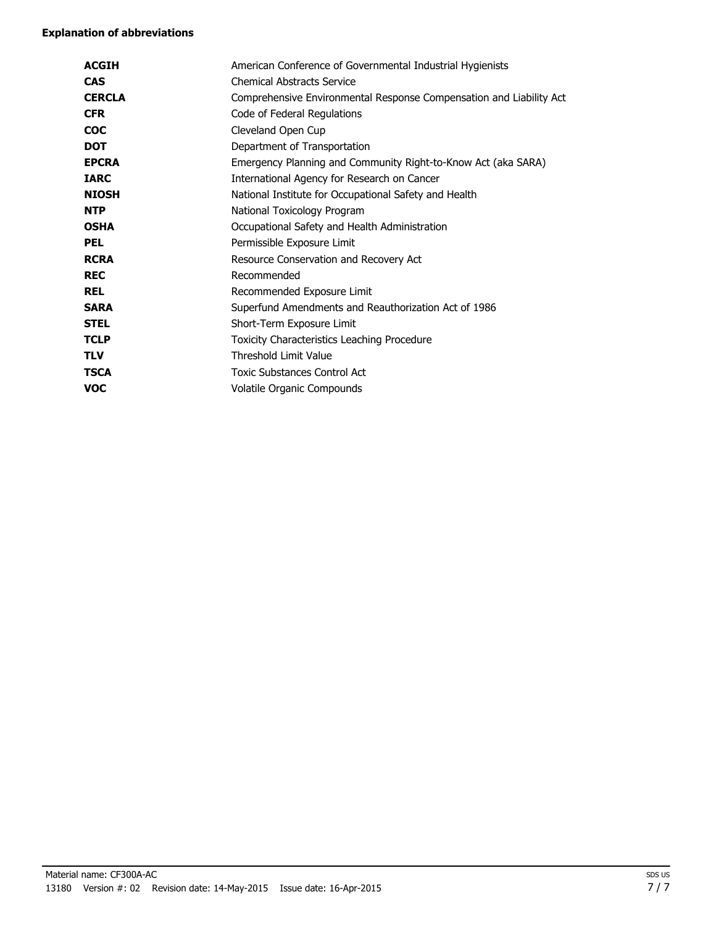#### **Explanation of abbreviations**

| <b>ACGIH</b>  | American Conference of Governmental Industrial Hygienists           |
|---------------|---------------------------------------------------------------------|
| <b>CAS</b>    | <b>Chemical Abstracts Service</b>                                   |
| <b>CERCLA</b> | Comprehensive Environmental Response Compensation and Liability Act |
| <b>CFR</b>    | Code of Federal Regulations                                         |
| <b>COC</b>    | Cleveland Open Cup                                                  |
| <b>DOT</b>    | Department of Transportation                                        |
| <b>EPCRA</b>  | Emergency Planning and Community Right-to-Know Act (aka SARA)       |
| <b>IARC</b>   | International Agency for Research on Cancer                         |
| <b>NIOSH</b>  | National Institute for Occupational Safety and Health               |
| <b>NTP</b>    | National Toxicology Program                                         |
| <b>OSHA</b>   | Occupational Safety and Health Administration                       |
| <b>PEL</b>    | Permissible Exposure Limit                                          |
| <b>RCRA</b>   | Resource Conservation and Recovery Act                              |
| <b>REC</b>    | Recommended                                                         |
| <b>REL</b>    | Recommended Exposure Limit                                          |
| <b>SARA</b>   | Superfund Amendments and Reauthorization Act of 1986                |
| <b>STEL</b>   | Short-Term Exposure Limit                                           |
| <b>TCLP</b>   | Toxicity Characteristics Leaching Procedure                         |
| <b>TLV</b>    | <b>Threshold Limit Value</b>                                        |
| <b>TSCA</b>   | <b>Toxic Substances Control Act</b>                                 |
| voc           | Volatile Organic Compounds                                          |
|               |                                                                     |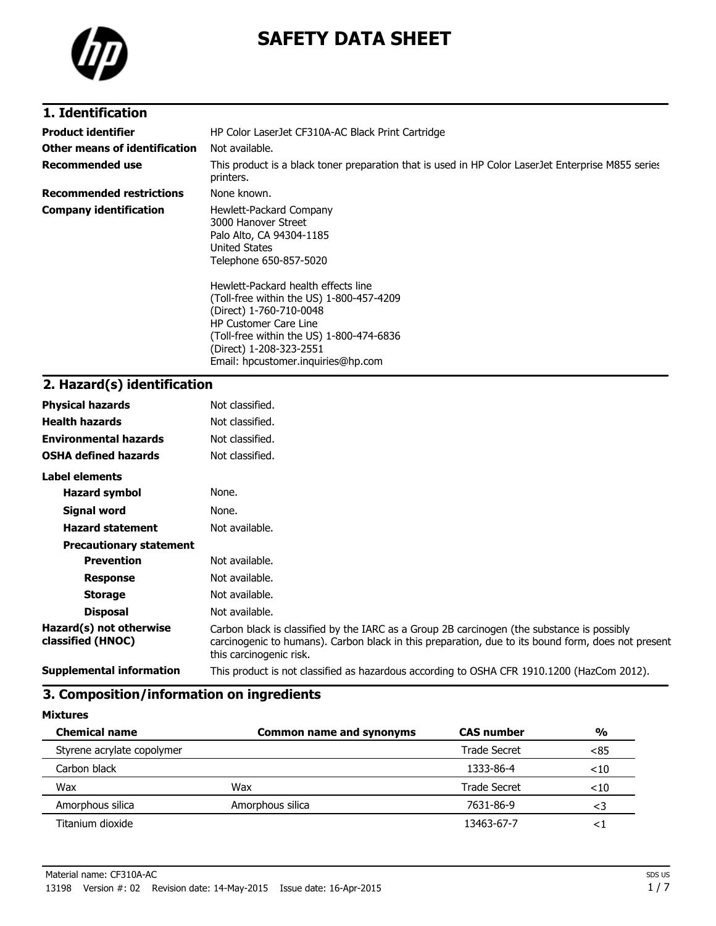

# **SAFETY DATA SHEET**

# **1. Identification**

| <b>Product identifier</b>       | HP Color LaserJet CF310A-AC Black Print Cartridge                                                                                                                                                                |  |  |
|---------------------------------|------------------------------------------------------------------------------------------------------------------------------------------------------------------------------------------------------------------|--|--|
| Other means of identification   | Not available.                                                                                                                                                                                                   |  |  |
| Recommended use                 | This product is a black toner preparation that is used in HP Color Laser Jet Enterprise M855 series<br>printers.                                                                                                 |  |  |
| <b>Recommended restrictions</b> | None known.                                                                                                                                                                                                      |  |  |
| <b>Company identification</b>   | Hewlett-Packard Company<br>3000 Hanover Street<br>Palo Alto, CA 94304-1185<br>United States<br>Telephone 650-857-5020<br>Hewlett-Packard health effects line                                                     |  |  |
|                                 | (Toll-free within the US) 1-800-457-4209<br>(Direct) 1-760-710-0048<br><b>HP Customer Care Line</b><br>(Toll-free within the US) 1-800-474-6836<br>(Direct) 1-208-323-2551<br>Email: hpcustomer.inquiries@hp.com |  |  |

## **2. Hazard(s) identification**

| <b>Physical hazards</b>                      | Not classified.                                                                                                                                                                                                             |
|----------------------------------------------|-----------------------------------------------------------------------------------------------------------------------------------------------------------------------------------------------------------------------------|
| <b>Health hazards</b>                        | Not classified.                                                                                                                                                                                                             |
| <b>Environmental hazards</b>                 | Not classified.                                                                                                                                                                                                             |
| <b>OSHA defined hazards</b>                  | Not classified.                                                                                                                                                                                                             |
| Label elements                               |                                                                                                                                                                                                                             |
| Hazard symbol                                | None.                                                                                                                                                                                                                       |
| Signal word                                  | None.                                                                                                                                                                                                                       |
| <b>Hazard statement</b>                      | Not available.                                                                                                                                                                                                              |
| <b>Precautionary statement</b>               |                                                                                                                                                                                                                             |
| <b>Prevention</b>                            | Not available.                                                                                                                                                                                                              |
| <b>Response</b>                              | Not available.                                                                                                                                                                                                              |
| <b>Storage</b>                               | Not available.                                                                                                                                                                                                              |
| <b>Disposal</b>                              | Not available.                                                                                                                                                                                                              |
| Hazard(s) not otherwise<br>classified (HNOC) | Carbon black is classified by the IARC as a Group 2B carcinogen (the substance is possibly<br>carcinogenic to humans). Carbon black in this preparation, due to its bound form, does not present<br>this carcinogenic risk. |
| <b>Supplemental information</b>              | This product is not classified as hazardous according to OSHA CFR 1910.1200 (HazCom 2012).                                                                                                                                  |

## **3. Composition/information on ingredients**

**Mixtures**

| <b>Chemical name</b><br><b>Common name and synonyms</b> |                  | <b>CAS number</b>   | $\frac{0}{0}$ |
|---------------------------------------------------------|------------------|---------------------|---------------|
| Styrene acrylate copolymer                              |                  | <b>Trade Secret</b> | < 85          |
| Carbon black                                            |                  | 1333-86-4           | $<$ 10        |
| Wax                                                     | Wax              | <b>Trade Secret</b> | $<$ 10        |
| Amorphous silica                                        | Amorphous silica | 7631-86-9           | <3            |
| Titanium dioxide                                        |                  | 13463-67-7          | <1            |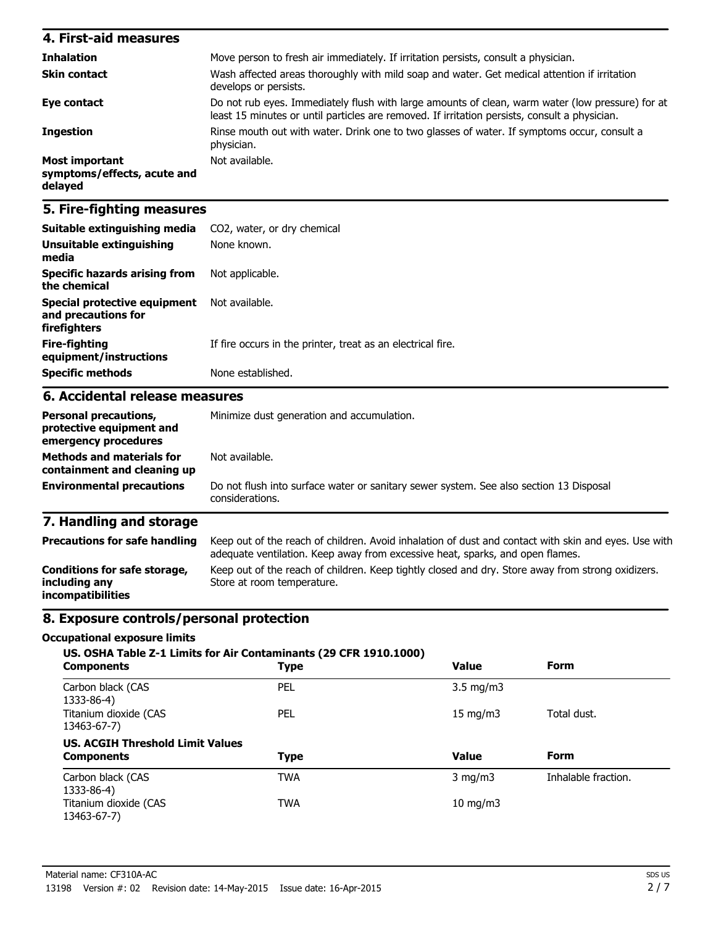| 4. First-aid measures                                    |                                                                                                                                                                                                   |
|----------------------------------------------------------|---------------------------------------------------------------------------------------------------------------------------------------------------------------------------------------------------|
| <b>Inhalation</b>                                        | Move person to fresh air immediately. If irritation persists, consult a physician.                                                                                                                |
| <b>Skin contact</b>                                      | Wash affected areas thoroughly with mild soap and water. Get medical attention if irritation<br>develops or persists.                                                                             |
| Eye contact                                              | Do not rub eyes. Immediately flush with large amounts of clean, warm water (low pressure) for at<br>least 15 minutes or until particles are removed. If irritation persists, consult a physician. |
| <b>Ingestion</b>                                         | Rinse mouth out with water. Drink one to two glasses of water. If symptoms occur, consult a<br>physician.                                                                                         |
| Most important<br>symptoms/effects, acute and<br>delayed | Not available.                                                                                                                                                                                    |

## **5. Fire-fighting measures**

| Suitable extinguishing media                                                     | CO2, water, or dry chemical<br>None known.<br>Not applicable.                                                                                                                         |  |  |
|----------------------------------------------------------------------------------|---------------------------------------------------------------------------------------------------------------------------------------------------------------------------------------|--|--|
| Unsuitable extinguishing<br>media                                                |                                                                                                                                                                                       |  |  |
| <b>Specific hazards arising from</b><br>the chemical                             |                                                                                                                                                                                       |  |  |
| Special protective equipment<br>and precautions for<br>firefighters              | Not available.                                                                                                                                                                        |  |  |
| <b>Fire-fighting</b><br>equipment/instructions                                   | If fire occurs in the printer, treat as an electrical fire.                                                                                                                           |  |  |
| <b>Specific methods</b>                                                          | None established.                                                                                                                                                                     |  |  |
| 6. Accidental release measures                                                   |                                                                                                                                                                                       |  |  |
| <b>Personal precautions,</b><br>protective equipment and<br>emergency procedures | Minimize dust generation and accumulation.                                                                                                                                            |  |  |
| <b>Methods and materials for</b><br>containment and cleaning up                  | Not available.                                                                                                                                                                        |  |  |
| <b>Environmental precautions</b>                                                 | Do not flush into surface water or sanitary sewer system. See also section 13 Disposal<br>considerations.                                                                             |  |  |
| 7. Handling and storage                                                          |                                                                                                                                                                                       |  |  |
| <b>Precautions for safe handling</b>                                             | Keep out of the reach of children. Avoid inhalation of dust and contact with skin and eyes. Use with<br>adequate ventilation. Keep away from excessive heat, sparks, and open flames. |  |  |
| <b>Conditions for safe storage,</b>                                              | Keep out of the reach of children. Keep tightly closed and dry. Store away from strong oxidizers.                                                                                     |  |  |

## **8. Exposure controls/personal protection**

Store at room temperature.

#### **Occupational exposure limits**

**including any incompatibilities**

| US. OSHA Table Z-1 Limits for Air Contaminants (29 CFR 1910.1000)<br><b>Type</b><br><b>Components</b> |            | <b>Form</b><br><b>Value</b> |                     |
|-------------------------------------------------------------------------------------------------------|------------|-----------------------------|---------------------|
| Carbon black (CAS<br>1333-86-4)                                                                       | PEL        | $3.5 \text{ mg/m}$          |                     |
| Titanium dioxide (CAS<br>13463-67-7)                                                                  | PEL        | $15 \text{ mg/m}$           | Total dust.         |
| <b>US. ACGIH Threshold Limit Values</b>                                                               |            |                             |                     |
| <b>Components</b>                                                                                     | Type       | <b>Value</b>                | Form                |
| Carbon black (CAS<br>1333-86-4)                                                                       | TWA        | $3 \text{ mg/m}$            | Inhalable fraction. |
| Titanium dioxide (CAS<br>13463-67-7)                                                                  | <b>TWA</b> | $10$ mg/m $3$               |                     |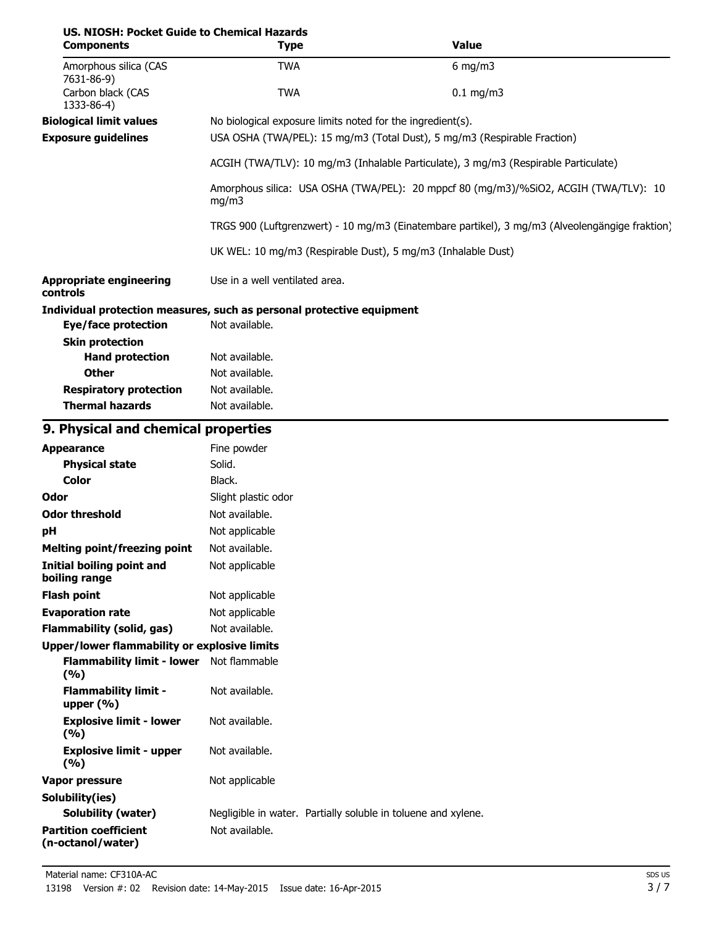| US. NIOSH: Pocket Guide to Chemical Hazards<br><b>Components</b>      | <b>Type</b>                                                                                    |                                                                          | <b>Value</b>                                                                        |  |
|-----------------------------------------------------------------------|------------------------------------------------------------------------------------------------|--------------------------------------------------------------------------|-------------------------------------------------------------------------------------|--|
| Amorphous silica (CAS<br>7631-86-9)                                   | <b>TWA</b>                                                                                     |                                                                          | 6 mg/m $3$                                                                          |  |
| Carbon black (CAS<br>1333-86-4)                                       | <b>TWA</b>                                                                                     |                                                                          | $0.1$ mg/m3                                                                         |  |
| <b>Biological limit values</b>                                        | No biological exposure limits noted for the ingredient(s).                                     |                                                                          |                                                                                     |  |
| <b>Exposure guidelines</b>                                            |                                                                                                | USA OSHA (TWA/PEL): 15 mg/m3 (Total Dust), 5 mg/m3 (Respirable Fraction) |                                                                                     |  |
|                                                                       |                                                                                                |                                                                          | ACGIH (TWA/TLV): 10 mg/m3 (Inhalable Particulate), 3 mg/m3 (Respirable Particulate) |  |
|                                                                       | Amorphous silica: USA OSHA (TWA/PEL): 20 mppcf 80 (mg/m3)/%SiO2, ACGIH (TWA/TLV): 10<br>mg/m3  |                                                                          |                                                                                     |  |
|                                                                       | TRGS 900 (Luftgrenzwert) - 10 mg/m3 (Einatembare partikel), 3 mg/m3 (Alveolengängige fraktion) |                                                                          |                                                                                     |  |
|                                                                       | UK WEL: 10 mg/m3 (Respirable Dust), 5 mg/m3 (Inhalable Dust)                                   |                                                                          |                                                                                     |  |
| <b>Appropriate engineering</b><br>controls                            | Use in a well ventilated area.                                                                 |                                                                          |                                                                                     |  |
| Individual protection measures, such as personal protective equipment |                                                                                                |                                                                          |                                                                                     |  |
| Eye/face protection                                                   | Not available.                                                                                 |                                                                          |                                                                                     |  |
| <b>Skin protection</b>                                                |                                                                                                |                                                                          |                                                                                     |  |
| <b>Hand protection</b>                                                | Not available.                                                                                 |                                                                          |                                                                                     |  |
| <b>Other</b>                                                          | Not available.                                                                                 |                                                                          |                                                                                     |  |
| <b>Respiratory protection</b>                                         | Not available.                                                                                 |                                                                          |                                                                                     |  |
| <b>Thermal hazards</b>                                                | Not available.                                                                                 |                                                                          |                                                                                     |  |
| 9. Physical and chemical properties                                   |                                                                                                |                                                                          |                                                                                     |  |
| <b>Appearance</b>                                                     | Fine powder                                                                                    |                                                                          |                                                                                     |  |
| <b>Physical state</b>                                                 | Solid.                                                                                         |                                                                          |                                                                                     |  |
| <b>Color</b>                                                          | Black.                                                                                         |                                                                          |                                                                                     |  |
| Odor                                                                  | Slight plastic odor                                                                            |                                                                          |                                                                                     |  |
| <b>Odor threshold</b>                                                 | Not available.                                                                                 |                                                                          |                                                                                     |  |
| pH                                                                    | Not applicable                                                                                 |                                                                          |                                                                                     |  |
| <b>Melting point/freezing point</b>                                   | Not available.                                                                                 |                                                                          |                                                                                     |  |
| <b>Initial boiling point and</b><br>boiling range                     | Not applicable                                                                                 |                                                                          |                                                                                     |  |
| <b>Flash point</b>                                                    | Not applicable                                                                                 |                                                                          |                                                                                     |  |
| <b>Evaporation rate</b>                                               | Not applicable                                                                                 |                                                                          |                                                                                     |  |
| <b>Flammability (solid, gas)</b>                                      | Not available.                                                                                 |                                                                          |                                                                                     |  |
| Upper/lower flammability or explosive limits                          |                                                                                                |                                                                          |                                                                                     |  |
| Flammability limit - lower Not flammable<br>(%)                       |                                                                                                |                                                                          |                                                                                     |  |
| <b>Flammability limit -</b><br>upper $(% )$                           | Not available.                                                                                 |                                                                          |                                                                                     |  |
| <b>Explosive limit - lower</b><br>(%)                                 | Not available.                                                                                 |                                                                          |                                                                                     |  |
| <b>Explosive limit - upper</b><br>(%)                                 | Not available.                                                                                 |                                                                          |                                                                                     |  |
| <b>Vapor pressure</b>                                                 | Not applicable                                                                                 |                                                                          |                                                                                     |  |
| Solubility(ies)                                                       |                                                                                                |                                                                          |                                                                                     |  |
| <b>Solubility (water)</b>                                             |                                                                                                | Negligible in water. Partially soluble in toluene and xylene.            |                                                                                     |  |
| <b>Partition coefficient</b><br>(n-octanol/water)                     | Not available.                                                                                 |                                                                          |                                                                                     |  |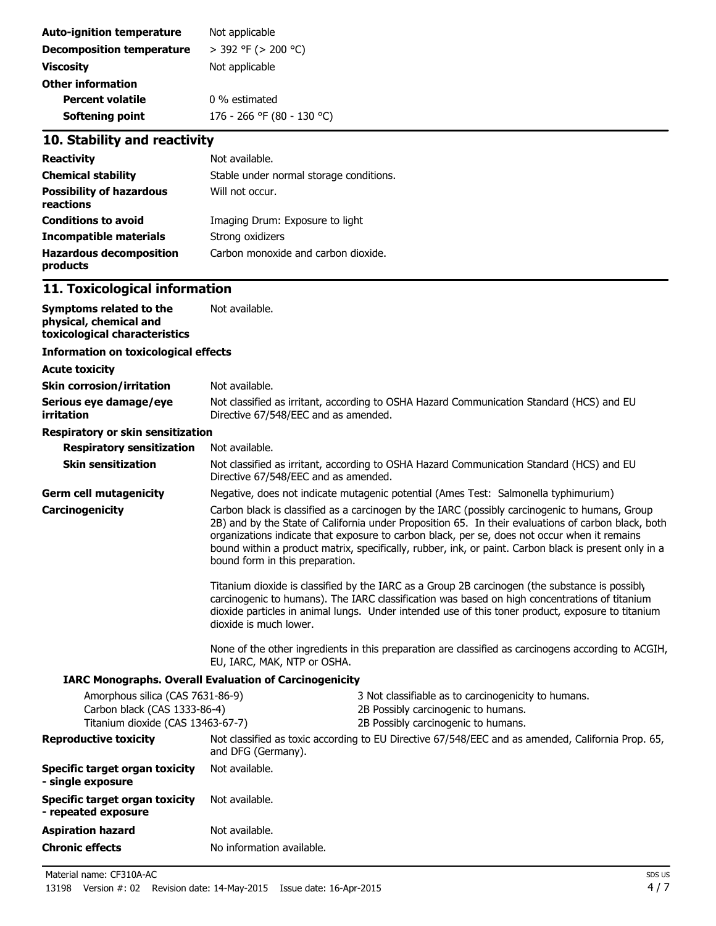| <b>Auto-ignition temperature</b> | Not applicable             |
|----------------------------------|----------------------------|
| <b>Decomposition temperature</b> | $>$ 392 °F ( $>$ 200 °C)   |
| <b>Viscosity</b>                 | Not applicable             |
| Other information                |                            |
| <b>Percent volatile</b>          | 0 % estimated              |
| Softening point                  | 176 - 266 °F (80 - 130 °C) |

# **10. Stability and reactivity**

| <b>Reactivity</b>                            | Not available.                          |
|----------------------------------------------|-----------------------------------------|
| <b>Chemical stability</b>                    | Stable under normal storage conditions. |
| <b>Possibility of hazardous</b><br>reactions | Will not occur.                         |
| <b>Conditions to avoid</b>                   | Imaging Drum: Exposure to light         |
| Incompatible materials                       | Strong oxidizers                        |
| <b>Hazardous decomposition</b><br>products   | Carbon monoxide and carbon dioxide.     |

# **11. Toxicological information**

| Symptoms related to the<br>physical, chemical and<br>toxicological characteristics                    | Not available.                                                                                                                                                                                                                                                                                                                                                                                                                                    |                                                                                                                                   |  |
|-------------------------------------------------------------------------------------------------------|---------------------------------------------------------------------------------------------------------------------------------------------------------------------------------------------------------------------------------------------------------------------------------------------------------------------------------------------------------------------------------------------------------------------------------------------------|-----------------------------------------------------------------------------------------------------------------------------------|--|
| <b>Information on toxicological effects</b>                                                           |                                                                                                                                                                                                                                                                                                                                                                                                                                                   |                                                                                                                                   |  |
| <b>Acute toxicity</b>                                                                                 |                                                                                                                                                                                                                                                                                                                                                                                                                                                   |                                                                                                                                   |  |
| <b>Skin corrosion/irritation</b>                                                                      | Not available.                                                                                                                                                                                                                                                                                                                                                                                                                                    |                                                                                                                                   |  |
| Serious eye damage/eye<br>irritation                                                                  | Not classified as irritant, according to OSHA Hazard Communication Standard (HCS) and EU<br>Directive 67/548/EEC and as amended.                                                                                                                                                                                                                                                                                                                  |                                                                                                                                   |  |
| Respiratory or skin sensitization                                                                     |                                                                                                                                                                                                                                                                                                                                                                                                                                                   |                                                                                                                                   |  |
| <b>Respiratory sensitization</b>                                                                      | Not available.                                                                                                                                                                                                                                                                                                                                                                                                                                    |                                                                                                                                   |  |
| <b>Skin sensitization</b>                                                                             | Not classified as irritant, according to OSHA Hazard Communication Standard (HCS) and EU<br>Directive 67/548/EEC and as amended.                                                                                                                                                                                                                                                                                                                  |                                                                                                                                   |  |
| <b>Germ cell mutagenicity</b>                                                                         | Negative, does not indicate mutagenic potential (Ames Test: Salmonella typhimurium)                                                                                                                                                                                                                                                                                                                                                               |                                                                                                                                   |  |
| Carcinogenicity                                                                                       | Carbon black is classified as a carcinogen by the IARC (possibly carcinogenic to humans, Group<br>2B) and by the State of California under Proposition 65. In their evaluations of carbon black, both<br>organizations indicate that exposure to carbon black, per se, does not occur when it remains<br>bound within a product matrix, specifically, rubber, ink, or paint. Carbon black is present only in a<br>bound form in this preparation. |                                                                                                                                   |  |
|                                                                                                       | Titanium dioxide is classified by the IARC as a Group 2B carcinogen (the substance is possibly<br>carcinogenic to humans). The IARC classification was based on high concentrations of titanium<br>dioxide particles in animal lungs. Under intended use of this toner product, exposure to titanium<br>dioxide is much lower.                                                                                                                    |                                                                                                                                   |  |
|                                                                                                       | EU, IARC, MAK, NTP or OSHA.                                                                                                                                                                                                                                                                                                                                                                                                                       | None of the other ingredients in this preparation are classified as carcinogens according to ACGIH,                               |  |
|                                                                                                       | <b>IARC Monographs. Overall Evaluation of Carcinogenicity</b>                                                                                                                                                                                                                                                                                                                                                                                     |                                                                                                                                   |  |
| Amorphous silica (CAS 7631-86-9)<br>Carbon black (CAS 1333-86-4)<br>Titanium dioxide (CAS 13463-67-7) |                                                                                                                                                                                                                                                                                                                                                                                                                                                   | 3 Not classifiable as to carcinogenicity to humans.<br>2B Possibly carcinogenic to humans.<br>2B Possibly carcinogenic to humans. |  |
| <b>Reproductive toxicity</b>                                                                          | and DFG (Germany).                                                                                                                                                                                                                                                                                                                                                                                                                                | Not classified as toxic according to EU Directive 67/548/EEC and as amended, California Prop. 65,                                 |  |
| <b>Specific target organ toxicity</b><br>- single exposure                                            | Not available.                                                                                                                                                                                                                                                                                                                                                                                                                                    |                                                                                                                                   |  |
| <b>Specific target organ toxicity</b><br>- repeated exposure                                          | Not available.                                                                                                                                                                                                                                                                                                                                                                                                                                    |                                                                                                                                   |  |
| <b>Aspiration hazard</b>                                                                              | Not available.                                                                                                                                                                                                                                                                                                                                                                                                                                    |                                                                                                                                   |  |
| <b>Chronic effects</b>                                                                                | No information available.                                                                                                                                                                                                                                                                                                                                                                                                                         |                                                                                                                                   |  |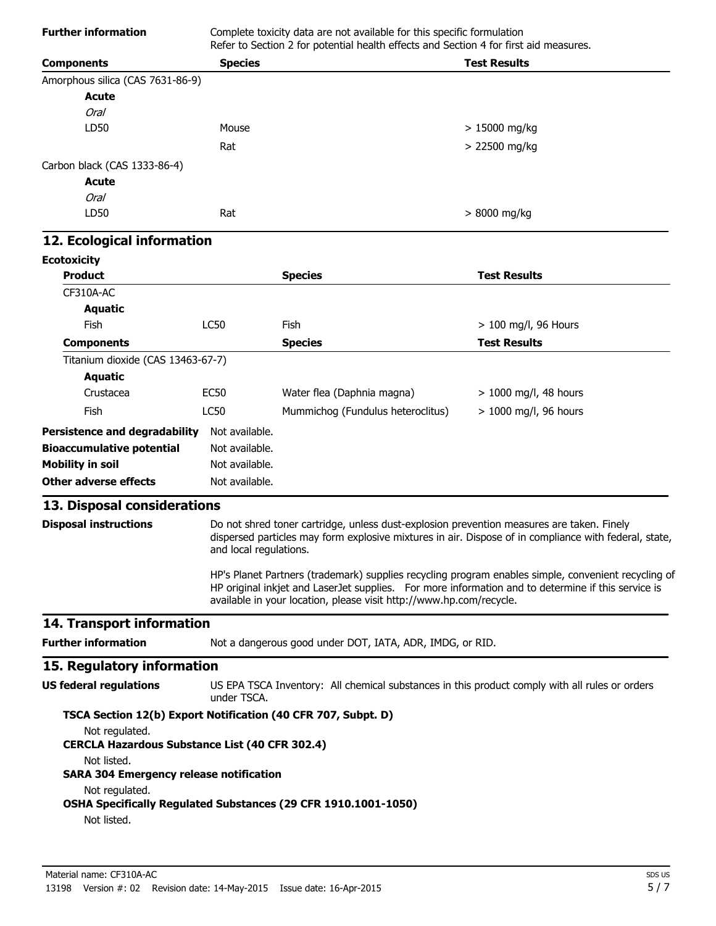| <b>Species</b><br>Mouse<br>Rat<br>Rat                                                                                                                                                                                                                                            |                                                | <b>Test Results</b><br>> 15000 mg/kg<br>> 22500 mg/kg<br>$>8000$ mg/kg                                                                                                                                                                                                          |
|----------------------------------------------------------------------------------------------------------------------------------------------------------------------------------------------------------------------------------------------------------------------------------|------------------------------------------------|---------------------------------------------------------------------------------------------------------------------------------------------------------------------------------------------------------------------------------------------------------------------------------|
|                                                                                                                                                                                                                                                                                  |                                                |                                                                                                                                                                                                                                                                                 |
|                                                                                                                                                                                                                                                                                  |                                                |                                                                                                                                                                                                                                                                                 |
|                                                                                                                                                                                                                                                                                  |                                                |                                                                                                                                                                                                                                                                                 |
|                                                                                                                                                                                                                                                                                  |                                                |                                                                                                                                                                                                                                                                                 |
|                                                                                                                                                                                                                                                                                  |                                                |                                                                                                                                                                                                                                                                                 |
|                                                                                                                                                                                                                                                                                  |                                                |                                                                                                                                                                                                                                                                                 |
|                                                                                                                                                                                                                                                                                  |                                                |                                                                                                                                                                                                                                                                                 |
|                                                                                                                                                                                                                                                                                  |                                                |                                                                                                                                                                                                                                                                                 |
|                                                                                                                                                                                                                                                                                  |                                                |                                                                                                                                                                                                                                                                                 |
|                                                                                                                                                                                                                                                                                  |                                                |                                                                                                                                                                                                                                                                                 |
|                                                                                                                                                                                                                                                                                  |                                                |                                                                                                                                                                                                                                                                                 |
|                                                                                                                                                                                                                                                                                  |                                                |                                                                                                                                                                                                                                                                                 |
| <b>Species</b>                                                                                                                                                                                                                                                                   |                                                | <b>Test Results</b>                                                                                                                                                                                                                                                             |
|                                                                                                                                                                                                                                                                                  |                                                |                                                                                                                                                                                                                                                                                 |
|                                                                                                                                                                                                                                                                                  |                                                |                                                                                                                                                                                                                                                                                 |
| <b>LC50</b><br>Fish                                                                                                                                                                                                                                                              |                                                | $> 100$ mg/l, 96 Hours                                                                                                                                                                                                                                                          |
| <b>Species</b>                                                                                                                                                                                                                                                                   |                                                | <b>Test Results</b>                                                                                                                                                                                                                                                             |
| Titanium dioxide (CAS 13463-67-7)                                                                                                                                                                                                                                                |                                                |                                                                                                                                                                                                                                                                                 |
| EC <sub>50</sub>                                                                                                                                                                                                                                                                 | Water flea (Daphnia magna)                     | $> 1000$ mg/l, 48 hours                                                                                                                                                                                                                                                         |
| LC50                                                                                                                                                                                                                                                                             | Mummichog (Fundulus heteroclitus)              | $> 1000$ mg/l, 96 hours                                                                                                                                                                                                                                                         |
| Not available.                                                                                                                                                                                                                                                                   |                                                |                                                                                                                                                                                                                                                                                 |
| Not available.                                                                                                                                                                                                                                                                   |                                                |                                                                                                                                                                                                                                                                                 |
| Not available.                                                                                                                                                                                                                                                                   |                                                |                                                                                                                                                                                                                                                                                 |
| Not available.                                                                                                                                                                                                                                                                   |                                                |                                                                                                                                                                                                                                                                                 |
| 13. Disposal considerations                                                                                                                                                                                                                                                      |                                                |                                                                                                                                                                                                                                                                                 |
|                                                                                                                                                                                                                                                                                  |                                                |                                                                                                                                                                                                                                                                                 |
| dispersed particles may form explosive mixtures in air. Dispose of in compliance with federal, state,<br>and local regulations.                                                                                                                                                  |                                                |                                                                                                                                                                                                                                                                                 |
| HP's Planet Partners (trademark) supplies recycling program enables simple, convenient recycling of<br>HP original inkjet and LaserJet supplies. For more information and to determine if this service is<br>available in your location, please visit http://www.hp.com/recycle. |                                                |                                                                                                                                                                                                                                                                                 |
|                                                                                                                                                                                                                                                                                  |                                                |                                                                                                                                                                                                                                                                                 |
|                                                                                                                                                                                                                                                                                  |                                                |                                                                                                                                                                                                                                                                                 |
|                                                                                                                                                                                                                                                                                  |                                                |                                                                                                                                                                                                                                                                                 |
| US EPA TSCA Inventory: All chemical substances in this product comply with all rules or orders<br>under TSCA.                                                                                                                                                                    |                                                |                                                                                                                                                                                                                                                                                 |
|                                                                                                                                                                                                                                                                                  |                                                |                                                                                                                                                                                                                                                                                 |
|                                                                                                                                                                                                                                                                                  | <b>SARA 304 Emergency release notification</b> | Do not shred toner cartridge, unless dust-explosion prevention measures are taken. Finely<br>Not a dangerous good under DOT, IATA, ADR, IMDG, or RID.<br>TSCA Section 12(b) Export Notification (40 CFR 707, Subpt. D)<br><b>CERCLA Hazardous Substance List (40 CFR 302.4)</b> |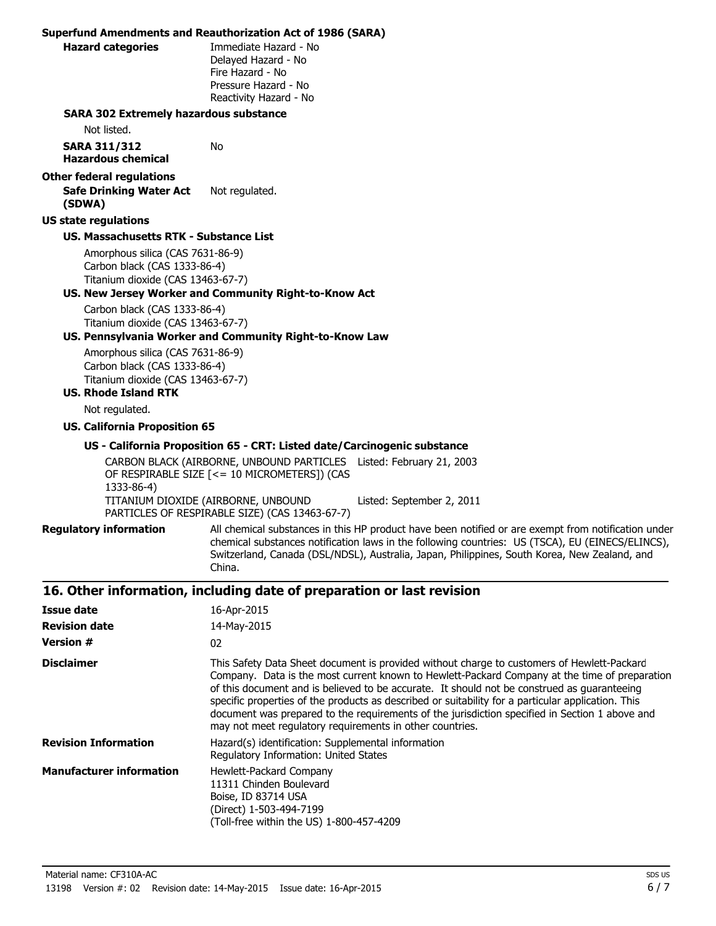|                                                                  | <b>Superfund Amendments and Reauthorization Act of 1986 (SARA)</b>                                                                                                                                                                                                                                                                                                                                                                                                                                                                                             |  |  |  |
|------------------------------------------------------------------|----------------------------------------------------------------------------------------------------------------------------------------------------------------------------------------------------------------------------------------------------------------------------------------------------------------------------------------------------------------------------------------------------------------------------------------------------------------------------------------------------------------------------------------------------------------|--|--|--|
| <b>Hazard categories</b>                                         | Immediate Hazard - No                                                                                                                                                                                                                                                                                                                                                                                                                                                                                                                                          |  |  |  |
|                                                                  | Delayed Hazard - No<br>Fire Hazard - No                                                                                                                                                                                                                                                                                                                                                                                                                                                                                                                        |  |  |  |
|                                                                  | Pressure Hazard - No                                                                                                                                                                                                                                                                                                                                                                                                                                                                                                                                           |  |  |  |
|                                                                  | Reactivity Hazard - No                                                                                                                                                                                                                                                                                                                                                                                                                                                                                                                                         |  |  |  |
| <b>SARA 302 Extremely hazardous substance</b>                    |                                                                                                                                                                                                                                                                                                                                                                                                                                                                                                                                                                |  |  |  |
| Not listed.                                                      |                                                                                                                                                                                                                                                                                                                                                                                                                                                                                                                                                                |  |  |  |
| <b>SARA 311/312</b><br><b>Hazardous chemical</b>                 | <b>No</b>                                                                                                                                                                                                                                                                                                                                                                                                                                                                                                                                                      |  |  |  |
| <b>Other federal regulations</b>                                 |                                                                                                                                                                                                                                                                                                                                                                                                                                                                                                                                                                |  |  |  |
| <b>Safe Drinking Water Act</b><br>(SDWA)                         | Not regulated.                                                                                                                                                                                                                                                                                                                                                                                                                                                                                                                                                 |  |  |  |
| <b>US state regulations</b>                                      |                                                                                                                                                                                                                                                                                                                                                                                                                                                                                                                                                                |  |  |  |
| <b>US. Massachusetts RTK - Substance List</b>                    |                                                                                                                                                                                                                                                                                                                                                                                                                                                                                                                                                                |  |  |  |
| Amorphous silica (CAS 7631-86-9)<br>Carbon black (CAS 1333-86-4) |                                                                                                                                                                                                                                                                                                                                                                                                                                                                                                                                                                |  |  |  |
| Titanium dioxide (CAS 13463-67-7)                                | US. New Jersey Worker and Community Right-to-Know Act                                                                                                                                                                                                                                                                                                                                                                                                                                                                                                          |  |  |  |
| Carbon black (CAS 1333-86-4)                                     |                                                                                                                                                                                                                                                                                                                                                                                                                                                                                                                                                                |  |  |  |
| Titanium dioxide (CAS 13463-67-7)                                |                                                                                                                                                                                                                                                                                                                                                                                                                                                                                                                                                                |  |  |  |
|                                                                  | US. Pennsylvania Worker and Community Right-to-Know Law                                                                                                                                                                                                                                                                                                                                                                                                                                                                                                        |  |  |  |
| Amorphous silica (CAS 7631-86-9)                                 |                                                                                                                                                                                                                                                                                                                                                                                                                                                                                                                                                                |  |  |  |
| Carbon black (CAS 1333-86-4)                                     |                                                                                                                                                                                                                                                                                                                                                                                                                                                                                                                                                                |  |  |  |
| Titanium dioxide (CAS 13463-67-7)<br><b>US. Rhode Island RTK</b> |                                                                                                                                                                                                                                                                                                                                                                                                                                                                                                                                                                |  |  |  |
| Not regulated.                                                   |                                                                                                                                                                                                                                                                                                                                                                                                                                                                                                                                                                |  |  |  |
|                                                                  |                                                                                                                                                                                                                                                                                                                                                                                                                                                                                                                                                                |  |  |  |
| <b>US. California Proposition 65</b>                             |                                                                                                                                                                                                                                                                                                                                                                                                                                                                                                                                                                |  |  |  |
|                                                                  | US - California Proposition 65 - CRT: Listed date/Carcinogenic substance                                                                                                                                                                                                                                                                                                                                                                                                                                                                                       |  |  |  |
| 1333-86-4)                                                       | CARBON BLACK (AIRBORNE, UNBOUND PARTICLES Listed: February 21, 2003<br>OF RESPIRABLE SIZE [<= 10 MICROMETERS]) (CAS                                                                                                                                                                                                                                                                                                                                                                                                                                            |  |  |  |
|                                                                  | TITANIUM DIOXIDE (AIRBORNE, UNBOUND<br>Listed: September 2, 2011<br>PARTICLES OF RESPIRABLE SIZE) (CAS 13463-67-7)                                                                                                                                                                                                                                                                                                                                                                                                                                             |  |  |  |
| <b>Regulatory information</b>                                    | All chemical substances in this HP product have been notified or are exempt from notification under<br>chemical substances notification laws in the following countries: US (TSCA), EU (EINECS/ELINCS),<br>Switzerland, Canada (DSL/NDSL), Australia, Japan, Philippines, South Korea, New Zealand, and<br>China.                                                                                                                                                                                                                                              |  |  |  |
|                                                                  | 16. Other information, including date of preparation or last revision                                                                                                                                                                                                                                                                                                                                                                                                                                                                                          |  |  |  |
| <b>Issue date</b>                                                | 16-Apr-2015                                                                                                                                                                                                                                                                                                                                                                                                                                                                                                                                                    |  |  |  |
| <b>Revision date</b>                                             | 14-May-2015                                                                                                                                                                                                                                                                                                                                                                                                                                                                                                                                                    |  |  |  |
| <b>Version #</b>                                                 | 02                                                                                                                                                                                                                                                                                                                                                                                                                                                                                                                                                             |  |  |  |
| <b>Disclaimer</b>                                                | This Safety Data Sheet document is provided without charge to customers of Hewlett-Packard<br>Company. Data is the most current known to Hewlett-Packard Company at the time of preparation<br>of this document and is believed to be accurate. It should not be construed as guaranteeing<br>specific properties of the products as described or suitability for a particular application. This<br>document was prepared to the requirements of the jurisdiction specified in Section 1 above and<br>may not meet regulatory requirements in other countries. |  |  |  |
| <b>Revision Information</b>                                      | Hazard(s) identification: Supplemental information<br>Regulatory Information: United States                                                                                                                                                                                                                                                                                                                                                                                                                                                                    |  |  |  |
| <b>Manufacturer information</b>                                  | Hewlett-Packard Company                                                                                                                                                                                                                                                                                                                                                                                                                                                                                                                                        |  |  |  |

11311 Chinden Boulevard Boise, ID 83714 USA (Direct) 1-503-494-7199

(Toll-free within the US) 1-800-457-4209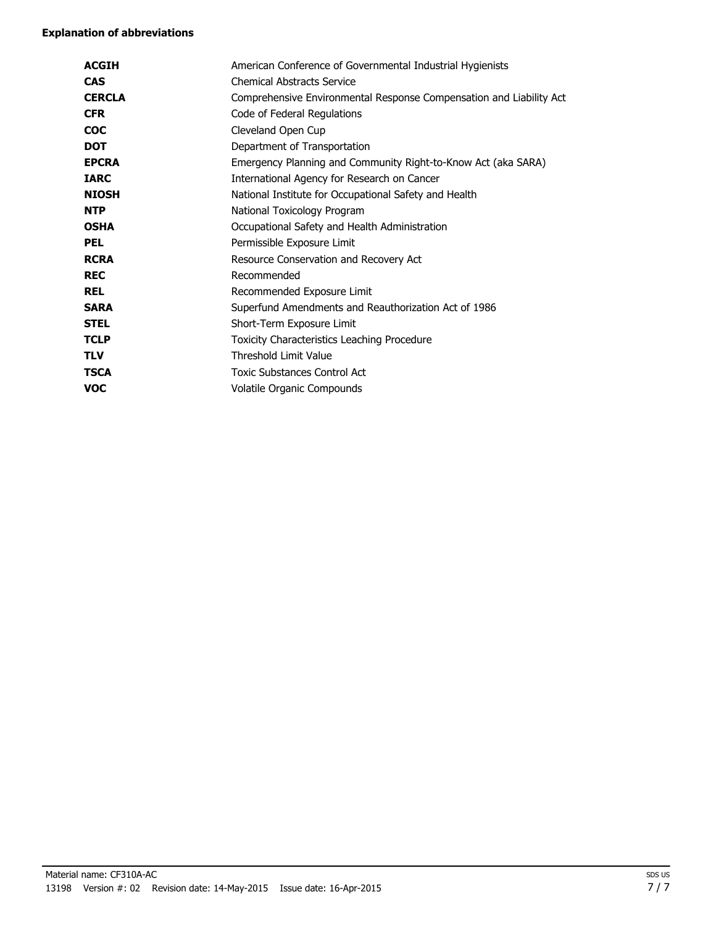#### **Explanation of abbreviations**

| <b>ACGIH</b>  | American Conference of Governmental Industrial Hygienists           |
|---------------|---------------------------------------------------------------------|
| <b>CAS</b>    | <b>Chemical Abstracts Service</b>                                   |
| <b>CERCLA</b> | Comprehensive Environmental Response Compensation and Liability Act |
| <b>CFR</b>    | Code of Federal Regulations                                         |
| <b>COC</b>    | Cleveland Open Cup                                                  |
| <b>DOT</b>    | Department of Transportation                                        |
| <b>EPCRA</b>  | Emergency Planning and Community Right-to-Know Act (aka SARA)       |
| <b>IARC</b>   | International Agency for Research on Cancer                         |
| <b>NIOSH</b>  | National Institute for Occupational Safety and Health               |
| <b>NTP</b>    | National Toxicology Program                                         |
| <b>OSHA</b>   | Occupational Safety and Health Administration                       |
| <b>PEL</b>    | Permissible Exposure Limit                                          |
| <b>RCRA</b>   | Resource Conservation and Recovery Act                              |
| <b>REC</b>    | Recommended                                                         |
| <b>REL</b>    | Recommended Exposure Limit                                          |
| <b>SARA</b>   | Superfund Amendments and Reauthorization Act of 1986                |
| <b>STEL</b>   | Short-Term Exposure Limit                                           |
| <b>TCLP</b>   | Toxicity Characteristics Leaching Procedure                         |
| <b>TLV</b>    | Threshold Limit Value                                               |
| <b>TSCA</b>   | <b>Toxic Substances Control Act</b>                                 |
| VOC           | Volatile Organic Compounds                                          |
|               |                                                                     |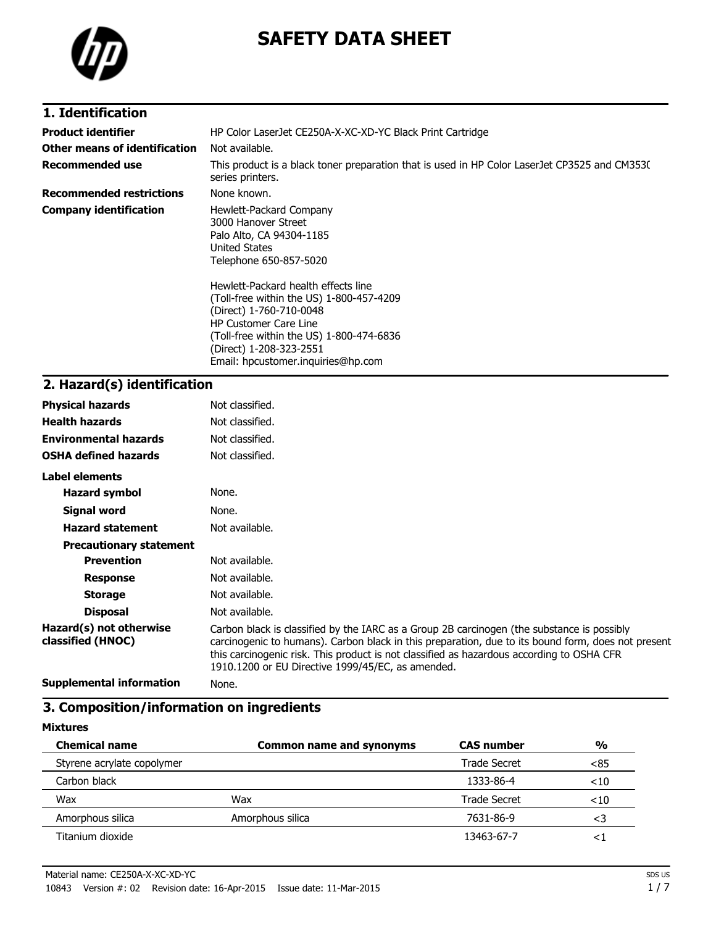

# **SAFETY DATA SHEET**

# **1. Identification**

| <b>Product identifier</b><br>Other means of identification<br><b>Recommended use</b> | HP Color LaserJet CE250A-X-XC-XD-YC Black Print Cartridge<br>Not available.<br>This product is a black toner preparation that is used in HP Color LaserJet CP3525 and CM3530<br>series printers.                                                                                                                                                                                 |
|--------------------------------------------------------------------------------------|----------------------------------------------------------------------------------------------------------------------------------------------------------------------------------------------------------------------------------------------------------------------------------------------------------------------------------------------------------------------------------|
| <b>Recommended restrictions</b>                                                      | None known.                                                                                                                                                                                                                                                                                                                                                                      |
| Company identification                                                               | Hewlett-Packard Company<br>3000 Hanover Street<br>Palo Alto, CA 94304-1185<br>United States<br>Telephone 650-857-5020<br>Hewlett-Packard health effects line<br>(Toll-free within the US) 1-800-457-4209<br>(Direct) 1-760-710-0048<br><b>HP Customer Care Line</b><br>(Toll-free within the US) 1-800-474-6836<br>(Direct) 1-208-323-2551<br>Email: hpcustomer.inquiries@hp.com |

# **2. Hazard(s) identification**

| <b>Physical hazards</b>                      | Not classified.                                                                                                                                                                                                                                                                                                                                    |
|----------------------------------------------|----------------------------------------------------------------------------------------------------------------------------------------------------------------------------------------------------------------------------------------------------------------------------------------------------------------------------------------------------|
| <b>Health hazards</b>                        | Not classified.                                                                                                                                                                                                                                                                                                                                    |
| <b>Environmental hazards</b>                 | Not classified.                                                                                                                                                                                                                                                                                                                                    |
| <b>OSHA defined hazards</b>                  | Not classified.                                                                                                                                                                                                                                                                                                                                    |
| <b>Label elements</b>                        |                                                                                                                                                                                                                                                                                                                                                    |
| <b>Hazard symbol</b>                         | None.                                                                                                                                                                                                                                                                                                                                              |
| Signal word                                  | None.                                                                                                                                                                                                                                                                                                                                              |
| <b>Hazard statement</b>                      | Not available.                                                                                                                                                                                                                                                                                                                                     |
| <b>Precautionary statement</b>               |                                                                                                                                                                                                                                                                                                                                                    |
| <b>Prevention</b>                            | Not available.                                                                                                                                                                                                                                                                                                                                     |
| <b>Response</b>                              | Not available.                                                                                                                                                                                                                                                                                                                                     |
| <b>Storage</b>                               | Not available.                                                                                                                                                                                                                                                                                                                                     |
| <b>Disposal</b>                              | Not available.                                                                                                                                                                                                                                                                                                                                     |
| Hazard(s) not otherwise<br>classified (HNOC) | Carbon black is classified by the IARC as a Group 2B carcinogen (the substance is possibly<br>carcinogenic to humans). Carbon black in this preparation, due to its bound form, does not present<br>this carcinogenic risk. This product is not classified as hazardous according to OSHA CFR<br>1910.1200 or EU Directive 1999/45/EC, as amended. |
| <b>Supplemental information</b>              | None.                                                                                                                                                                                                                                                                                                                                              |

### **3. Composition/information on ingredients**

**Mixtures**

| <b>Chemical name</b>       | <b>Common name and synonyms</b> | <b>CAS number</b>   | $\frac{0}{0}$ |
|----------------------------|---------------------------------|---------------------|---------------|
| Styrene acrylate copolymer |                                 | <b>Trade Secret</b> | < 85          |
| Carbon black               |                                 | 1333-86-4           | $<$ 10        |
| Wax                        | Wax                             | <b>Trade Secret</b> | < 10          |
| Amorphous silica           | Amorphous silica                | 7631-86-9           | ≺3            |
| Titanium dioxide           |                                 | 13463-67-7          | $\leq$        |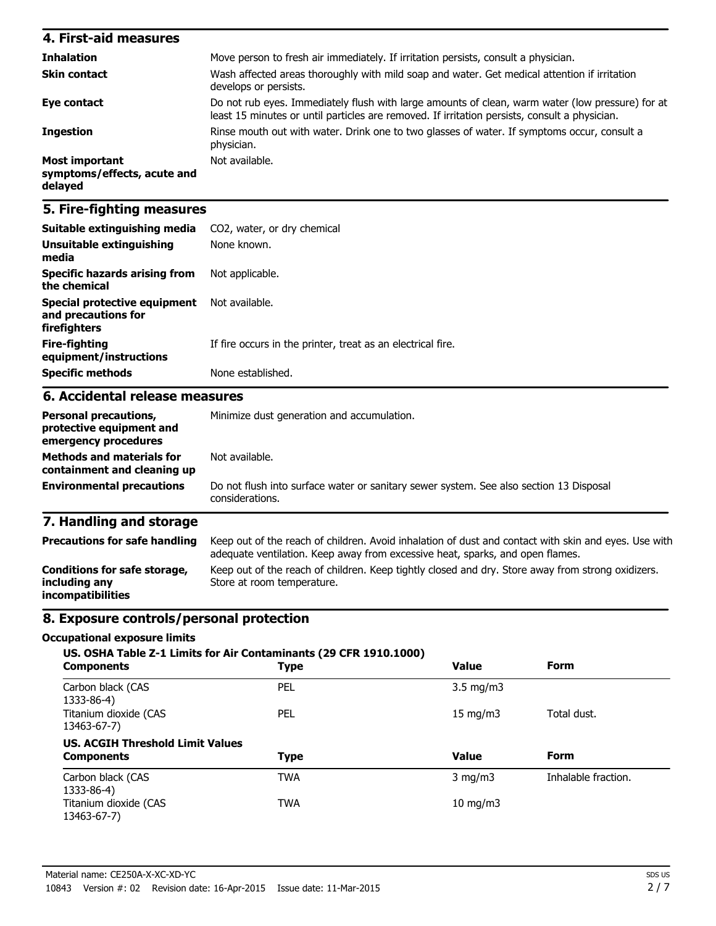| 4. First-aid measures                                    |                                                                                                                                                                                                   |
|----------------------------------------------------------|---------------------------------------------------------------------------------------------------------------------------------------------------------------------------------------------------|
| <b>Inhalation</b>                                        | Move person to fresh air immediately. If irritation persists, consult a physician.                                                                                                                |
| <b>Skin contact</b>                                      | Wash affected areas thoroughly with mild soap and water. Get medical attention if irritation<br>develops or persists.                                                                             |
| Eye contact                                              | Do not rub eyes. Immediately flush with large amounts of clean, warm water (low pressure) for at<br>least 15 minutes or until particles are removed. If irritation persists, consult a physician. |
| <b>Ingestion</b>                                         | Rinse mouth out with water. Drink one to two glasses of water. If symptoms occur, consult a<br>physician.                                                                                         |
| Most important<br>symptoms/effects, acute and<br>delayed | Not available.                                                                                                                                                                                    |

## **5. Fire-fighting measures**

| Suitable extinguishing media                                                     | CO2, water, or dry chemical<br>None known.                                                                                                                                            |  |  |  |
|----------------------------------------------------------------------------------|---------------------------------------------------------------------------------------------------------------------------------------------------------------------------------------|--|--|--|
| Unsuitable extinguishing<br>media                                                |                                                                                                                                                                                       |  |  |  |
| <b>Specific hazards arising from</b><br>the chemical                             | Not applicable.                                                                                                                                                                       |  |  |  |
| <b>Special protective equipment</b><br>and precautions for<br>firefighters       | Not available.                                                                                                                                                                        |  |  |  |
| <b>Fire-fighting</b><br>equipment/instructions                                   | If fire occurs in the printer, treat as an electrical fire.                                                                                                                           |  |  |  |
| <b>Specific methods</b>                                                          | None established.                                                                                                                                                                     |  |  |  |
| 6. Accidental release measures                                                   |                                                                                                                                                                                       |  |  |  |
| <b>Personal precautions,</b><br>protective equipment and<br>emergency procedures | Minimize dust generation and accumulation.                                                                                                                                            |  |  |  |
| <b>Methods and materials for</b><br>containment and cleaning up                  | Not available.                                                                                                                                                                        |  |  |  |
| <b>Environmental precautions</b>                                                 | Do not flush into surface water or sanitary sewer system. See also section 13 Disposal<br>considerations.                                                                             |  |  |  |
| 7. Handling and storage                                                          |                                                                                                                                                                                       |  |  |  |
| <b>Precautions for safe handling</b>                                             | Keep out of the reach of children. Avoid inhalation of dust and contact with skin and eyes. Use with<br>adequate ventilation. Keep away from excessive heat, sparks, and open flames. |  |  |  |
| <b>Conditions for safe storage,</b>                                              | Keep out of the reach of children. Keep tightly closed and dry. Store away from strong oxidizers.                                                                                     |  |  |  |

## **8. Exposure controls/personal protection**

Store at room temperature.

#### **Occupational exposure limits**

**including any incompatibilities**

| US. OSHA Table Z-1 Limits for Air Contaminants (29 CFR 1910.1000)<br><b>Form</b><br><b>Value</b><br><b>Type</b><br><b>Components</b> |            |                    |                     |  |
|--------------------------------------------------------------------------------------------------------------------------------------|------------|--------------------|---------------------|--|
| Carbon black (CAS<br>1333-86-4)                                                                                                      | PEL        | $3.5 \text{ mg/m}$ |                     |  |
| Titanium dioxide (CAS<br>13463-67-7)                                                                                                 | PEL        | 15 mg/m $3$        | Total dust.         |  |
| <b>US. ACGIH Threshold Limit Values</b>                                                                                              |            |                    |                     |  |
| <b>Components</b>                                                                                                                    | Type       | Value              | <b>Form</b>         |  |
| Carbon black (CAS<br>1333-86-4)                                                                                                      | <b>TWA</b> | $3 \text{ mg/m}$   | Inhalable fraction. |  |
| Titanium dioxide (CAS<br>13463-67-7)                                                                                                 | <b>TWA</b> | $10$ mg/m $3$      |                     |  |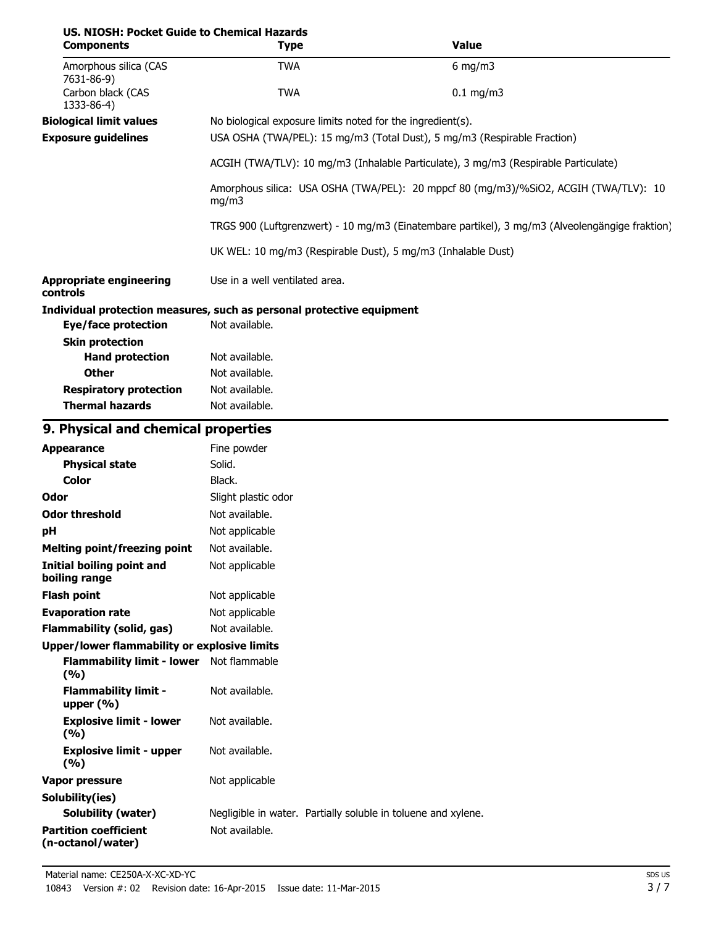| US. NIOSH: Pocket Guide to Chemical Hazards<br><b>Components</b>      | <b>Type</b>                                                                                    |                                                               | <b>Value</b>                                                                        |  |  |
|-----------------------------------------------------------------------|------------------------------------------------------------------------------------------------|---------------------------------------------------------------|-------------------------------------------------------------------------------------|--|--|
| Amorphous silica (CAS<br>7631-86-9)                                   | <b>TWA</b>                                                                                     |                                                               | 6 mg/m $3$                                                                          |  |  |
| Carbon black (CAS<br>1333-86-4)                                       | <b>TWA</b>                                                                                     |                                                               | $0.1$ mg/m3                                                                         |  |  |
| <b>Biological limit values</b>                                        |                                                                                                | No biological exposure limits noted for the ingredient(s).    |                                                                                     |  |  |
| <b>Exposure guidelines</b>                                            | USA OSHA (TWA/PEL): 15 mg/m3 (Total Dust), 5 mg/m3 (Respirable Fraction)                       |                                                               |                                                                                     |  |  |
|                                                                       |                                                                                                |                                                               | ACGIH (TWA/TLV): 10 mg/m3 (Inhalable Particulate), 3 mg/m3 (Respirable Particulate) |  |  |
|                                                                       | Amorphous silica: USA OSHA (TWA/PEL): 20 mppcf 80 (mg/m3)/%SiO2, ACGIH (TWA/TLV): 10<br>mg/m3  |                                                               |                                                                                     |  |  |
|                                                                       | TRGS 900 (Luftgrenzwert) - 10 mg/m3 (Einatembare partikel), 3 mg/m3 (Alveolengängige fraktion) |                                                               |                                                                                     |  |  |
|                                                                       |                                                                                                | UK WEL: 10 mg/m3 (Respirable Dust), 5 mg/m3 (Inhalable Dust)  |                                                                                     |  |  |
| <b>Appropriate engineering</b><br>controls                            | Use in a well ventilated area.                                                                 |                                                               |                                                                                     |  |  |
| Individual protection measures, such as personal protective equipment |                                                                                                |                                                               |                                                                                     |  |  |
| Eye/face protection                                                   | Not available.                                                                                 |                                                               |                                                                                     |  |  |
| <b>Skin protection</b>                                                |                                                                                                |                                                               |                                                                                     |  |  |
| <b>Hand protection</b>                                                | Not available.                                                                                 |                                                               |                                                                                     |  |  |
| <b>Other</b>                                                          |                                                                                                | Not available.                                                |                                                                                     |  |  |
| <b>Respiratory protection</b>                                         | Not available.                                                                                 |                                                               |                                                                                     |  |  |
| <b>Thermal hazards</b>                                                | Not available.                                                                                 |                                                               |                                                                                     |  |  |
| 9. Physical and chemical properties                                   |                                                                                                |                                                               |                                                                                     |  |  |
| <b>Appearance</b>                                                     | Fine powder                                                                                    |                                                               |                                                                                     |  |  |
| <b>Physical state</b>                                                 | Solid.                                                                                         |                                                               |                                                                                     |  |  |
| <b>Color</b>                                                          | Black.                                                                                         |                                                               |                                                                                     |  |  |
| Odor                                                                  | Slight plastic odor                                                                            |                                                               |                                                                                     |  |  |
| <b>Odor threshold</b>                                                 | Not available.                                                                                 |                                                               |                                                                                     |  |  |
| pH                                                                    | Not applicable                                                                                 |                                                               |                                                                                     |  |  |
| <b>Melting point/freezing point</b>                                   | Not available.                                                                                 |                                                               |                                                                                     |  |  |
| <b>Initial boiling point and</b><br>boiling range                     | Not applicable                                                                                 |                                                               |                                                                                     |  |  |
| <b>Flash point</b>                                                    | Not applicable                                                                                 |                                                               |                                                                                     |  |  |
| <b>Evaporation rate</b>                                               | Not applicable                                                                                 |                                                               |                                                                                     |  |  |
| <b>Flammability (solid, gas)</b>                                      | Not available.                                                                                 |                                                               |                                                                                     |  |  |
| Upper/lower flammability or explosive limits                          |                                                                                                |                                                               |                                                                                     |  |  |
| Flammability limit - lower Not flammable<br>(%)                       |                                                                                                |                                                               |                                                                                     |  |  |
| <b>Flammability limit -</b><br>upper $(% )$                           | Not available.                                                                                 |                                                               |                                                                                     |  |  |
| <b>Explosive limit - lower</b><br>(%)                                 | Not available.                                                                                 |                                                               |                                                                                     |  |  |
| <b>Explosive limit - upper</b><br>(%)                                 | Not available.                                                                                 |                                                               |                                                                                     |  |  |
| <b>Vapor pressure</b>                                                 | Not applicable                                                                                 |                                                               |                                                                                     |  |  |
| Solubility(ies)                                                       |                                                                                                |                                                               |                                                                                     |  |  |
| <b>Solubility (water)</b>                                             |                                                                                                | Negligible in water. Partially soluble in toluene and xylene. |                                                                                     |  |  |
| <b>Partition coefficient</b><br>(n-octanol/water)                     | Not available.                                                                                 |                                                               |                                                                                     |  |  |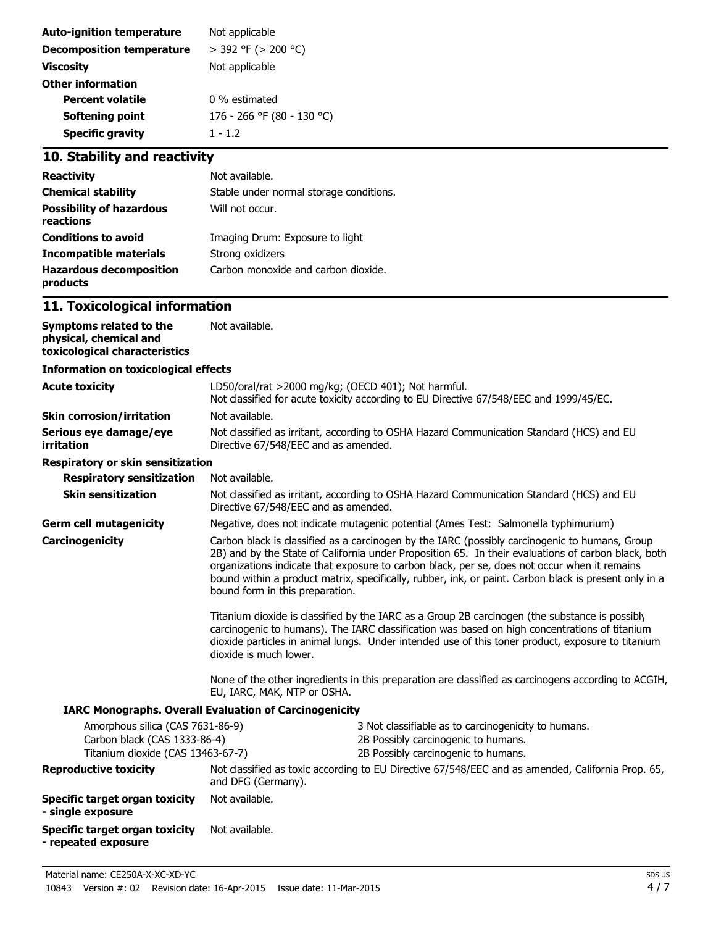| <b>Auto-ignition temperature</b> | Not applicable             |
|----------------------------------|----------------------------|
| <b>Decomposition temperature</b> | $>$ 392 °F ( $>$ 200 °C)   |
| <b>Viscosity</b>                 | Not applicable             |
| <b>Other information</b>         |                            |
| <b>Percent volatile</b>          | 0 % estimated              |
| Softening point                  | 176 - 266 °F (80 - 130 °C) |
| <b>Specific gravity</b>          | 1 - 1.2                    |

# **10. Stability and reactivity**

| <b>Reactivity</b>                            | Not available.                          |
|----------------------------------------------|-----------------------------------------|
| <b>Chemical stability</b>                    | Stable under normal storage conditions. |
| <b>Possibility of hazardous</b><br>reactions | Will not occur.                         |
| <b>Conditions to avoid</b>                   | Imaging Drum: Exposure to light         |
| Incompatible materials                       | Strong oxidizers                        |
| <b>Hazardous decomposition</b><br>products   | Carbon monoxide and carbon dioxide.     |

# **11. Toxicological information**

| Symptoms related to the<br>physical, chemical and<br>toxicological characteristics                    | Not available.                                                                                                                                                                                                                                                                                                                                                                                                                                                                                                                                                                                                                                                                                                                                                                                                                                                                             |                                                                                                                                   |  |
|-------------------------------------------------------------------------------------------------------|--------------------------------------------------------------------------------------------------------------------------------------------------------------------------------------------------------------------------------------------------------------------------------------------------------------------------------------------------------------------------------------------------------------------------------------------------------------------------------------------------------------------------------------------------------------------------------------------------------------------------------------------------------------------------------------------------------------------------------------------------------------------------------------------------------------------------------------------------------------------------------------------|-----------------------------------------------------------------------------------------------------------------------------------|--|
| <b>Information on toxicological effects</b>                                                           |                                                                                                                                                                                                                                                                                                                                                                                                                                                                                                                                                                                                                                                                                                                                                                                                                                                                                            |                                                                                                                                   |  |
| <b>Acute toxicity</b>                                                                                 | LD50/oral/rat >2000 mg/kg; (OECD 401); Not harmful.<br>Not classified for acute toxicity according to EU Directive 67/548/EEC and 1999/45/EC.                                                                                                                                                                                                                                                                                                                                                                                                                                                                                                                                                                                                                                                                                                                                              |                                                                                                                                   |  |
| <b>Skin corrosion/irritation</b>                                                                      | Not available.                                                                                                                                                                                                                                                                                                                                                                                                                                                                                                                                                                                                                                                                                                                                                                                                                                                                             |                                                                                                                                   |  |
| Serious eye damage/eye<br>irritation                                                                  | Directive 67/548/EEC and as amended.                                                                                                                                                                                                                                                                                                                                                                                                                                                                                                                                                                                                                                                                                                                                                                                                                                                       | Not classified as irritant, according to OSHA Hazard Communication Standard (HCS) and EU                                          |  |
| Respiratory or skin sensitization                                                                     |                                                                                                                                                                                                                                                                                                                                                                                                                                                                                                                                                                                                                                                                                                                                                                                                                                                                                            |                                                                                                                                   |  |
| <b>Respiratory sensitization</b>                                                                      | Not available.                                                                                                                                                                                                                                                                                                                                                                                                                                                                                                                                                                                                                                                                                                                                                                                                                                                                             |                                                                                                                                   |  |
| <b>Skin sensitization</b>                                                                             | Not classified as irritant, according to OSHA Hazard Communication Standard (HCS) and EU<br>Directive 67/548/EEC and as amended.                                                                                                                                                                                                                                                                                                                                                                                                                                                                                                                                                                                                                                                                                                                                                           |                                                                                                                                   |  |
| <b>Germ cell mutagenicity</b>                                                                         |                                                                                                                                                                                                                                                                                                                                                                                                                                                                                                                                                                                                                                                                                                                                                                                                                                                                                            | Negative, does not indicate mutagenic potential (Ames Test: Salmonella typhimurium)                                               |  |
| Carcinogenicity                                                                                       | Carbon black is classified as a carcinogen by the IARC (possibly carcinogenic to humans, Group<br>2B) and by the State of California under Proposition 65. In their evaluations of carbon black, both<br>organizations indicate that exposure to carbon black, per se, does not occur when it remains<br>bound within a product matrix, specifically, rubber, ink, or paint. Carbon black is present only in a<br>bound form in this preparation.<br>Titanium dioxide is classified by the IARC as a Group 2B carcinogen (the substance is possibly<br>carcinogenic to humans). The IARC classification was based on high concentrations of titanium<br>dioxide particles in animal lungs. Under intended use of this toner product, exposure to titanium<br>dioxide is much lower.<br>None of the other ingredients in this preparation are classified as carcinogens according to ACGIH, |                                                                                                                                   |  |
|                                                                                                       | EU, IARC, MAK, NTP or OSHA.                                                                                                                                                                                                                                                                                                                                                                                                                                                                                                                                                                                                                                                                                                                                                                                                                                                                |                                                                                                                                   |  |
| Amorphous silica (CAS 7631-86-9)<br>Carbon black (CAS 1333-86-4)<br>Titanium dioxide (CAS 13463-67-7) | <b>IARC Monographs. Overall Evaluation of Carcinogenicity</b>                                                                                                                                                                                                                                                                                                                                                                                                                                                                                                                                                                                                                                                                                                                                                                                                                              | 3 Not classifiable as to carcinogenicity to humans.<br>2B Possibly carcinogenic to humans.<br>2B Possibly carcinogenic to humans. |  |
| <b>Reproductive toxicity</b>                                                                          | Not classified as toxic according to EU Directive 67/548/EEC and as amended, California Prop. 65,<br>and DFG (Germany).                                                                                                                                                                                                                                                                                                                                                                                                                                                                                                                                                                                                                                                                                                                                                                    |                                                                                                                                   |  |
| Specific target organ toxicity<br>- single exposure                                                   | Not available.                                                                                                                                                                                                                                                                                                                                                                                                                                                                                                                                                                                                                                                                                                                                                                                                                                                                             |                                                                                                                                   |  |
| <b>Specific target organ toxicity</b><br>- repeated exposure                                          | Not available.                                                                                                                                                                                                                                                                                                                                                                                                                                                                                                                                                                                                                                                                                                                                                                                                                                                                             |                                                                                                                                   |  |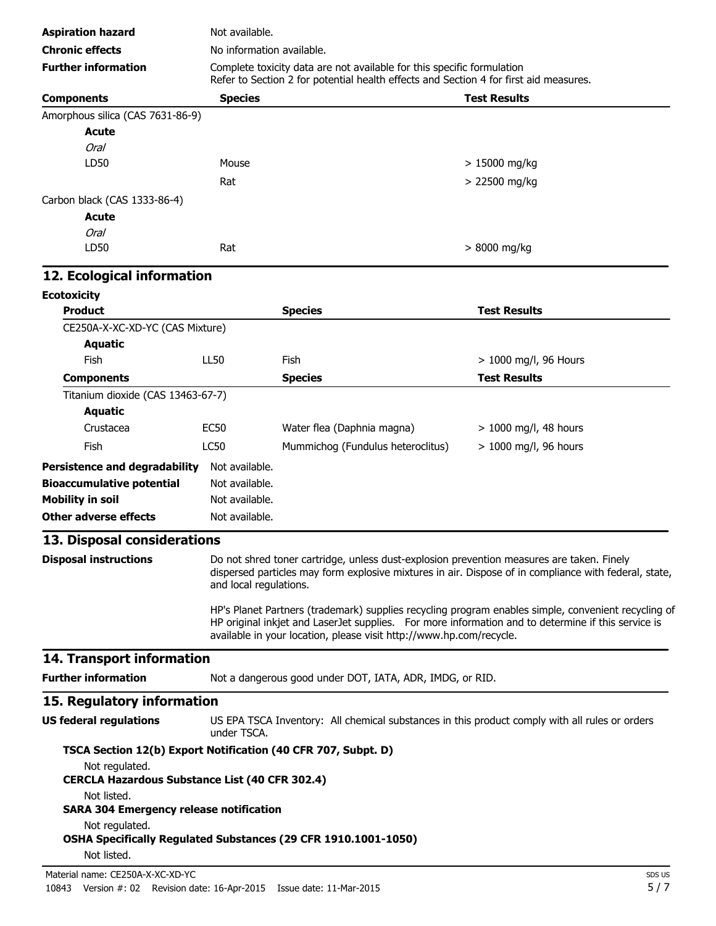| <b>Aspiration hazard</b>                                                | Not available.                                                                                                                                                                               |                                                                                           |                                                                                                                                                                                                           |
|-------------------------------------------------------------------------|----------------------------------------------------------------------------------------------------------------------------------------------------------------------------------------------|-------------------------------------------------------------------------------------------|-----------------------------------------------------------------------------------------------------------------------------------------------------------------------------------------------------------|
| <b>Chronic effects</b>                                                  | No information available.<br>Complete toxicity data are not available for this specific formulation<br>Refer to Section 2 for potential health effects and Section 4 for first aid measures. |                                                                                           |                                                                                                                                                                                                           |
| <b>Further information</b>                                              |                                                                                                                                                                                              |                                                                                           |                                                                                                                                                                                                           |
| <b>Components</b>                                                       | <b>Species</b>                                                                                                                                                                               |                                                                                           | <b>Test Results</b>                                                                                                                                                                                       |
| Amorphous silica (CAS 7631-86-9)                                        |                                                                                                                                                                                              |                                                                                           |                                                                                                                                                                                                           |
| <b>Acute</b>                                                            |                                                                                                                                                                                              |                                                                                           |                                                                                                                                                                                                           |
| <b>Oral</b>                                                             |                                                                                                                                                                                              |                                                                                           |                                                                                                                                                                                                           |
| LD50                                                                    | Mouse                                                                                                                                                                                        |                                                                                           | > 15000 mg/kg                                                                                                                                                                                             |
|                                                                         | Rat                                                                                                                                                                                          |                                                                                           | > 22500 mg/kg                                                                                                                                                                                             |
| Carbon black (CAS 1333-86-4)                                            |                                                                                                                                                                                              |                                                                                           |                                                                                                                                                                                                           |
| <b>Acute</b>                                                            |                                                                                                                                                                                              |                                                                                           |                                                                                                                                                                                                           |
| <b>Oral</b>                                                             |                                                                                                                                                                                              |                                                                                           |                                                                                                                                                                                                           |
| LD50                                                                    | Rat                                                                                                                                                                                          |                                                                                           | > 8000 mg/kg                                                                                                                                                                                              |
| 12. Ecological information                                              |                                                                                                                                                                                              |                                                                                           |                                                                                                                                                                                                           |
| <b>Ecotoxicity</b>                                                      |                                                                                                                                                                                              |                                                                                           |                                                                                                                                                                                                           |
| <b>Product</b>                                                          |                                                                                                                                                                                              | <b>Species</b>                                                                            | <b>Test Results</b>                                                                                                                                                                                       |
| CE250A-X-XC-XD-YC (CAS Mixture)                                         |                                                                                                                                                                                              |                                                                                           |                                                                                                                                                                                                           |
| <b>Aquatic</b>                                                          |                                                                                                                                                                                              |                                                                                           |                                                                                                                                                                                                           |
| Fish                                                                    | <b>LL50</b>                                                                                                                                                                                  | Fish                                                                                      | > 1000 mg/l, 96 Hours                                                                                                                                                                                     |
| <b>Components</b>                                                       |                                                                                                                                                                                              | <b>Species</b>                                                                            | <b>Test Results</b>                                                                                                                                                                                       |
| Titanium dioxide (CAS 13463-67-7)<br><b>Aquatic</b>                     |                                                                                                                                                                                              |                                                                                           |                                                                                                                                                                                                           |
| Crustacea                                                               | <b>EC50</b>                                                                                                                                                                                  | Water flea (Daphnia magna)                                                                | $> 1000$ mg/l, 48 hours                                                                                                                                                                                   |
| Fish                                                                    | <b>LC50</b>                                                                                                                                                                                  | Mummichog (Fundulus heteroclitus)                                                         | $> 1000$ mg/l, 96 hours                                                                                                                                                                                   |
| <b>Persistence and degradability</b>                                    | Not available.                                                                                                                                                                               |                                                                                           |                                                                                                                                                                                                           |
| <b>Bioaccumulative potential</b>                                        | Not available.                                                                                                                                                                               |                                                                                           |                                                                                                                                                                                                           |
| <b>Mobility in soil</b>                                                 | Not available.                                                                                                                                                                               |                                                                                           |                                                                                                                                                                                                           |
| <b>Other adverse effects</b>                                            | Not available.                                                                                                                                                                               |                                                                                           |                                                                                                                                                                                                           |
| 13. Disposal considerations                                             |                                                                                                                                                                                              |                                                                                           |                                                                                                                                                                                                           |
| <b>Disposal instructions</b>                                            | and local regulations.                                                                                                                                                                       | Do not shred toner cartridge, unless dust-explosion prevention measures are taken. Finely | dispersed particles may form explosive mixtures in air. Dispose of in compliance with federal, state,                                                                                                     |
|                                                                         |                                                                                                                                                                                              | available in your location, please visit http://www.hp.com/recycle.                       | HP's Planet Partners (trademark) supplies recycling program enables simple, convenient recycling of<br>HP original inkjet and LaserJet supplies. For more information and to determine if this service is |
| 14. Transport information                                               |                                                                                                                                                                                              |                                                                                           |                                                                                                                                                                                                           |
| <b>Further information</b>                                              |                                                                                                                                                                                              | Not a dangerous good under DOT, IATA, ADR, IMDG, or RID.                                  |                                                                                                                                                                                                           |
| 15. Regulatory information                                              |                                                                                                                                                                                              |                                                                                           |                                                                                                                                                                                                           |
| <b>US federal regulations</b>                                           | under TSCA.                                                                                                                                                                                  |                                                                                           | US EPA TSCA Inventory: All chemical substances in this product comply with all rules or orders                                                                                                            |
| TSCA Section 12(b) Export Notification (40 CFR 707, Subpt. D)           |                                                                                                                                                                                              |                                                                                           |                                                                                                                                                                                                           |
| Not regulated.<br><b>CERCLA Hazardous Substance List (40 CFR 302.4)</b> |                                                                                                                                                                                              |                                                                                           |                                                                                                                                                                                                           |
| Not listed.                                                             |                                                                                                                                                                                              |                                                                                           |                                                                                                                                                                                                           |
| <b>SARA 304 Emergency release notification</b>                          |                                                                                                                                                                                              |                                                                                           |                                                                                                                                                                                                           |
| Not regulated.<br>Not listed.                                           |                                                                                                                                                                                              | OSHA Specifically Regulated Substances (29 CFR 1910.1001-1050)                            |                                                                                                                                                                                                           |
|                                                                         |                                                                                                                                                                                              |                                                                                           |                                                                                                                                                                                                           |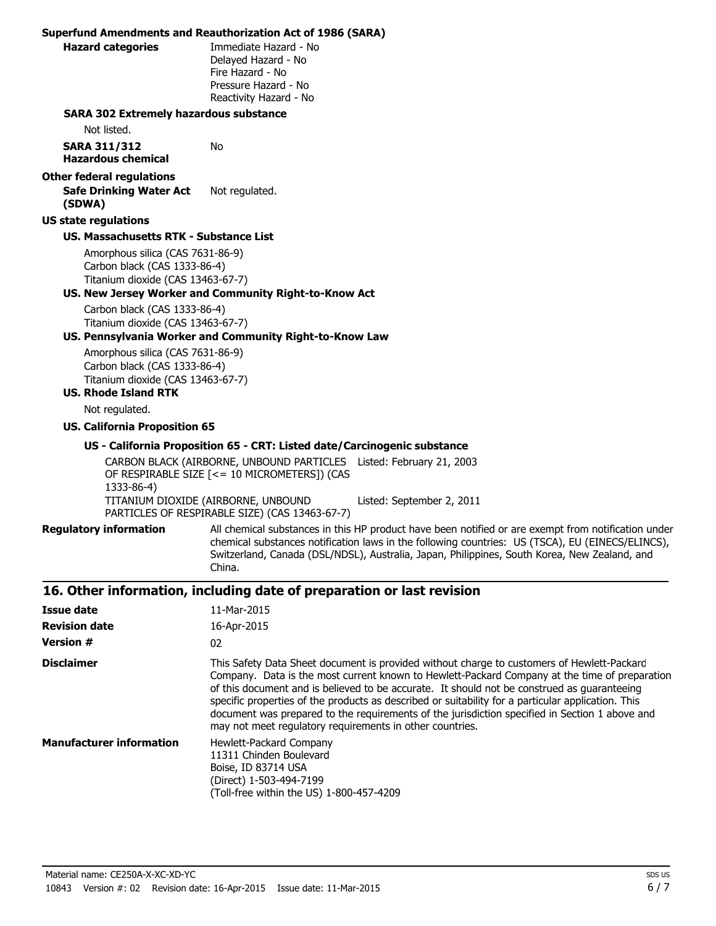| <b>Hazard categories</b>                                                                                                             | <b>Superfund Amendments and Reauthorization Act of 1986 (SARA)</b><br>Immediate Hazard - No<br>Delayed Hazard - No<br>Fire Hazard - No<br>Pressure Hazard - No<br>Reactivity Hazard - No                                                                                                                                                                                                                                                                                                                                                                       |
|--------------------------------------------------------------------------------------------------------------------------------------|----------------------------------------------------------------------------------------------------------------------------------------------------------------------------------------------------------------------------------------------------------------------------------------------------------------------------------------------------------------------------------------------------------------------------------------------------------------------------------------------------------------------------------------------------------------|
| <b>SARA 302 Extremely hazardous substance</b>                                                                                        |                                                                                                                                                                                                                                                                                                                                                                                                                                                                                                                                                                |
| Not listed.                                                                                                                          |                                                                                                                                                                                                                                                                                                                                                                                                                                                                                                                                                                |
| <b>SARA 311/312</b><br><b>Hazardous chemical</b>                                                                                     | No                                                                                                                                                                                                                                                                                                                                                                                                                                                                                                                                                             |
| <b>Other federal regulations</b><br><b>Safe Drinking Water Act</b><br>(SDWA)                                                         | Not regulated.                                                                                                                                                                                                                                                                                                                                                                                                                                                                                                                                                 |
| <b>US state regulations</b>                                                                                                          |                                                                                                                                                                                                                                                                                                                                                                                                                                                                                                                                                                |
| <b>US. Massachusetts RTK - Substance List</b>                                                                                        |                                                                                                                                                                                                                                                                                                                                                                                                                                                                                                                                                                |
| Amorphous silica (CAS 7631-86-9)<br>Carbon black (CAS 1333-86-4)<br>Titanium dioxide (CAS 13463-67-7)                                |                                                                                                                                                                                                                                                                                                                                                                                                                                                                                                                                                                |
|                                                                                                                                      | US. New Jersey Worker and Community Right-to-Know Act                                                                                                                                                                                                                                                                                                                                                                                                                                                                                                          |
| Carbon black (CAS 1333-86-4)<br>Titanium dioxide (CAS 13463-67-7)                                                                    | US. Pennsylvania Worker and Community Right-to-Know Law                                                                                                                                                                                                                                                                                                                                                                                                                                                                                                        |
| Amorphous silica (CAS 7631-86-9)<br>Carbon black (CAS 1333-86-4)<br>Titanium dioxide (CAS 13463-67-7)<br><b>US. Rhode Island RTK</b> |                                                                                                                                                                                                                                                                                                                                                                                                                                                                                                                                                                |
| Not regulated.                                                                                                                       |                                                                                                                                                                                                                                                                                                                                                                                                                                                                                                                                                                |
| <b>US. California Proposition 65</b>                                                                                                 |                                                                                                                                                                                                                                                                                                                                                                                                                                                                                                                                                                |
| 1333-86-4)                                                                                                                           | US - California Proposition 65 - CRT: Listed date/Carcinogenic substance<br>CARBON BLACK (AIRBORNE, UNBOUND PARTICLES Listed: February 21, 2003<br>OF RESPIRABLE SIZE [<= 10 MICROMETERS]) (CAS<br>TITANIUM DIOXIDE (AIRBORNE, UNBOUND<br>Listed: September 2, 2011<br>PARTICLES OF RESPIRABLE SIZE) (CAS 13463-67-7)                                                                                                                                                                                                                                          |
| <b>Regulatory information</b>                                                                                                        | All chemical substances in this HP product have been notified or are exempt from notification under<br>chemical substances notification laws in the following countries: US (TSCA), EU (EINECS/ELINCS),<br>Switzerland, Canada (DSL/NDSL), Australia, Japan, Philippines, South Korea, New Zealand, and<br>China.                                                                                                                                                                                                                                              |
|                                                                                                                                      | 16. Other information, including date of preparation or last revision                                                                                                                                                                                                                                                                                                                                                                                                                                                                                          |
| <b>Issue date</b>                                                                                                                    | 11-Mar-2015                                                                                                                                                                                                                                                                                                                                                                                                                                                                                                                                                    |
| <b>Revision date</b>                                                                                                                 | 16-Apr-2015                                                                                                                                                                                                                                                                                                                                                                                                                                                                                                                                                    |
| <b>Version #</b>                                                                                                                     | 02                                                                                                                                                                                                                                                                                                                                                                                                                                                                                                                                                             |
| <b>Disclaimer</b>                                                                                                                    | This Safety Data Sheet document is provided without charge to customers of Hewlett-Packard<br>Company. Data is the most current known to Hewlett-Packard Company at the time of preparation<br>of this document and is believed to be accurate. It should not be construed as guaranteeing<br>specific properties of the products as described or suitability for a particular application. This<br>document was prepared to the requirements of the jurisdiction specified in Section 1 above and<br>may not meet regulatory requirements in other countries. |
| <b>Manufacturer information</b>                                                                                                      | Hewlett-Packard Company<br>11311 Chinden Boulevard<br>Boise, ID 83714 USA                                                                                                                                                                                                                                                                                                                                                                                                                                                                                      |

(Direct) 1-503-494-7199

(Toll-free within the US) 1-800-457-4209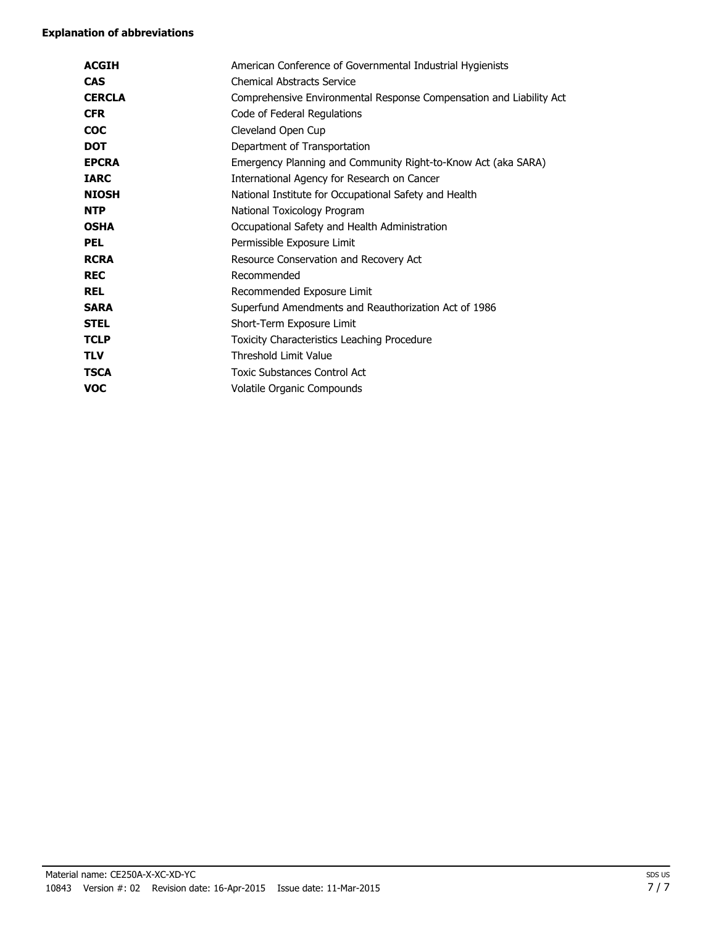#### **Explanation of abbreviations**

| <b>ACGIH</b>  | American Conference of Governmental Industrial Hygienists           |
|---------------|---------------------------------------------------------------------|
| <b>CAS</b>    | <b>Chemical Abstracts Service</b>                                   |
| <b>CERCLA</b> | Comprehensive Environmental Response Compensation and Liability Act |
| <b>CFR</b>    | Code of Federal Regulations                                         |
| <b>COC</b>    | Cleveland Open Cup                                                  |
| <b>DOT</b>    | Department of Transportation                                        |
| <b>EPCRA</b>  | Emergency Planning and Community Right-to-Know Act (aka SARA)       |
| <b>IARC</b>   | International Agency for Research on Cancer                         |
| <b>NIOSH</b>  | National Institute for Occupational Safety and Health               |
| <b>NTP</b>    | National Toxicology Program                                         |
| <b>OSHA</b>   | Occupational Safety and Health Administration                       |
| <b>PEL</b>    | Permissible Exposure Limit                                          |
| <b>RCRA</b>   | Resource Conservation and Recovery Act                              |
| <b>REC</b>    | Recommended                                                         |
| <b>REL</b>    | Recommended Exposure Limit                                          |
| <b>SARA</b>   | Superfund Amendments and Reauthorization Act of 1986                |
| <b>STEL</b>   | Short-Term Exposure Limit                                           |
| <b>TCLP</b>   | Toxicity Characteristics Leaching Procedure                         |
| <b>TLV</b>    | <b>Threshold Limit Value</b>                                        |
| <b>TSCA</b>   | <b>Toxic Substances Control Act</b>                                 |
| voc           | Volatile Organic Compounds                                          |
|               |                                                                     |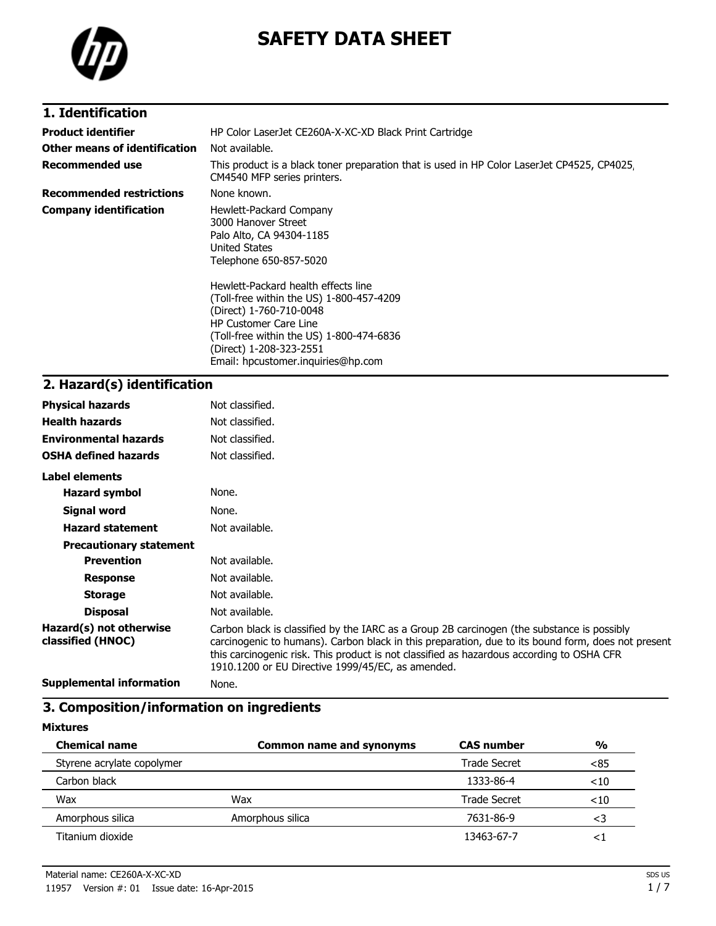

# **SAFETY DATA SHEET**

| 1. Identification |  |
|-------------------|--|
|                   |  |

| Product identifier              | HP Color LaserJet CE260A-X-XC-XD Black Print Cartridge                                                                                                                                                                                                  |
|---------------------------------|---------------------------------------------------------------------------------------------------------------------------------------------------------------------------------------------------------------------------------------------------------|
| Other means of identification   | Not available.                                                                                                                                                                                                                                          |
| Recommended use                 | This product is a black toner preparation that is used in HP Color LaserJet CP4525, CP4025,<br>CM4540 MFP series printers.                                                                                                                              |
| <b>Recommended restrictions</b> | None known.                                                                                                                                                                                                                                             |
| Company identification          | Hewlett-Packard Company<br>3000 Hanover Street<br>Palo Alto, CA 94304-1185<br>United States<br>Telephone 650-857-5020                                                                                                                                   |
|                                 | Hewlett-Packard health effects line<br>(Toll-free within the US) 1-800-457-4209<br>(Direct) 1-760-710-0048<br><b>HP Customer Care Line</b><br>(Toll-free within the US) 1-800-474-6836<br>(Direct) 1-208-323-2551<br>Email: hpcustomer.inquiries@hp.com |

# **2. Hazard(s) identification**

| <b>Physical hazards</b>                      | Not classified.                                                                                                                                                                                                                                                                                                                                    |
|----------------------------------------------|----------------------------------------------------------------------------------------------------------------------------------------------------------------------------------------------------------------------------------------------------------------------------------------------------------------------------------------------------|
| <b>Health hazards</b>                        | Not classified.                                                                                                                                                                                                                                                                                                                                    |
| <b>Environmental hazards</b>                 | Not classified.                                                                                                                                                                                                                                                                                                                                    |
| <b>OSHA defined hazards</b>                  | Not classified.                                                                                                                                                                                                                                                                                                                                    |
| Label elements                               |                                                                                                                                                                                                                                                                                                                                                    |
| Hazard symbol                                | None.                                                                                                                                                                                                                                                                                                                                              |
| Signal word                                  | None.                                                                                                                                                                                                                                                                                                                                              |
| <b>Hazard statement</b>                      | Not available.                                                                                                                                                                                                                                                                                                                                     |
| <b>Precautionary statement</b>               |                                                                                                                                                                                                                                                                                                                                                    |
| <b>Prevention</b>                            | Not available.                                                                                                                                                                                                                                                                                                                                     |
| <b>Response</b>                              | Not available.                                                                                                                                                                                                                                                                                                                                     |
| <b>Storage</b>                               | Not available.                                                                                                                                                                                                                                                                                                                                     |
| <b>Disposal</b>                              | Not available.                                                                                                                                                                                                                                                                                                                                     |
| Hazard(s) not otherwise<br>classified (HNOC) | Carbon black is classified by the IARC as a Group 2B carcinogen (the substance is possibly<br>carcinogenic to humans). Carbon black in this preparation, due to its bound form, does not present<br>this carcinogenic risk. This product is not classified as hazardous according to OSHA CFR<br>1910.1200 or EU Directive 1999/45/EC, as amended. |
| <b>Supplemental information</b>              | None.                                                                                                                                                                                                                                                                                                                                              |

### **3. Composition/information on ingredients**

**Mixtures**

| <b>Chemical name</b><br><b>Common name and synonyms</b> |                  | <b>CAS number</b>   | $\frac{0}{0}$ |
|---------------------------------------------------------|------------------|---------------------|---------------|
| Styrene acrylate copolymer                              |                  | <b>Trade Secret</b> | < 85          |
| Carbon black                                            |                  | 1333-86-4           | $<$ 10        |
| Wax                                                     | Wax              | <b>Trade Secret</b> | < 10          |
| Amorphous silica                                        | Amorphous silica | 7631-86-9           | ≺3            |
| Titanium dioxide                                        |                  | 13463-67-7          | $\leq$        |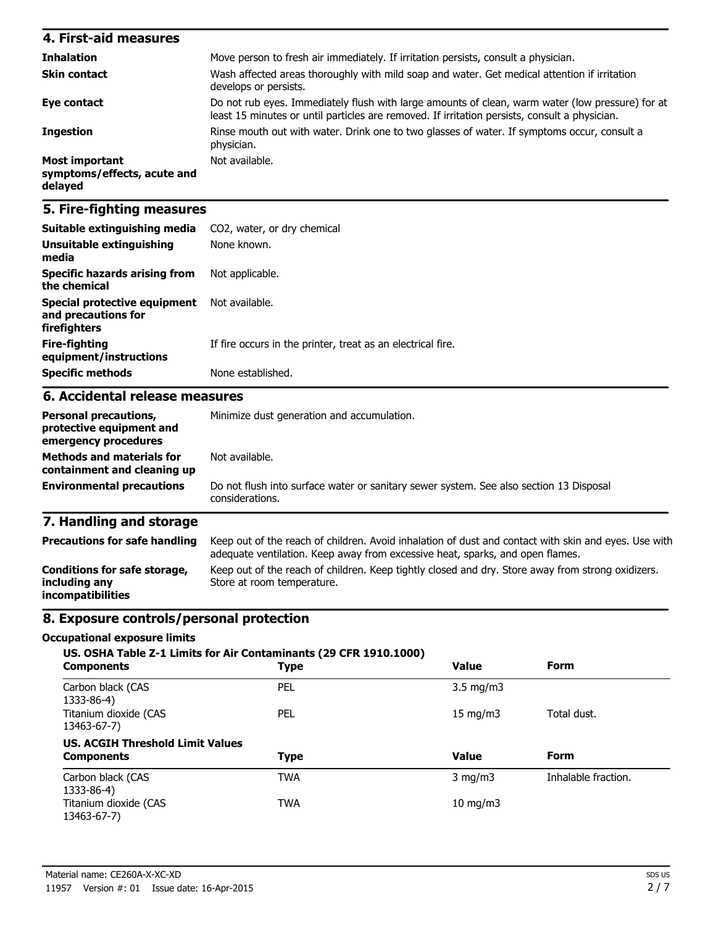| 4. First-aid measures                                    |                                                                                                                                                                                                   |
|----------------------------------------------------------|---------------------------------------------------------------------------------------------------------------------------------------------------------------------------------------------------|
| <b>Inhalation</b>                                        | Move person to fresh air immediately. If irritation persists, consult a physician.                                                                                                                |
| <b>Skin contact</b>                                      | Wash affected areas thoroughly with mild soap and water. Get medical attention if irritation<br>develops or persists.                                                                             |
| Eye contact                                              | Do not rub eyes. Immediately flush with large amounts of clean, warm water (low pressure) for at<br>least 15 minutes or until particles are removed. If irritation persists, consult a physician. |
| <b>Ingestion</b>                                         | Rinse mouth out with water. Drink one to two glasses of water. If symptoms occur, consult a<br>physician.                                                                                         |
| Most important<br>symptoms/effects, acute and<br>delayed | Not available.                                                                                                                                                                                    |

## **5. Fire-fighting measures**

| Suitable extinguishing media                                                     | CO2, water, or dry chemical                                                                                                                                                           |  |
|----------------------------------------------------------------------------------|---------------------------------------------------------------------------------------------------------------------------------------------------------------------------------------|--|
| <b>Unsuitable extinguishing</b><br>media                                         | None known.                                                                                                                                                                           |  |
| <b>Specific hazards arising from</b><br>the chemical                             | Not applicable.                                                                                                                                                                       |  |
| <b>Special protective equipment</b><br>and precautions for<br>firefighters       | Not available.                                                                                                                                                                        |  |
| <b>Fire-fighting</b><br>equipment/instructions                                   | If fire occurs in the printer, treat as an electrical fire.                                                                                                                           |  |
| <b>Specific methods</b>                                                          | None established.                                                                                                                                                                     |  |
| 6. Accidental release measures                                                   |                                                                                                                                                                                       |  |
| <b>Personal precautions,</b><br>protective equipment and<br>emergency procedures | Minimize dust generation and accumulation.                                                                                                                                            |  |
| <b>Methods and materials for</b><br>containment and cleaning up                  | Not available.                                                                                                                                                                        |  |
| <b>Environmental precautions</b>                                                 | Do not flush into surface water or sanitary sewer system. See also section 13 Disposal<br>considerations.                                                                             |  |
| 7. Handling and storage                                                          |                                                                                                                                                                                       |  |
| <b>Precautions for safe handling</b>                                             | Keep out of the reach of children. Avoid inhalation of dust and contact with skin and eyes. Use with<br>adequate ventilation. Keep away from excessive heat, sparks, and open flames. |  |
| <b>Conditions for safe storage,</b><br>including any                             | Keep out of the reach of children. Keep tightly closed and dry. Store away from strong oxidizers.<br>Store at room temperature.                                                       |  |

## **8. Exposure controls/personal protection**

#### **Occupational exposure limits**

**including any incompatibilities**

| US. OSHA Table Z-1 Limits for Air Contaminants (29 CFR 1910.1000)<br><b>Components</b> | <b>Type</b> | <b>Value</b>       | <b>Form</b>         |
|----------------------------------------------------------------------------------------|-------------|--------------------|---------------------|
| Carbon black (CAS<br>1333-86-4)                                                        | PEL         | $3.5 \text{ mg/m}$ |                     |
| Titanium dioxide (CAS<br>13463-67-7)                                                   | <b>PEL</b>  | 15 mg/m $3$        | Total dust.         |
| <b>US. ACGIH Threshold Limit Values</b>                                                |             |                    |                     |
| <b>Components</b>                                                                      | Type        | <b>Value</b>       | <b>Form</b>         |
| Carbon black (CAS<br>1333-86-4)                                                        | <b>TWA</b>  | $3$ mg/m $3$       | Inhalable fraction. |
| Titanium dioxide (CAS<br>13463-67-7)                                                   | TWA         | 10 mg/m $3$        |                     |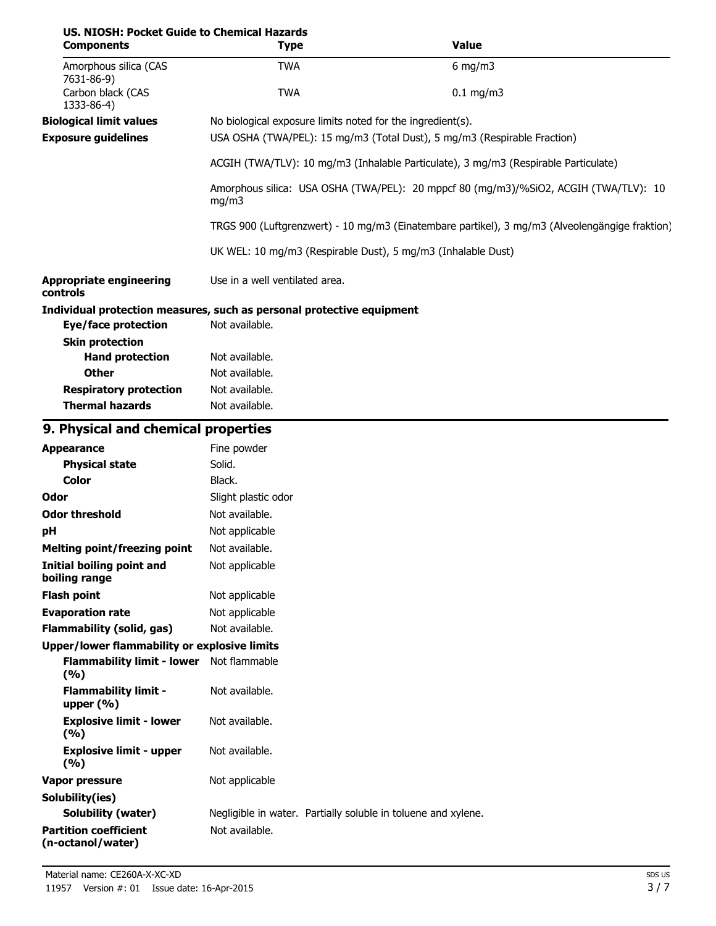| US. NIOSH: Pocket Guide to Chemical Hazards<br><b>Components</b>      | <b>Type</b>                                                                                    |                                                               | <b>Value</b>                                                                        |
|-----------------------------------------------------------------------|------------------------------------------------------------------------------------------------|---------------------------------------------------------------|-------------------------------------------------------------------------------------|
| Amorphous silica (CAS<br>7631-86-9)                                   | <b>TWA</b>                                                                                     |                                                               | 6 mg/m $3$                                                                          |
| Carbon black (CAS<br>1333-86-4)                                       | <b>TWA</b>                                                                                     |                                                               | $0.1$ mg/m3                                                                         |
| <b>Biological limit values</b>                                        |                                                                                                | No biological exposure limits noted for the ingredient(s).    |                                                                                     |
| <b>Exposure guidelines</b>                                            | USA OSHA (TWA/PEL): 15 mg/m3 (Total Dust), 5 mg/m3 (Respirable Fraction)                       |                                                               |                                                                                     |
|                                                                       |                                                                                                |                                                               | ACGIH (TWA/TLV): 10 mg/m3 (Inhalable Particulate), 3 mg/m3 (Respirable Particulate) |
|                                                                       | Amorphous silica: USA OSHA (TWA/PEL): 20 mppcf 80 (mg/m3)/%SiO2, ACGIH (TWA/TLV): 10<br>mg/m3  |                                                               |                                                                                     |
|                                                                       | TRGS 900 (Luftgrenzwert) - 10 mg/m3 (Einatembare partikel), 3 mg/m3 (Alveolengängige fraktion) |                                                               |                                                                                     |
|                                                                       |                                                                                                | UK WEL: 10 mg/m3 (Respirable Dust), 5 mg/m3 (Inhalable Dust)  |                                                                                     |
| <b>Appropriate engineering</b><br>controls                            | Use in a well ventilated area.                                                                 |                                                               |                                                                                     |
| Individual protection measures, such as personal protective equipment |                                                                                                |                                                               |                                                                                     |
| Eye/face protection                                                   | Not available.                                                                                 |                                                               |                                                                                     |
| <b>Skin protection</b>                                                |                                                                                                |                                                               |                                                                                     |
| <b>Hand protection</b>                                                | Not available.                                                                                 |                                                               |                                                                                     |
| <b>Other</b>                                                          | Not available.                                                                                 |                                                               |                                                                                     |
| <b>Respiratory protection</b>                                         | Not available.                                                                                 |                                                               |                                                                                     |
| <b>Thermal hazards</b>                                                | Not available.                                                                                 |                                                               |                                                                                     |
| 9. Physical and chemical properties                                   |                                                                                                |                                                               |                                                                                     |
| <b>Appearance</b>                                                     | Fine powder                                                                                    |                                                               |                                                                                     |
| <b>Physical state</b>                                                 | Solid.                                                                                         |                                                               |                                                                                     |
| <b>Color</b>                                                          | Black.                                                                                         |                                                               |                                                                                     |
| Odor                                                                  | Slight plastic odor                                                                            |                                                               |                                                                                     |
| <b>Odor threshold</b>                                                 | Not available.                                                                                 |                                                               |                                                                                     |
| pH                                                                    | Not applicable                                                                                 |                                                               |                                                                                     |
| <b>Melting point/freezing point</b>                                   | Not available.                                                                                 |                                                               |                                                                                     |
| <b>Initial boiling point and</b><br>boiling range                     | Not applicable                                                                                 |                                                               |                                                                                     |
| <b>Flash point</b>                                                    | Not applicable                                                                                 |                                                               |                                                                                     |
| <b>Evaporation rate</b>                                               | Not applicable                                                                                 |                                                               |                                                                                     |
| <b>Flammability (solid, gas)</b>                                      | Not available.                                                                                 |                                                               |                                                                                     |
| Upper/lower flammability or explosive limits                          |                                                                                                |                                                               |                                                                                     |
| Flammability limit - lower Not flammable<br>(%)                       |                                                                                                |                                                               |                                                                                     |
| <b>Flammability limit -</b><br>upper $(% )$                           | Not available.                                                                                 |                                                               |                                                                                     |
| <b>Explosive limit - lower</b><br>(%)                                 | Not available.                                                                                 |                                                               |                                                                                     |
| <b>Explosive limit - upper</b><br>(%)                                 | Not available.                                                                                 |                                                               |                                                                                     |
| <b>Vapor pressure</b>                                                 | Not applicable                                                                                 |                                                               |                                                                                     |
| Solubility(ies)                                                       |                                                                                                |                                                               |                                                                                     |
| <b>Solubility (water)</b>                                             |                                                                                                | Negligible in water. Partially soluble in toluene and xylene. |                                                                                     |
| <b>Partition coefficient</b><br>(n-octanol/water)                     | Not available.                                                                                 |                                                               |                                                                                     |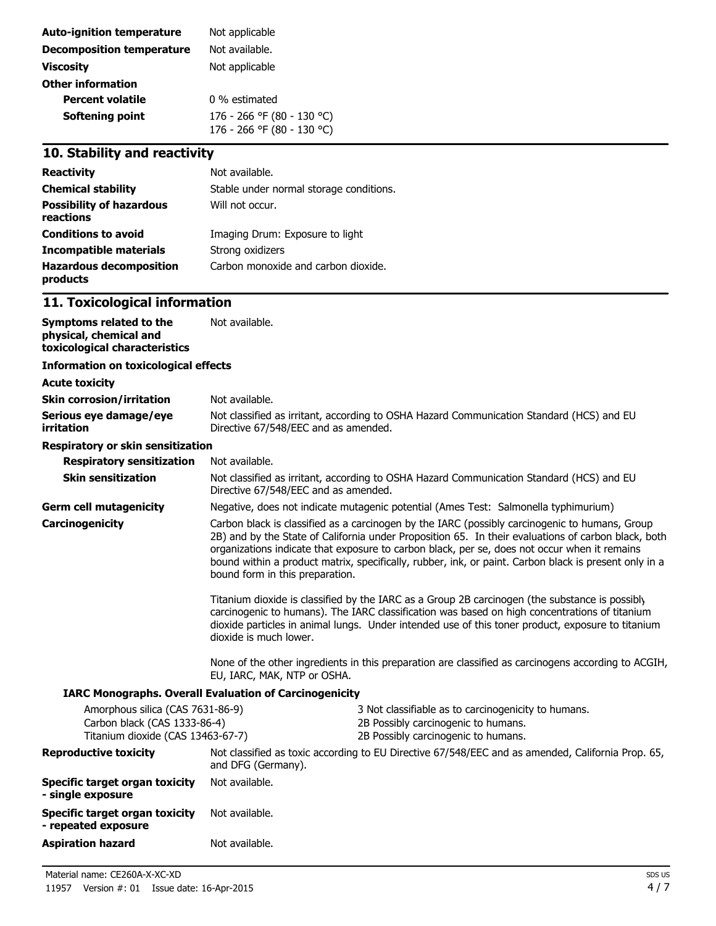| <b>Auto-ignition temperature</b> | Not applicable                                           |
|----------------------------------|----------------------------------------------------------|
| <b>Decomposition temperature</b> | Not available.                                           |
| <b>Viscosity</b>                 | Not applicable                                           |
| <b>Other information</b>         |                                                          |
| <b>Percent volatile</b>          | 0 % estimated                                            |
| Softening point                  | 176 - 266 °F (80 - 130 °C)<br>176 - 266 °F (80 - 130 °C) |

# **10. Stability and reactivity**

| <b>Reactivity</b>                            | Not available.                          |
|----------------------------------------------|-----------------------------------------|
| <b>Chemical stability</b>                    | Stable under normal storage conditions. |
| <b>Possibility of hazardous</b><br>reactions | Will not occur.                         |
| <b>Conditions to avoid</b>                   | Imaging Drum: Exposure to light         |
| Incompatible materials                       | Strong oxidizers                        |
| <b>Hazardous decomposition</b><br>products   | Carbon monoxide and carbon dioxide.     |

# **11. Toxicological information**

| Symptoms related to the<br>physical, chemical and<br>toxicological characteristics                    | Not available.                                                                                                                                                                                                                                                                                                                                                                                                                                    |                                                                                          |  |
|-------------------------------------------------------------------------------------------------------|---------------------------------------------------------------------------------------------------------------------------------------------------------------------------------------------------------------------------------------------------------------------------------------------------------------------------------------------------------------------------------------------------------------------------------------------------|------------------------------------------------------------------------------------------|--|
| <b>Information on toxicological effects</b>                                                           |                                                                                                                                                                                                                                                                                                                                                                                                                                                   |                                                                                          |  |
| Acute toxicity                                                                                        |                                                                                                                                                                                                                                                                                                                                                                                                                                                   |                                                                                          |  |
| <b>Skin corrosion/irritation</b>                                                                      | Not available.                                                                                                                                                                                                                                                                                                                                                                                                                                    |                                                                                          |  |
| Serious eye damage/eye<br>irritation                                                                  | Directive 67/548/EEC and as amended.                                                                                                                                                                                                                                                                                                                                                                                                              | Not classified as irritant, according to OSHA Hazard Communication Standard (HCS) and EU |  |
| Respiratory or skin sensitization                                                                     |                                                                                                                                                                                                                                                                                                                                                                                                                                                   |                                                                                          |  |
| <b>Respiratory sensitization</b>                                                                      | Not available.                                                                                                                                                                                                                                                                                                                                                                                                                                    |                                                                                          |  |
| <b>Skin sensitization</b>                                                                             | Not classified as irritant, according to OSHA Hazard Communication Standard (HCS) and EU<br>Directive 67/548/EEC and as amended.                                                                                                                                                                                                                                                                                                                  |                                                                                          |  |
| Germ cell mutagenicity                                                                                | Negative, does not indicate mutagenic potential (Ames Test: Salmonella typhimurium)                                                                                                                                                                                                                                                                                                                                                               |                                                                                          |  |
| <b>Carcinogenicity</b>                                                                                | Carbon black is classified as a carcinogen by the IARC (possibly carcinogenic to humans, Group<br>2B) and by the State of California under Proposition 65. In their evaluations of carbon black, both<br>organizations indicate that exposure to carbon black, per se, does not occur when it remains<br>bound within a product matrix, specifically, rubber, ink, or paint. Carbon black is present only in a<br>bound form in this preparation. |                                                                                          |  |
|                                                                                                       | Titanium dioxide is classified by the IARC as a Group 2B carcinogen (the substance is possibly<br>carcinogenic to humans). The IARC classification was based on high concentrations of titanium<br>dioxide particles in animal lungs. Under intended use of this toner product, exposure to titanium<br>dioxide is much lower.                                                                                                                    |                                                                                          |  |
|                                                                                                       | None of the other ingredients in this preparation are classified as carcinogens according to ACGIH,<br>EU, IARC, MAK, NTP or OSHA.                                                                                                                                                                                                                                                                                                                |                                                                                          |  |
|                                                                                                       | <b>IARC Monographs. Overall Evaluation of Carcinogenicity</b>                                                                                                                                                                                                                                                                                                                                                                                     |                                                                                          |  |
| Amorphous silica (CAS 7631-86-9)<br>Carbon black (CAS 1333-86-4)<br>Titanium dioxide (CAS 13463-67-7) | 3 Not classifiable as to carcinogenicity to humans.<br>2B Possibly carcinogenic to humans.<br>2B Possibly carcinogenic to humans.                                                                                                                                                                                                                                                                                                                 |                                                                                          |  |
| <b>Reproductive toxicity</b>                                                                          | Not classified as toxic according to EU Directive 67/548/EEC and as amended, California Prop. 65,<br>and DFG (Germany).                                                                                                                                                                                                                                                                                                                           |                                                                                          |  |
| Specific target organ toxicity<br>- single exposure                                                   | Not available.                                                                                                                                                                                                                                                                                                                                                                                                                                    |                                                                                          |  |
| Specific target organ toxicity<br>- repeated exposure                                                 | Not available.                                                                                                                                                                                                                                                                                                                                                                                                                                    |                                                                                          |  |
| Aspiration hazard                                                                                     | Not available.                                                                                                                                                                                                                                                                                                                                                                                                                                    |                                                                                          |  |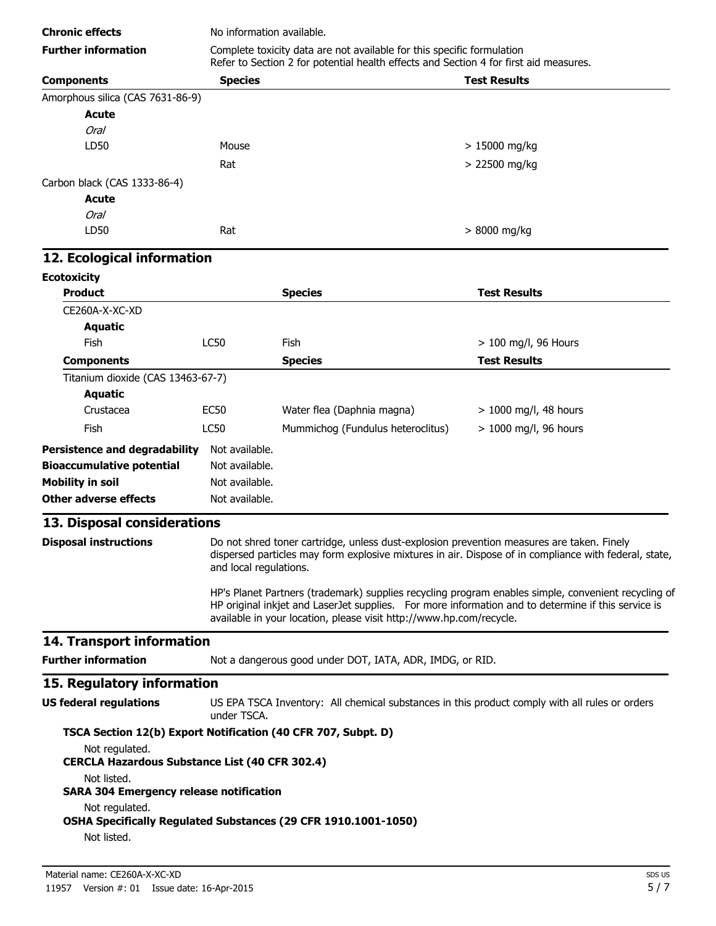| <b>Chronic effects</b>           | No information available.                                                                                                                                       |                 |  |
|----------------------------------|-----------------------------------------------------------------------------------------------------------------------------------------------------------------|-----------------|--|
| <b>Further information</b>       | Complete toxicity data are not available for this specific formulation<br>Refer to Section 2 for potential health effects and Section 4 for first aid measures. |                 |  |
| <b>Components</b>                | <b>Test Results</b><br><b>Species</b>                                                                                                                           |                 |  |
| Amorphous silica (CAS 7631-86-9) |                                                                                                                                                                 |                 |  |
| <b>Acute</b>                     |                                                                                                                                                                 |                 |  |
| Oral                             |                                                                                                                                                                 |                 |  |
| LD50                             | Mouse                                                                                                                                                           | $>15000$ mg/kg  |  |
|                                  | Rat                                                                                                                                                             | $> 22500$ mg/kg |  |
| Carbon black (CAS 1333-86-4)     |                                                                                                                                                                 |                 |  |
| <b>Acute</b>                     |                                                                                                                                                                 |                 |  |
| Oral                             |                                                                                                                                                                 |                 |  |
| LD50                             | Rat                                                                                                                                                             | > 8000 mg/kg    |  |

# **12. Ecological information**

| <b>Ecotoxicity</b>                                            |                                                                                                                                                                                                                              |                                                                     |                                                                                                                                                                                                           |
|---------------------------------------------------------------|------------------------------------------------------------------------------------------------------------------------------------------------------------------------------------------------------------------------------|---------------------------------------------------------------------|-----------------------------------------------------------------------------------------------------------------------------------------------------------------------------------------------------------|
| <b>Product</b>                                                |                                                                                                                                                                                                                              | <b>Species</b>                                                      | <b>Test Results</b>                                                                                                                                                                                       |
| CE260A-X-XC-XD                                                |                                                                                                                                                                                                                              |                                                                     |                                                                                                                                                                                                           |
| <b>Aquatic</b>                                                |                                                                                                                                                                                                                              |                                                                     |                                                                                                                                                                                                           |
| <b>Fish</b>                                                   | <b>LC50</b>                                                                                                                                                                                                                  | Fish                                                                | $> 100$ mg/l, 96 Hours                                                                                                                                                                                    |
| <b>Components</b>                                             |                                                                                                                                                                                                                              | <b>Species</b>                                                      | <b>Test Results</b>                                                                                                                                                                                       |
| Titanium dioxide (CAS 13463-67-7)                             |                                                                                                                                                                                                                              |                                                                     |                                                                                                                                                                                                           |
| <b>Aquatic</b>                                                |                                                                                                                                                                                                                              |                                                                     |                                                                                                                                                                                                           |
| Crustacea                                                     | <b>EC50</b>                                                                                                                                                                                                                  | Water flea (Daphnia magna)                                          | $> 1000$ mg/l, 48 hours                                                                                                                                                                                   |
| <b>Fish</b>                                                   | <b>LC50</b>                                                                                                                                                                                                                  | Mummichog (Fundulus heteroclitus)                                   | $> 1000$ mg/l, 96 hours                                                                                                                                                                                   |
| <b>Persistence and degradability</b>                          | Not available.                                                                                                                                                                                                               |                                                                     |                                                                                                                                                                                                           |
| <b>Bioaccumulative potential</b>                              | Not available.                                                                                                                                                                                                               |                                                                     |                                                                                                                                                                                                           |
| <b>Mobility in soil</b>                                       | Not available.                                                                                                                                                                                                               |                                                                     |                                                                                                                                                                                                           |
| Other adverse effects                                         | Not available.                                                                                                                                                                                                               |                                                                     |                                                                                                                                                                                                           |
| 13. Disposal considerations                                   |                                                                                                                                                                                                                              |                                                                     |                                                                                                                                                                                                           |
| <b>Disposal instructions</b>                                  | Do not shred toner cartridge, unless dust-explosion prevention measures are taken. Finely<br>dispersed particles may form explosive mixtures in air. Dispose of in compliance with federal, state,<br>and local regulations. |                                                                     |                                                                                                                                                                                                           |
|                                                               |                                                                                                                                                                                                                              | available in your location, please visit http://www.hp.com/recycle. | HP's Planet Partners (trademark) supplies recycling program enables simple, convenient recycling of<br>HP original inkjet and LaserJet supplies. For more information and to determine if this service is |
| 14. Transport information                                     |                                                                                                                                                                                                                              |                                                                     |                                                                                                                                                                                                           |
| <b>Further information</b>                                    |                                                                                                                                                                                                                              | Not a dangerous good under DOT, IATA, ADR, IMDG, or RID.            |                                                                                                                                                                                                           |
| 15. Regulatory information                                    |                                                                                                                                                                                                                              |                                                                     |                                                                                                                                                                                                           |
| <b>US federal regulations</b>                                 | under TSCA.                                                                                                                                                                                                                  |                                                                     | US EPA TSCA Inventory: All chemical substances in this product comply with all rules or orders                                                                                                            |
| TSCA Section 12(b) Export Notification (40 CFR 707, Subpt. D) |                                                                                                                                                                                                                              |                                                                     |                                                                                                                                                                                                           |
| Not regulated.                                                |                                                                                                                                                                                                                              |                                                                     |                                                                                                                                                                                                           |
| <b>CERCLA Hazardous Substance List (40 CFR 302.4)</b>         |                                                                                                                                                                                                                              |                                                                     |                                                                                                                                                                                                           |
| Not listed.                                                   |                                                                                                                                                                                                                              |                                                                     |                                                                                                                                                                                                           |

**SARA 304 Emergency release notification**

Not regulated.

**OSHA Specifically Regulated Substances (29 CFR 1910.1001-1050)**

Not listed.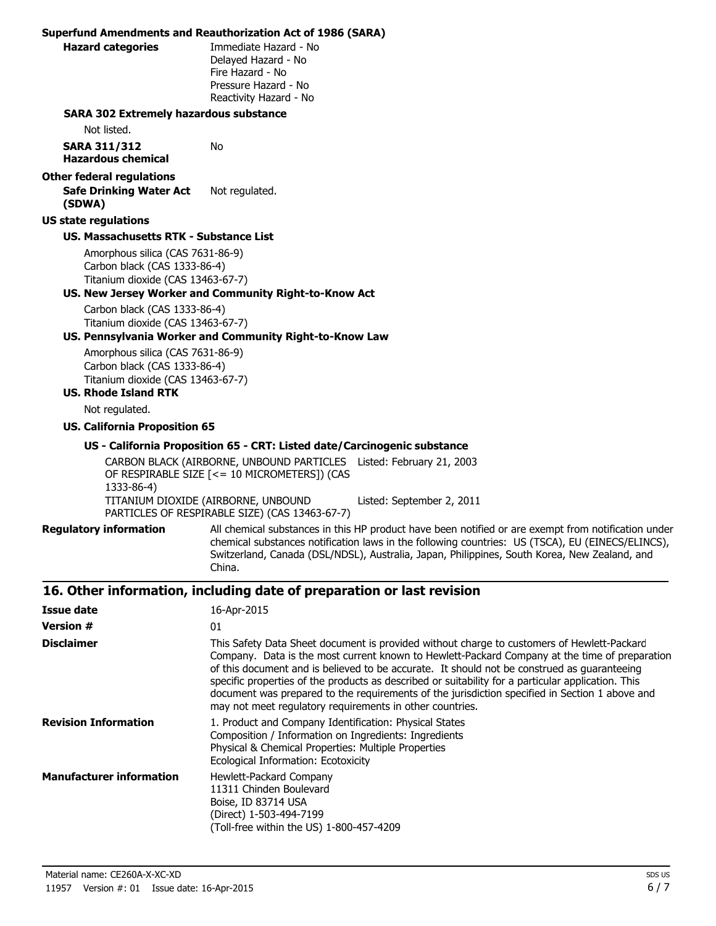| <b>Hazard categories</b>                                                                                                             | <b>Superfund Amendments and Reauthorization Act of 1986 (SARA)</b><br>Immediate Hazard - No<br>Delayed Hazard - No<br>Fire Hazard - No<br>Pressure Hazard - No<br>Reactivity Hazard - No                                                                                                                                                                                                                                                                                                                                                                       |
|--------------------------------------------------------------------------------------------------------------------------------------|----------------------------------------------------------------------------------------------------------------------------------------------------------------------------------------------------------------------------------------------------------------------------------------------------------------------------------------------------------------------------------------------------------------------------------------------------------------------------------------------------------------------------------------------------------------|
| <b>SARA 302 Extremely hazardous substance</b>                                                                                        |                                                                                                                                                                                                                                                                                                                                                                                                                                                                                                                                                                |
| Not listed.                                                                                                                          |                                                                                                                                                                                                                                                                                                                                                                                                                                                                                                                                                                |
| <b>SARA 311/312</b><br><b>Hazardous chemical</b>                                                                                     | <b>No</b>                                                                                                                                                                                                                                                                                                                                                                                                                                                                                                                                                      |
| <b>Other federal regulations</b>                                                                                                     |                                                                                                                                                                                                                                                                                                                                                                                                                                                                                                                                                                |
| <b>Safe Drinking Water Act</b><br>(SDWA)                                                                                             | Not regulated.                                                                                                                                                                                                                                                                                                                                                                                                                                                                                                                                                 |
| <b>US state regulations</b>                                                                                                          |                                                                                                                                                                                                                                                                                                                                                                                                                                                                                                                                                                |
| <b>US. Massachusetts RTK - Substance List</b>                                                                                        |                                                                                                                                                                                                                                                                                                                                                                                                                                                                                                                                                                |
| Amorphous silica (CAS 7631-86-9)<br>Carbon black (CAS 1333-86-4)<br>Titanium dioxide (CAS 13463-67-7)                                | US. New Jersey Worker and Community Right-to-Know Act                                                                                                                                                                                                                                                                                                                                                                                                                                                                                                          |
| Carbon black (CAS 1333-86-4)<br>Titanium dioxide (CAS 13463-67-7)                                                                    |                                                                                                                                                                                                                                                                                                                                                                                                                                                                                                                                                                |
|                                                                                                                                      | US. Pennsylvania Worker and Community Right-to-Know Law                                                                                                                                                                                                                                                                                                                                                                                                                                                                                                        |
| Amorphous silica (CAS 7631-86-9)<br>Carbon black (CAS 1333-86-4)<br>Titanium dioxide (CAS 13463-67-7)<br><b>US. Rhode Island RTK</b> |                                                                                                                                                                                                                                                                                                                                                                                                                                                                                                                                                                |
| Not regulated.                                                                                                                       |                                                                                                                                                                                                                                                                                                                                                                                                                                                                                                                                                                |
| <b>US. California Proposition 65</b>                                                                                                 |                                                                                                                                                                                                                                                                                                                                                                                                                                                                                                                                                                |
|                                                                                                                                      | US - California Proposition 65 - CRT: Listed date/Carcinogenic substance                                                                                                                                                                                                                                                                                                                                                                                                                                                                                       |
| 1333-86-4)                                                                                                                           | CARBON BLACK (AIRBORNE, UNBOUND PARTICLES Listed: February 21, 2003<br>OF RESPIRABLE SIZE [<= 10 MICROMETERS]) (CAS<br>TITANIUM DIOXIDE (AIRBORNE, UNBOUND<br>Listed: September 2, 2011                                                                                                                                                                                                                                                                                                                                                                        |
|                                                                                                                                      | PARTICLES OF RESPIRABLE SIZE) (CAS 13463-67-7)                                                                                                                                                                                                                                                                                                                                                                                                                                                                                                                 |
| <b>Regulatory information</b>                                                                                                        | All chemical substances in this HP product have been notified or are exempt from notification under<br>chemical substances notification laws in the following countries: US (TSCA), EU (EINECS/ELINCS),<br>Switzerland, Canada (DSL/NDSL), Australia, Japan, Philippines, South Korea, New Zealand, and<br>China.                                                                                                                                                                                                                                              |
|                                                                                                                                      | 16. Other information, including date of preparation or last revision                                                                                                                                                                                                                                                                                                                                                                                                                                                                                          |
| <b>Issue date</b>                                                                                                                    | 16-Apr-2015                                                                                                                                                                                                                                                                                                                                                                                                                                                                                                                                                    |
| <b>Version #</b>                                                                                                                     | 01                                                                                                                                                                                                                                                                                                                                                                                                                                                                                                                                                             |
| <b>Disclaimer</b>                                                                                                                    | This Safety Data Sheet document is provided without charge to customers of Hewlett-Packard<br>Company. Data is the most current known to Hewlett-Packard Company at the time of preparation<br>of this document and is believed to be accurate. It should not be construed as guaranteeing<br>specific properties of the products as described or suitability for a particular application. This<br>document was prepared to the requirements of the jurisdiction specified in Section 1 above and<br>may not meet regulatory requirements in other countries. |
| <b>Revision Information</b>                                                                                                          | 1. Product and Company Identification: Physical States<br>Composition / Information on Ingredients: Ingredients<br>Physical & Chemical Properties: Multiple Properties<br>Ecological Information: Ecotoxicity                                                                                                                                                                                                                                                                                                                                                  |
| <b>Manufacturer information</b>                                                                                                      | Hewlett-Packard Company<br>11311 Chinden Boulevard                                                                                                                                                                                                                                                                                                                                                                                                                                                                                                             |

Boise, ID 83714 USA (Direct) 1-503-494-7199

(Toll-free within the US) 1-800-457-4209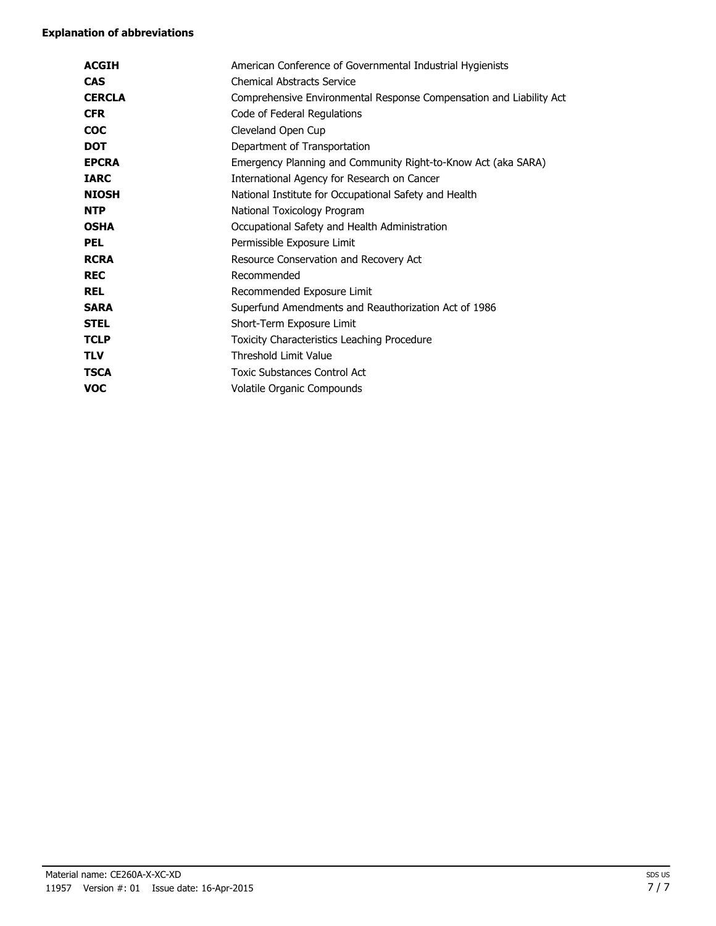#### **Explanation of abbreviations**

| <b>ACGIH</b>  | American Conference of Governmental Industrial Hygienists           |
|---------------|---------------------------------------------------------------------|
| <b>CAS</b>    | <b>Chemical Abstracts Service</b>                                   |
| <b>CERCLA</b> | Comprehensive Environmental Response Compensation and Liability Act |
| <b>CFR</b>    | Code of Federal Regulations                                         |
| <b>COC</b>    | Cleveland Open Cup                                                  |
| <b>DOT</b>    | Department of Transportation                                        |
| <b>EPCRA</b>  | Emergency Planning and Community Right-to-Know Act (aka SARA)       |
| <b>IARC</b>   | International Agency for Research on Cancer                         |
| <b>NIOSH</b>  | National Institute for Occupational Safety and Health               |
| <b>NTP</b>    | National Toxicology Program                                         |
| <b>OSHA</b>   | Occupational Safety and Health Administration                       |
| <b>PEL</b>    | Permissible Exposure Limit                                          |
| <b>RCRA</b>   | Resource Conservation and Recovery Act                              |
| <b>REC</b>    | Recommended                                                         |
| <b>REL</b>    | Recommended Exposure Limit                                          |
| <b>SARA</b>   | Superfund Amendments and Reauthorization Act of 1986                |
| <b>STEL</b>   | Short-Term Exposure Limit                                           |
| <b>TCLP</b>   | Toxicity Characteristics Leaching Procedure                         |
| <b>TLV</b>    | Threshold Limit Value                                               |
| <b>TSCA</b>   | <b>Toxic Substances Control Act</b>                                 |
| <b>VOC</b>    | Volatile Organic Compounds                                          |
|               |                                                                     |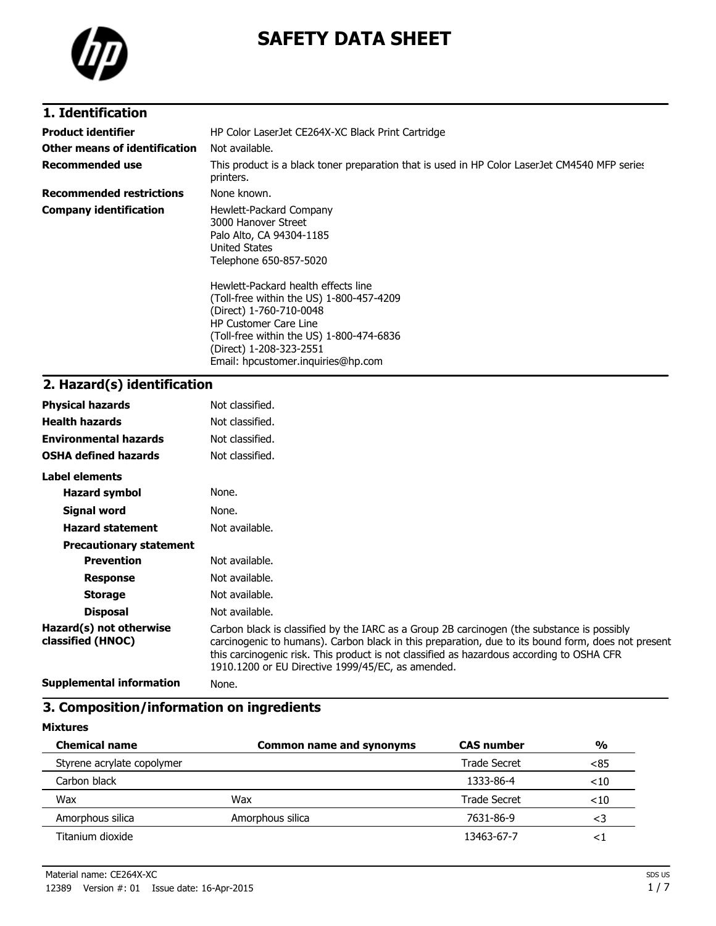

# **SAFETY DATA SHEET**

# **1. Identification**

| <b>Product identifier</b>       | HP Color LaserJet CE264X-XC Black Print Cartridge                                                                                                                                                                                                                                                                                                                                |
|---------------------------------|----------------------------------------------------------------------------------------------------------------------------------------------------------------------------------------------------------------------------------------------------------------------------------------------------------------------------------------------------------------------------------|
| Other means of identification   | Not available.                                                                                                                                                                                                                                                                                                                                                                   |
| <b>Recommended use</b>          | This product is a black toner preparation that is used in HP Color Laser Jet CM4540 MFP series<br>printers.                                                                                                                                                                                                                                                                      |
| <b>Recommended restrictions</b> | None known.                                                                                                                                                                                                                                                                                                                                                                      |
| <b>Company identification</b>   | Hewlett-Packard Company<br>3000 Hanover Street<br>Palo Alto, CA 94304-1185<br>United States<br>Telephone 650-857-5020<br>Hewlett-Packard health effects line<br>(Toll-free within the US) 1-800-457-4209<br>(Direct) 1-760-710-0048<br><b>HP Customer Care Line</b><br>(Toll-free within the US) 1-800-474-6836<br>(Direct) 1-208-323-2551<br>Email: hpcustomer.inguiries@hp.com |

# **2. Hazard(s) identification**

| <b>Physical hazards</b>                      | Not classified.                                                                                                                                                                                                                                                                                                                                    |
|----------------------------------------------|----------------------------------------------------------------------------------------------------------------------------------------------------------------------------------------------------------------------------------------------------------------------------------------------------------------------------------------------------|
| <b>Health hazards</b>                        | Not classified.                                                                                                                                                                                                                                                                                                                                    |
| <b>Environmental hazards</b>                 | Not classified.                                                                                                                                                                                                                                                                                                                                    |
| <b>OSHA defined hazards</b>                  | Not classified.                                                                                                                                                                                                                                                                                                                                    |
| Label elements                               |                                                                                                                                                                                                                                                                                                                                                    |
| Hazard symbol                                | None.                                                                                                                                                                                                                                                                                                                                              |
| Signal word                                  | None.                                                                                                                                                                                                                                                                                                                                              |
| <b>Hazard statement</b>                      | Not available.                                                                                                                                                                                                                                                                                                                                     |
| <b>Precautionary statement</b>               |                                                                                                                                                                                                                                                                                                                                                    |
| <b>Prevention</b>                            | Not available.                                                                                                                                                                                                                                                                                                                                     |
| <b>Response</b>                              | Not available.                                                                                                                                                                                                                                                                                                                                     |
| <b>Storage</b>                               | Not available.                                                                                                                                                                                                                                                                                                                                     |
| <b>Disposal</b>                              | Not available.                                                                                                                                                                                                                                                                                                                                     |
| Hazard(s) not otherwise<br>classified (HNOC) | Carbon black is classified by the IARC as a Group 2B carcinogen (the substance is possibly<br>carcinogenic to humans). Carbon black in this preparation, due to its bound form, does not present<br>this carcinogenic risk. This product is not classified as hazardous according to OSHA CFR<br>1910.1200 or EU Directive 1999/45/EC, as amended. |
| <b>Supplemental information</b>              | None.                                                                                                                                                                                                                                                                                                                                              |

### **3. Composition/information on ingredients**

**Mixtures**

| <b>Chemical name</b>       | <b>Common name and synonyms</b> | <b>CAS number</b>   | $\frac{0}{0}$ |
|----------------------------|---------------------------------|---------------------|---------------|
| Styrene acrylate copolymer |                                 | Trade Secret        | < 85          |
| Carbon black               |                                 | 1333-86-4           | $<$ 10        |
| Wax                        | Wax                             | <b>Trade Secret</b> | $<$ 10        |
| Amorphous silica           | Amorphous silica                | 7631-86-9           | <3            |
| Titanium dioxide           |                                 | 13463-67-7          | $\leq$        |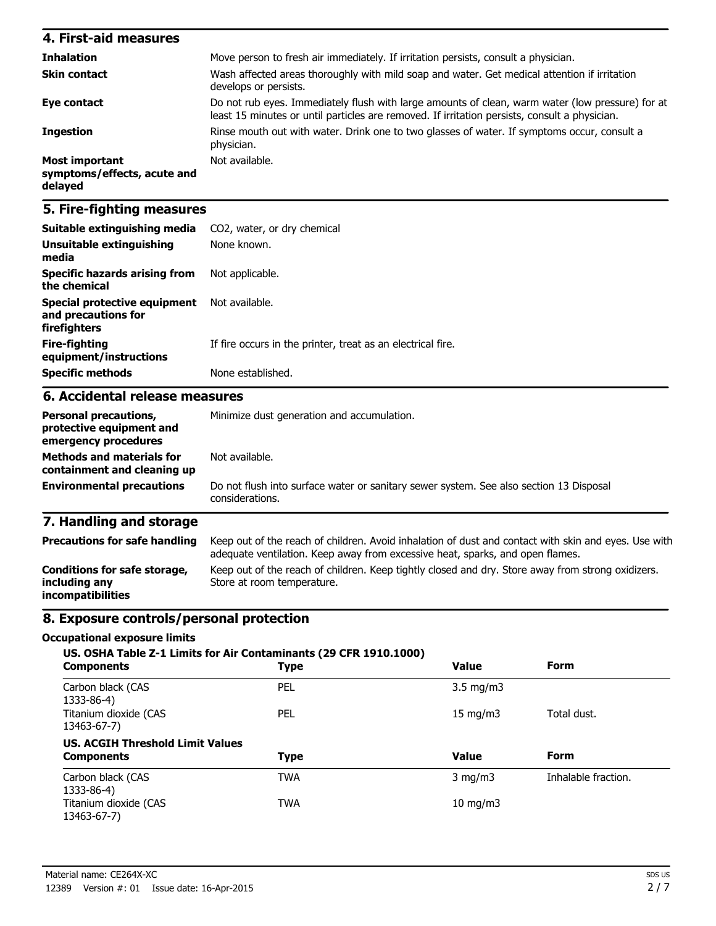| 4. First-aid measures                                    |                                                                                                                                                                                                   |
|----------------------------------------------------------|---------------------------------------------------------------------------------------------------------------------------------------------------------------------------------------------------|
| <b>Inhalation</b>                                        | Move person to fresh air immediately. If irritation persists, consult a physician.                                                                                                                |
| <b>Skin contact</b>                                      | Wash affected areas thoroughly with mild soap and water. Get medical attention if irritation<br>develops or persists.                                                                             |
| Eye contact                                              | Do not rub eyes. Immediately flush with large amounts of clean, warm water (low pressure) for at<br>least 15 minutes or until particles are removed. If irritation persists, consult a physician. |
| <b>Ingestion</b>                                         | Rinse mouth out with water. Drink one to two glasses of water. If symptoms occur, consult a<br>physician.                                                                                         |
| Most important<br>symptoms/effects, acute and<br>delayed | Not available.                                                                                                                                                                                    |

## **5. Fire-fighting measures**

| Suitable extinguishing media                                                     | CO <sub>2</sub> , water, or dry chemical                                                                                                                                              |  |
|----------------------------------------------------------------------------------|---------------------------------------------------------------------------------------------------------------------------------------------------------------------------------------|--|
| <b>Unsuitable extinguishing</b><br>media                                         | None known.                                                                                                                                                                           |  |
| <b>Specific hazards arising from</b><br>the chemical                             | Not applicable.                                                                                                                                                                       |  |
| <b>Special protective equipment</b><br>and precautions for<br>firefighters       | Not available.                                                                                                                                                                        |  |
| <b>Fire-fighting</b><br>equipment/instructions                                   | If fire occurs in the printer, treat as an electrical fire.                                                                                                                           |  |
| <b>Specific methods</b><br>None established.                                     |                                                                                                                                                                                       |  |
| 6. Accidental release measures                                                   |                                                                                                                                                                                       |  |
| <b>Personal precautions,</b><br>protective equipment and<br>emergency procedures | Minimize dust generation and accumulation.                                                                                                                                            |  |
| <b>Methods and materials for</b><br>containment and cleaning up                  | Not available.                                                                                                                                                                        |  |
| <b>Environmental precautions</b>                                                 | Do not flush into surface water or sanitary sewer system. See also section 13 Disposal<br>considerations.                                                                             |  |
| 7. Handling and storage                                                          |                                                                                                                                                                                       |  |
| <b>Precautions for safe handling</b>                                             | Keep out of the reach of children. Avoid inhalation of dust and contact with skin and eyes. Use with<br>adequate ventilation. Keep away from excessive heat, sparks, and open flames. |  |
| <b>Conditions for safe storage,</b>                                              | Keep out of the reach of children. Keep tightly closed and dry. Store away from strong oxidizers.                                                                                     |  |

## **8. Exposure controls/personal protection**

Store at room temperature.

#### **Occupational exposure limits**

**including any incompatibilities**

| <b>Components</b>                       | US. OSHA Table Z-1 Limits for Air Contaminants (29 CFR 1910.1000)<br><b>Type</b> | <b>Value</b>       | <b>Form</b>         |
|-----------------------------------------|----------------------------------------------------------------------------------|--------------------|---------------------|
| Carbon black (CAS<br>1333-86-4)         | PEL                                                                              | $3.5 \text{ mg/m}$ |                     |
| Titanium dioxide (CAS<br>13463-67-7)    | PEL                                                                              | 15 mg/m $3$        | Total dust.         |
| <b>US. ACGIH Threshold Limit Values</b> |                                                                                  |                    |                     |
| <b>Components</b>                       | Type                                                                             | Value              | <b>Form</b>         |
| Carbon black (CAS<br>1333-86-4)         | <b>TWA</b>                                                                       | $3 \text{ mg/m}$   | Inhalable fraction. |
| Titanium dioxide (CAS<br>13463-67-7)    | <b>TWA</b>                                                                       | $10$ mg/m $3$      |                     |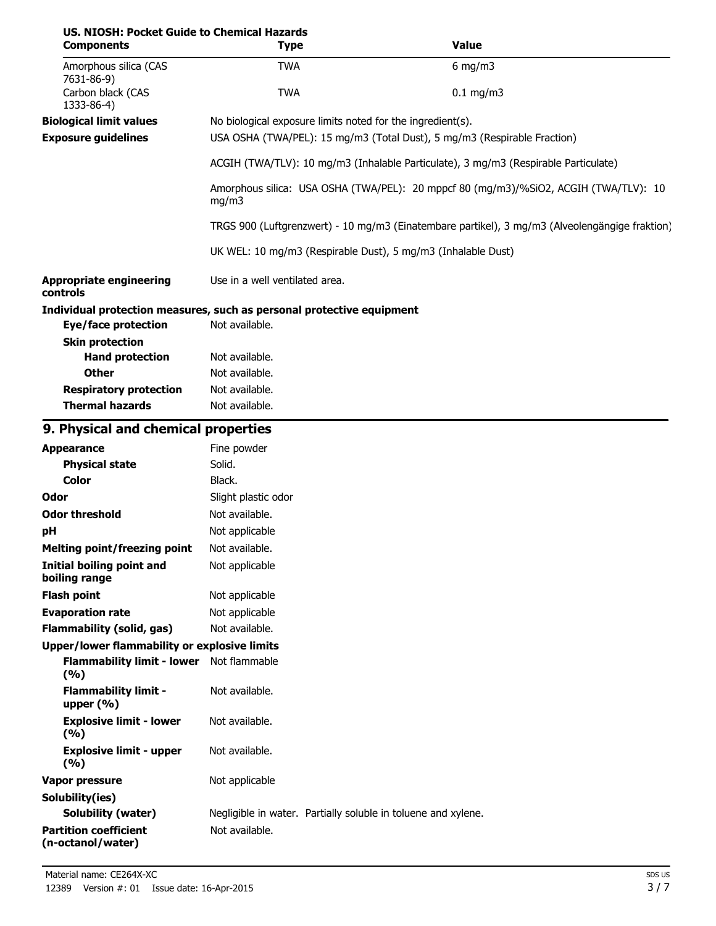| US. NIOSH: Pocket Guide to Chemical Hazards<br><b>Components</b>      | <b>Type</b>                                                |                                                               | <b>Value</b>                                                                                   |  |
|-----------------------------------------------------------------------|------------------------------------------------------------|---------------------------------------------------------------|------------------------------------------------------------------------------------------------|--|
| Amorphous silica (CAS<br>7631-86-9)                                   | <b>TWA</b>                                                 |                                                               | 6 mg/m $3$                                                                                     |  |
| Carbon black (CAS<br>1333-86-4)                                       | <b>TWA</b>                                                 |                                                               | $0.1$ mg/m3                                                                                    |  |
| <b>Biological limit values</b>                                        | No biological exposure limits noted for the ingredient(s). |                                                               |                                                                                                |  |
| <b>Exposure guidelines</b>                                            |                                                            |                                                               | USA OSHA (TWA/PEL): 15 mg/m3 (Total Dust), 5 mg/m3 (Respirable Fraction)                       |  |
|                                                                       |                                                            |                                                               | ACGIH (TWA/TLV): 10 mg/m3 (Inhalable Particulate), 3 mg/m3 (Respirable Particulate)            |  |
|                                                                       | mg/m3                                                      |                                                               | Amorphous silica: USA OSHA (TWA/PEL): 20 mppcf 80 (mg/m3)/%SiO2, ACGIH (TWA/TLV): 10           |  |
|                                                                       |                                                            |                                                               | TRGS 900 (Luftgrenzwert) - 10 mg/m3 (Einatembare partikel), 3 mg/m3 (Alveolengängige fraktion) |  |
|                                                                       |                                                            | UK WEL: 10 mg/m3 (Respirable Dust), 5 mg/m3 (Inhalable Dust)  |                                                                                                |  |
| <b>Appropriate engineering</b><br>controls                            | Use in a well ventilated area.                             |                                                               |                                                                                                |  |
| Individual protection measures, such as personal protective equipment |                                                            |                                                               |                                                                                                |  |
| Eye/face protection                                                   | Not available.                                             |                                                               |                                                                                                |  |
| <b>Skin protection</b>                                                |                                                            |                                                               |                                                                                                |  |
| <b>Hand protection</b>                                                | Not available.                                             |                                                               |                                                                                                |  |
| <b>Other</b>                                                          | Not available.                                             |                                                               |                                                                                                |  |
| <b>Respiratory protection</b>                                         | Not available.                                             |                                                               |                                                                                                |  |
| <b>Thermal hazards</b>                                                | Not available.                                             |                                                               |                                                                                                |  |
| 9. Physical and chemical properties                                   |                                                            |                                                               |                                                                                                |  |
| <b>Appearance</b>                                                     | Fine powder                                                |                                                               |                                                                                                |  |
| <b>Physical state</b>                                                 | Solid.                                                     |                                                               |                                                                                                |  |
| <b>Color</b>                                                          | Black.                                                     |                                                               |                                                                                                |  |
| Odor                                                                  | Slight plastic odor                                        |                                                               |                                                                                                |  |
| <b>Odor threshold</b>                                                 | Not available.                                             |                                                               |                                                                                                |  |
| pH                                                                    | Not applicable                                             |                                                               |                                                                                                |  |
| <b>Melting point/freezing point</b>                                   | Not available.                                             |                                                               |                                                                                                |  |
| <b>Initial boiling point and</b><br>boiling range                     | Not applicable                                             |                                                               |                                                                                                |  |
| <b>Flash point</b>                                                    | Not applicable                                             |                                                               |                                                                                                |  |
| <b>Evaporation rate</b>                                               | Not applicable                                             |                                                               |                                                                                                |  |
| <b>Flammability (solid, gas)</b>                                      | Not available.                                             |                                                               |                                                                                                |  |
| Upper/lower flammability or explosive limits                          |                                                            |                                                               |                                                                                                |  |
| Flammability limit - lower Not flammable<br>(%)                       |                                                            |                                                               |                                                                                                |  |
| <b>Flammability limit -</b><br>upper $(% )$                           | Not available.                                             |                                                               |                                                                                                |  |
| <b>Explosive limit - lower</b><br>(%)                                 | Not available.                                             |                                                               |                                                                                                |  |
| <b>Explosive limit - upper</b><br>(%)                                 | Not available.                                             |                                                               |                                                                                                |  |
| <b>Vapor pressure</b>                                                 | Not applicable                                             |                                                               |                                                                                                |  |
| Solubility(ies)                                                       |                                                            |                                                               |                                                                                                |  |
| <b>Solubility (water)</b>                                             |                                                            | Negligible in water. Partially soluble in toluene and xylene. |                                                                                                |  |
| <b>Partition coefficient</b><br>(n-octanol/water)                     | Not available.                                             |                                                               |                                                                                                |  |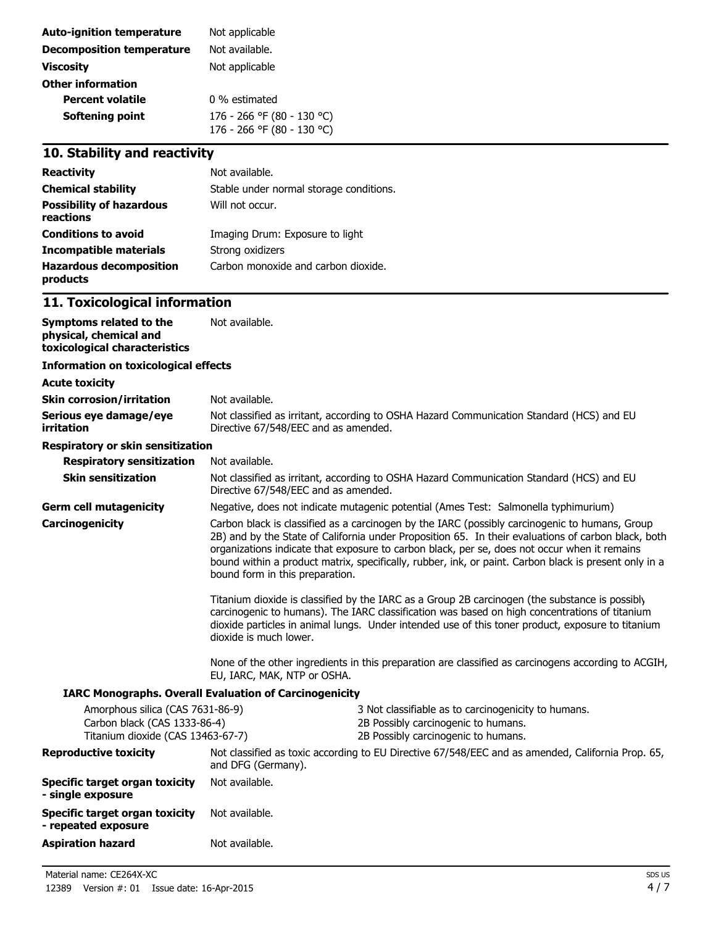| <b>Auto-ignition temperature</b> | Not applicable                                           |
|----------------------------------|----------------------------------------------------------|
| <b>Decomposition temperature</b> | Not available.                                           |
| <b>Viscosity</b>                 | Not applicable                                           |
| <b>Other information</b>         |                                                          |
| <b>Percent volatile</b>          | 0 % estimated                                            |
| Softening point                  | 176 - 266 °F (80 - 130 °C)<br>176 - 266 °F (80 - 130 °C) |

# **10. Stability and reactivity**

| <b>Reactivity</b>                            | Not available.                          |
|----------------------------------------------|-----------------------------------------|
| <b>Chemical stability</b>                    | Stable under normal storage conditions. |
| <b>Possibility of hazardous</b><br>reactions | Will not occur.                         |
| <b>Conditions to avoid</b>                   | Imaging Drum: Exposure to light         |
| Incompatible materials                       | Strong oxidizers                        |
| <b>Hazardous decomposition</b><br>products   | Carbon monoxide and carbon dioxide.     |

# **11. Toxicological information**

| Symptoms related to the<br>physical, chemical and<br>toxicological characteristics                    | Not available.                                                |                                                                                                                                                                                                                                                                                                                                                                                                                                                                                                                  |
|-------------------------------------------------------------------------------------------------------|---------------------------------------------------------------|------------------------------------------------------------------------------------------------------------------------------------------------------------------------------------------------------------------------------------------------------------------------------------------------------------------------------------------------------------------------------------------------------------------------------------------------------------------------------------------------------------------|
| <b>Information on toxicological effects</b>                                                           |                                                               |                                                                                                                                                                                                                                                                                                                                                                                                                                                                                                                  |
| Acute toxicity                                                                                        |                                                               |                                                                                                                                                                                                                                                                                                                                                                                                                                                                                                                  |
| Skin corrosion/irritation                                                                             | Not available.                                                |                                                                                                                                                                                                                                                                                                                                                                                                                                                                                                                  |
| Serious eye damage/eye<br>irritation                                                                  | Directive 67/548/EEC and as amended.                          | Not classified as irritant, according to OSHA Hazard Communication Standard (HCS) and EU                                                                                                                                                                                                                                                                                                                                                                                                                         |
| Respiratory or skin sensitization                                                                     |                                                               |                                                                                                                                                                                                                                                                                                                                                                                                                                                                                                                  |
| <b>Respiratory sensitization</b>                                                                      | Not available.                                                |                                                                                                                                                                                                                                                                                                                                                                                                                                                                                                                  |
| <b>Skin sensitization</b>                                                                             | Directive 67/548/EEC and as amended.                          | Not classified as irritant, according to OSHA Hazard Communication Standard (HCS) and EU                                                                                                                                                                                                                                                                                                                                                                                                                         |
| Germ cell mutagenicity                                                                                |                                                               | Negative, does not indicate mutagenic potential (Ames Test: Salmonella typhimurium)                                                                                                                                                                                                                                                                                                                                                                                                                              |
| Carcinogenicity                                                                                       | bound form in this preparation.                               | Carbon black is classified as a carcinogen by the IARC (possibly carcinogenic to humans, Group<br>2B) and by the State of California under Proposition 65. In their evaluations of carbon black, both<br>organizations indicate that exposure to carbon black, per se, does not occur when it remains<br>bound within a product matrix, specifically, rubber, ink, or paint. Carbon black is present only in a<br>Titanium dioxide is classified by the IARC as a Group 2B carcinogen (the substance is possibly |
|                                                                                                       | dioxide is much lower.                                        | carcinogenic to humans). The IARC classification was based on high concentrations of titanium<br>dioxide particles in animal lungs. Under intended use of this toner product, exposure to titanium                                                                                                                                                                                                                                                                                                               |
|                                                                                                       | EU, IARC, MAK, NTP or OSHA.                                   | None of the other ingredients in this preparation are classified as carcinogens according to ACGIH,                                                                                                                                                                                                                                                                                                                                                                                                              |
|                                                                                                       | <b>IARC Monographs. Overall Evaluation of Carcinogenicity</b> |                                                                                                                                                                                                                                                                                                                                                                                                                                                                                                                  |
| Amorphous silica (CAS 7631-86-9)<br>Carbon black (CAS 1333-86-4)<br>Titanium dioxide (CAS 13463-67-7) |                                                               | 3 Not classifiable as to carcinogenicity to humans.<br>2B Possibly carcinogenic to humans.<br>2B Possibly carcinogenic to humans.                                                                                                                                                                                                                                                                                                                                                                                |
| <b>Reproductive toxicity</b>                                                                          | and DFG (Germany).                                            | Not classified as toxic according to EU Directive 67/548/EEC and as amended, California Prop. 65,                                                                                                                                                                                                                                                                                                                                                                                                                |
| Specific target organ toxicity<br>- single exposure                                                   | Not available.                                                |                                                                                                                                                                                                                                                                                                                                                                                                                                                                                                                  |
| Specific target organ toxicity<br>- repeated exposure                                                 | Not available.                                                |                                                                                                                                                                                                                                                                                                                                                                                                                                                                                                                  |
| Aspiration hazard                                                                                     | Not available.                                                |                                                                                                                                                                                                                                                                                                                                                                                                                                                                                                                  |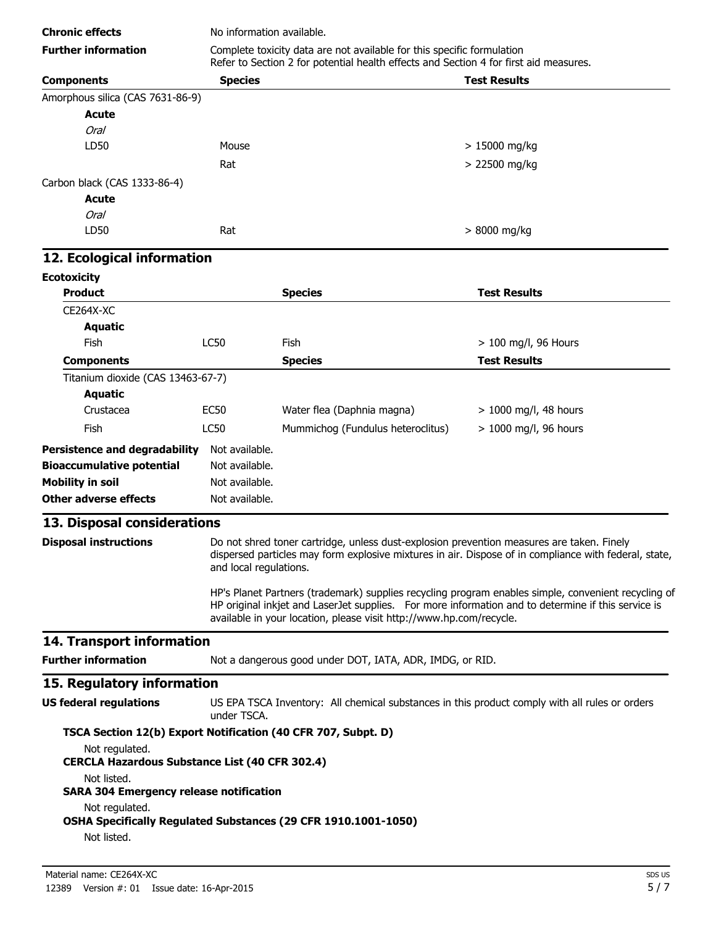| <b>Chronic effects</b>           | No information available. |                                                                                                                                                                 |  |  |
|----------------------------------|---------------------------|-----------------------------------------------------------------------------------------------------------------------------------------------------------------|--|--|
| <b>Further information</b>       |                           | Complete toxicity data are not available for this specific formulation<br>Refer to Section 2 for potential health effects and Section 4 for first aid measures. |  |  |
| <b>Components</b>                | <b>Species</b>            | <b>Test Results</b>                                                                                                                                             |  |  |
| Amorphous silica (CAS 7631-86-9) |                           |                                                                                                                                                                 |  |  |
| <b>Acute</b>                     |                           |                                                                                                                                                                 |  |  |
| Oral                             |                           |                                                                                                                                                                 |  |  |
| LD50                             | Mouse                     | $>15000$ mg/kg                                                                                                                                                  |  |  |
|                                  | Rat                       | $> 22500$ mg/kg                                                                                                                                                 |  |  |
| Carbon black (CAS 1333-86-4)     |                           |                                                                                                                                                                 |  |  |
| <b>Acute</b>                     |                           |                                                                                                                                                                 |  |  |
| Oral                             |                           |                                                                                                                                                                 |  |  |
| LD50                             | Rat                       | > 8000 mg/kg                                                                                                                                                    |  |  |

### **12. Ecological information**

| <b>Ecotoxicity</b>                                                                                                                                                                                                                                           |                |                                                                     |                                                                                                                                                                                                           |
|--------------------------------------------------------------------------------------------------------------------------------------------------------------------------------------------------------------------------------------------------------------|----------------|---------------------------------------------------------------------|-----------------------------------------------------------------------------------------------------------------------------------------------------------------------------------------------------------|
| <b>Product</b>                                                                                                                                                                                                                                               |                | <b>Species</b>                                                      | <b>Test Results</b>                                                                                                                                                                                       |
| <b>CE264X-XC</b>                                                                                                                                                                                                                                             |                |                                                                     |                                                                                                                                                                                                           |
| <b>Aquatic</b>                                                                                                                                                                                                                                               |                |                                                                     |                                                                                                                                                                                                           |
| Fish                                                                                                                                                                                                                                                         | <b>LC50</b>    | Fish                                                                | $> 100$ mg/l, 96 Hours                                                                                                                                                                                    |
| <b>Components</b>                                                                                                                                                                                                                                            |                | <b>Species</b>                                                      | <b>Test Results</b>                                                                                                                                                                                       |
| Titanium dioxide (CAS 13463-67-7)                                                                                                                                                                                                                            |                |                                                                     |                                                                                                                                                                                                           |
| <b>Aquatic</b>                                                                                                                                                                                                                                               |                |                                                                     |                                                                                                                                                                                                           |
| Crustacea                                                                                                                                                                                                                                                    | <b>EC50</b>    | Water flea (Daphnia magna)                                          | > 1000 mg/l, 48 hours                                                                                                                                                                                     |
| Fish                                                                                                                                                                                                                                                         | <b>LC50</b>    | Mummichog (Fundulus heteroclitus)                                   | > 1000 mg/l, 96 hours                                                                                                                                                                                     |
| <b>Persistence and degradability</b>                                                                                                                                                                                                                         | Not available. |                                                                     |                                                                                                                                                                                                           |
| <b>Bioaccumulative potential</b>                                                                                                                                                                                                                             | Not available. |                                                                     |                                                                                                                                                                                                           |
| <b>Mobility in soil</b>                                                                                                                                                                                                                                      | Not available. |                                                                     |                                                                                                                                                                                                           |
| <b>Other adverse effects</b>                                                                                                                                                                                                                                 | Not available. |                                                                     |                                                                                                                                                                                                           |
| 13. Disposal considerations                                                                                                                                                                                                                                  |                |                                                                     |                                                                                                                                                                                                           |
| <b>Disposal instructions</b><br>Do not shred toner cartridge, unless dust-explosion prevention measures are taken. Finely<br>dispersed particles may form explosive mixtures in air. Dispose of in compliance with federal, state,<br>and local regulations. |                |                                                                     |                                                                                                                                                                                                           |
|                                                                                                                                                                                                                                                              |                | available in your location, please visit http://www.hp.com/recycle. | HP's Planet Partners (trademark) supplies recycling program enables simple, convenient recycling of<br>HP original inkjet and LaserJet supplies. For more information and to determine if this service is |
| 14. Transport information                                                                                                                                                                                                                                    |                |                                                                     |                                                                                                                                                                                                           |
| <b>Further information</b>                                                                                                                                                                                                                                   |                | Not a dangerous good under DOT, IATA, ADR, IMDG, or RID.            |                                                                                                                                                                                                           |
| 15. Regulatory information                                                                                                                                                                                                                                   |                |                                                                     |                                                                                                                                                                                                           |
| <b>US federal regulations</b>                                                                                                                                                                                                                                | under TSCA.    |                                                                     | US EPA TSCA Inventory: All chemical substances in this product comply with all rules or orders                                                                                                            |
| TSCA Section 12(b) Export Notification (40 CFR 707, Subpt. D)                                                                                                                                                                                                |                |                                                                     |                                                                                                                                                                                                           |
| Not regulated.                                                                                                                                                                                                                                               |                |                                                                     |                                                                                                                                                                                                           |

#### **CERCLA Hazardous Substance List (40 CFR 302.4)**

Not listed.

#### **SARA 304 Emergency release notification**

Not regulated.

#### **OSHA Specifically Regulated Substances (29 CFR 1910.1001-1050)**

Not listed.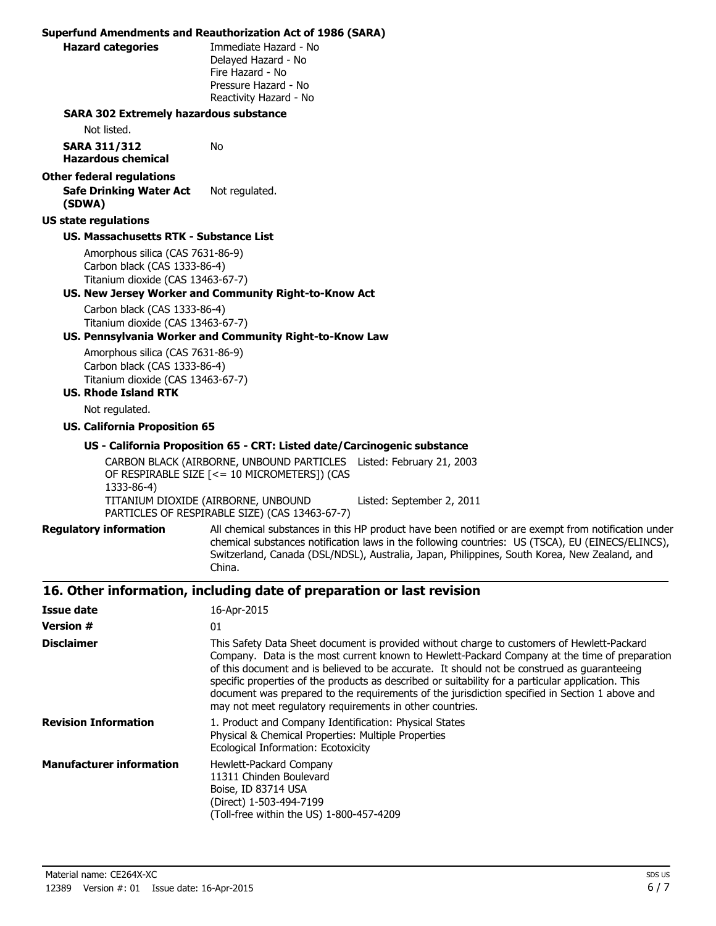| <b>Hazard categories</b>                                                                              | <b>Superfund Amendments and Reauthorization Act of 1986 (SARA)</b><br>Immediate Hazard - No<br>Delayed Hazard - No                                                                                                                                                                                                                                                                                                                                                                                                                                             |
|-------------------------------------------------------------------------------------------------------|----------------------------------------------------------------------------------------------------------------------------------------------------------------------------------------------------------------------------------------------------------------------------------------------------------------------------------------------------------------------------------------------------------------------------------------------------------------------------------------------------------------------------------------------------------------|
|                                                                                                       | Fire Hazard - No<br>Pressure Hazard - No<br>Reactivity Hazard - No                                                                                                                                                                                                                                                                                                                                                                                                                                                                                             |
| <b>SARA 302 Extremely hazardous substance</b>                                                         |                                                                                                                                                                                                                                                                                                                                                                                                                                                                                                                                                                |
| Not listed.                                                                                           |                                                                                                                                                                                                                                                                                                                                                                                                                                                                                                                                                                |
| <b>SARA 311/312</b><br><b>Hazardous chemical</b>                                                      | <b>No</b>                                                                                                                                                                                                                                                                                                                                                                                                                                                                                                                                                      |
| <b>Other federal regulations</b><br><b>Safe Drinking Water Act</b><br>(SDWA)                          | Not regulated.                                                                                                                                                                                                                                                                                                                                                                                                                                                                                                                                                 |
| <b>US state regulations</b>                                                                           |                                                                                                                                                                                                                                                                                                                                                                                                                                                                                                                                                                |
| <b>US. Massachusetts RTK - Substance List</b>                                                         |                                                                                                                                                                                                                                                                                                                                                                                                                                                                                                                                                                |
| Amorphous silica (CAS 7631-86-9)<br>Carbon black (CAS 1333-86-4)<br>Titanium dioxide (CAS 13463-67-7) |                                                                                                                                                                                                                                                                                                                                                                                                                                                                                                                                                                |
|                                                                                                       | US. New Jersey Worker and Community Right-to-Know Act                                                                                                                                                                                                                                                                                                                                                                                                                                                                                                          |
| Carbon black (CAS 1333-86-4)<br>Titanium dioxide (CAS 13463-67-7)                                     |                                                                                                                                                                                                                                                                                                                                                                                                                                                                                                                                                                |
|                                                                                                       | US. Pennsylvania Worker and Community Right-to-Know Law                                                                                                                                                                                                                                                                                                                                                                                                                                                                                                        |
| Amorphous silica (CAS 7631-86-9)<br>Carbon black (CAS 1333-86-4)                                      |                                                                                                                                                                                                                                                                                                                                                                                                                                                                                                                                                                |
| Titanium dioxide (CAS 13463-67-7)<br><b>US. Rhode Island RTK</b>                                      |                                                                                                                                                                                                                                                                                                                                                                                                                                                                                                                                                                |
|                                                                                                       |                                                                                                                                                                                                                                                                                                                                                                                                                                                                                                                                                                |
| Not regulated.                                                                                        |                                                                                                                                                                                                                                                                                                                                                                                                                                                                                                                                                                |
| <b>US. California Proposition 65</b>                                                                  |                                                                                                                                                                                                                                                                                                                                                                                                                                                                                                                                                                |
|                                                                                                       | US - California Proposition 65 - CRT: Listed date/Carcinogenic substance                                                                                                                                                                                                                                                                                                                                                                                                                                                                                       |
| 1333-86-4)                                                                                            | CARBON BLACK (AIRBORNE, UNBOUND PARTICLES Listed: February 21, 2003<br>OF RESPIRABLE SIZE [<= 10 MICROMETERS]) (CAS<br>TITANIUM DIOXIDE (AIRBORNE, UNBOUND<br>Listed: September 2, 2011                                                                                                                                                                                                                                                                                                                                                                        |
|                                                                                                       | PARTICLES OF RESPIRABLE SIZE) (CAS 13463-67-7)                                                                                                                                                                                                                                                                                                                                                                                                                                                                                                                 |
| <b>Regulatory information</b>                                                                         | All chemical substances in this HP product have been notified or are exempt from notification under<br>chemical substances notification laws in the following countries: US (TSCA), EU (EINECS/ELINCS),<br>Switzerland, Canada (DSL/NDSL), Australia, Japan, Philippines, South Korea, New Zealand, and<br>China.                                                                                                                                                                                                                                              |
|                                                                                                       | 16. Other information, including date of preparation or last revision                                                                                                                                                                                                                                                                                                                                                                                                                                                                                          |
|                                                                                                       |                                                                                                                                                                                                                                                                                                                                                                                                                                                                                                                                                                |
| <b>Issue date</b>                                                                                     | 16-Apr-2015                                                                                                                                                                                                                                                                                                                                                                                                                                                                                                                                                    |
| <b>Version #</b>                                                                                      | 01                                                                                                                                                                                                                                                                                                                                                                                                                                                                                                                                                             |
| <b>Disclaimer</b>                                                                                     | This Safety Data Sheet document is provided without charge to customers of Hewlett-Packard<br>Company. Data is the most current known to Hewlett-Packard Company at the time of preparation<br>of this document and is believed to be accurate. It should not be construed as guaranteeing<br>specific properties of the products as described or suitability for a particular application. This<br>document was prepared to the requirements of the jurisdiction specified in Section 1 above and<br>may not meet regulatory requirements in other countries. |
| <b>Revision Information</b>                                                                           | 1. Product and Company Identification: Physical States<br>Physical & Chemical Properties: Multiple Properties<br>Ecological Information: Ecotoxicity                                                                                                                                                                                                                                                                                                                                                                                                           |
| <b>Manufacturer information</b>                                                                       | Hewlett-Packard Company<br>11311 Chinden Boulevard                                                                                                                                                                                                                                                                                                                                                                                                                                                                                                             |

Boise, ID 83714 USA (Direct) 1-503-494-7199

(Toll-free within the US) 1-800-457-4209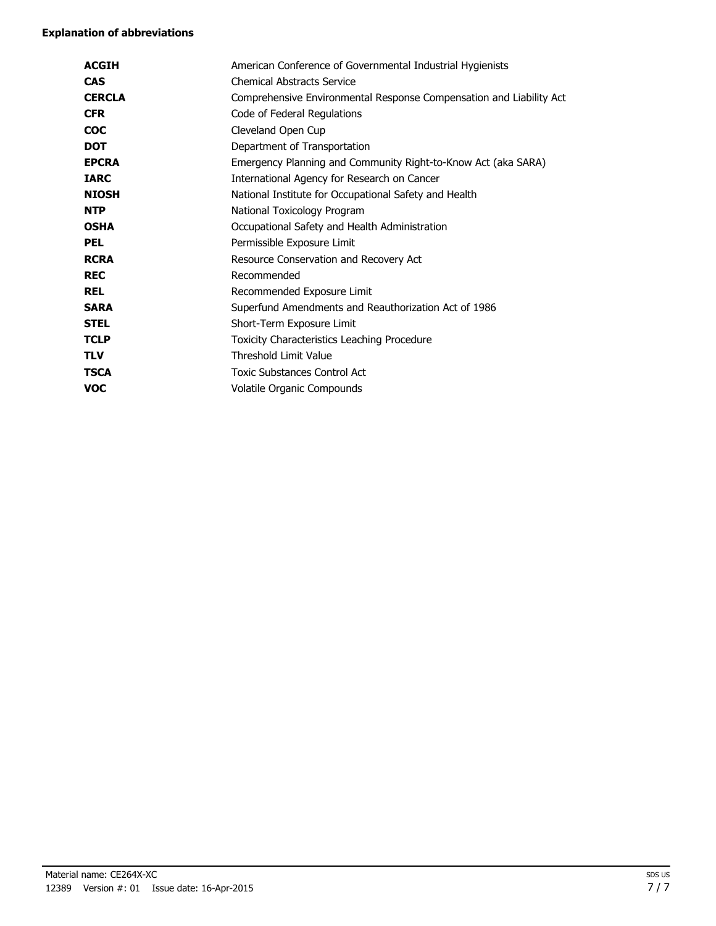#### **Explanation of abbreviations**

| <b>ACGIH</b>  | American Conference of Governmental Industrial Hygienists           |
|---------------|---------------------------------------------------------------------|
| <b>CAS</b>    | <b>Chemical Abstracts Service</b>                                   |
| <b>CERCLA</b> | Comprehensive Environmental Response Compensation and Liability Act |
| <b>CFR</b>    | Code of Federal Regulations                                         |
| <b>COC</b>    | Cleveland Open Cup                                                  |
| <b>DOT</b>    | Department of Transportation                                        |
| <b>EPCRA</b>  | Emergency Planning and Community Right-to-Know Act (aka SARA)       |
| <b>IARC</b>   | International Agency for Research on Cancer                         |
| <b>NIOSH</b>  | National Institute for Occupational Safety and Health               |
| <b>NTP</b>    | National Toxicology Program                                         |
| <b>OSHA</b>   | Occupational Safety and Health Administration                       |
| <b>PEL</b>    | Permissible Exposure Limit                                          |
| <b>RCRA</b>   | Resource Conservation and Recovery Act                              |
| <b>REC</b>    | Recommended                                                         |
| <b>REL</b>    | Recommended Exposure Limit                                          |
| <b>SARA</b>   | Superfund Amendments and Reauthorization Act of 1986                |
| <b>STEL</b>   | Short-Term Exposure Limit                                           |
| <b>TCLP</b>   | Toxicity Characteristics Leaching Procedure                         |
| <b>TLV</b>    | Threshold Limit Value                                               |
| <b>TSCA</b>   | <b>Toxic Substances Control Act</b>                                 |
| <b>VOC</b>    | Volatile Organic Compounds                                          |
|               |                                                                     |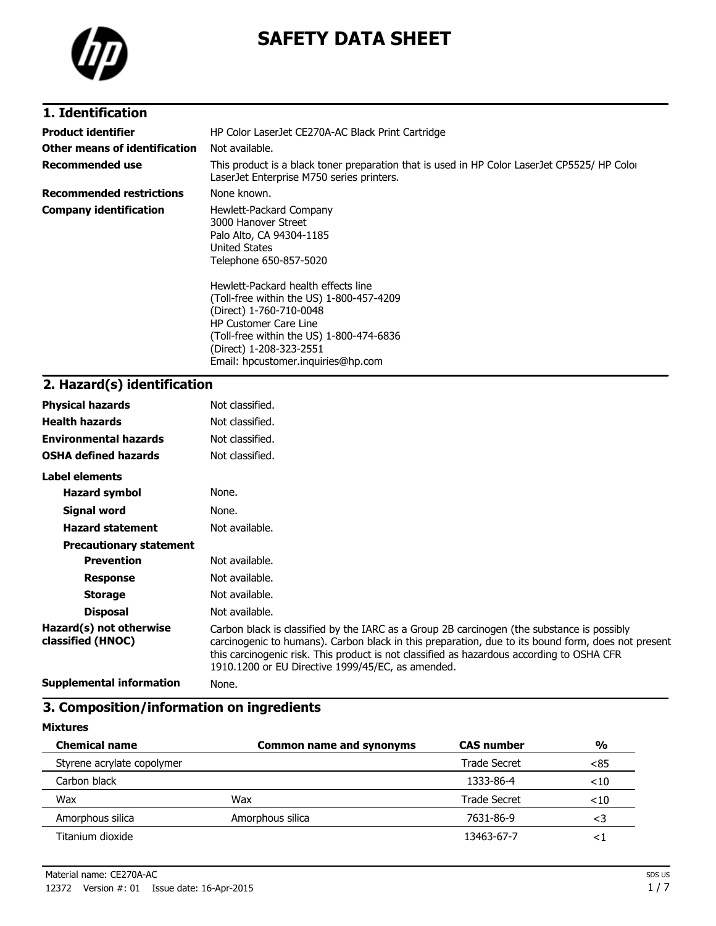

# **SAFETY DATA SHEET**

|  | 1. Identification |  |
|--|-------------------|--|
|--|-------------------|--|

| <b>Product identifier</b>       | HP Color LaserJet CE270A-AC Black Print Cartridge                                                                                                                                                                                                                                                                                                                                |
|---------------------------------|----------------------------------------------------------------------------------------------------------------------------------------------------------------------------------------------------------------------------------------------------------------------------------------------------------------------------------------------------------------------------------|
| Other means of identification   | Not available.                                                                                                                                                                                                                                                                                                                                                                   |
| <b>Recommended use</b>          | This product is a black toner preparation that is used in HP Color LaserJet CP5525/HP Color<br>LaserJet Enterprise M750 series printers.                                                                                                                                                                                                                                         |
| <b>Recommended restrictions</b> | None known.                                                                                                                                                                                                                                                                                                                                                                      |
| <b>Company identification</b>   | Hewlett-Packard Company<br>3000 Hanover Street<br>Palo Alto, CA 94304-1185<br>United States<br>Telephone 650-857-5020<br>Hewlett-Packard health effects line<br>(Toll-free within the US) 1-800-457-4209<br>(Direct) 1-760-710-0048<br><b>HP Customer Care Line</b><br>(Toll-free within the US) 1-800-474-6836<br>(Direct) 1-208-323-2551<br>Email: hpcustomer.inquiries@hp.com |

# **2. Hazard(s) identification**

| <b>Physical hazards</b>                      | Not classified.                                                                                                                                                                                                                                                                                                                                    |
|----------------------------------------------|----------------------------------------------------------------------------------------------------------------------------------------------------------------------------------------------------------------------------------------------------------------------------------------------------------------------------------------------------|
| <b>Health hazards</b>                        | Not classified.                                                                                                                                                                                                                                                                                                                                    |
| <b>Environmental hazards</b>                 | Not classified.                                                                                                                                                                                                                                                                                                                                    |
| <b>OSHA defined hazards</b>                  | Not classified.                                                                                                                                                                                                                                                                                                                                    |
| <b>Label elements</b>                        |                                                                                                                                                                                                                                                                                                                                                    |
| <b>Hazard symbol</b>                         | None.                                                                                                                                                                                                                                                                                                                                              |
| Signal word                                  | None.                                                                                                                                                                                                                                                                                                                                              |
| <b>Hazard statement</b>                      | Not available.                                                                                                                                                                                                                                                                                                                                     |
| <b>Precautionary statement</b>               |                                                                                                                                                                                                                                                                                                                                                    |
| <b>Prevention</b>                            | Not available.                                                                                                                                                                                                                                                                                                                                     |
| <b>Response</b>                              | Not available.                                                                                                                                                                                                                                                                                                                                     |
| <b>Storage</b>                               | Not available.                                                                                                                                                                                                                                                                                                                                     |
| <b>Disposal</b>                              | Not available.                                                                                                                                                                                                                                                                                                                                     |
| Hazard(s) not otherwise<br>classified (HNOC) | Carbon black is classified by the IARC as a Group 2B carcinogen (the substance is possibly<br>carcinogenic to humans). Carbon black in this preparation, due to its bound form, does not present<br>this carcinogenic risk. This product is not classified as hazardous according to OSHA CFR<br>1910.1200 or EU Directive 1999/45/EC, as amended. |
| <b>Supplemental information</b>              | None.                                                                                                                                                                                                                                                                                                                                              |

### **3. Composition/information on ingredients**

**Mixtures**

| <b>Chemical name</b>       | <b>Common name and synonyms</b> | <b>CAS number</b>   | $\frac{0}{0}$ |
|----------------------------|---------------------------------|---------------------|---------------|
| Styrene acrylate copolymer |                                 | <b>Trade Secret</b> | < 85          |
| Carbon black               |                                 | 1333-86-4           | $<$ 10        |
| Wax                        | Wax                             | <b>Trade Secret</b> | < 10          |
| Amorphous silica           | Amorphous silica                | 7631-86-9           | ≺3            |
| Titanium dioxide           |                                 | 13463-67-7          | $\leq$        |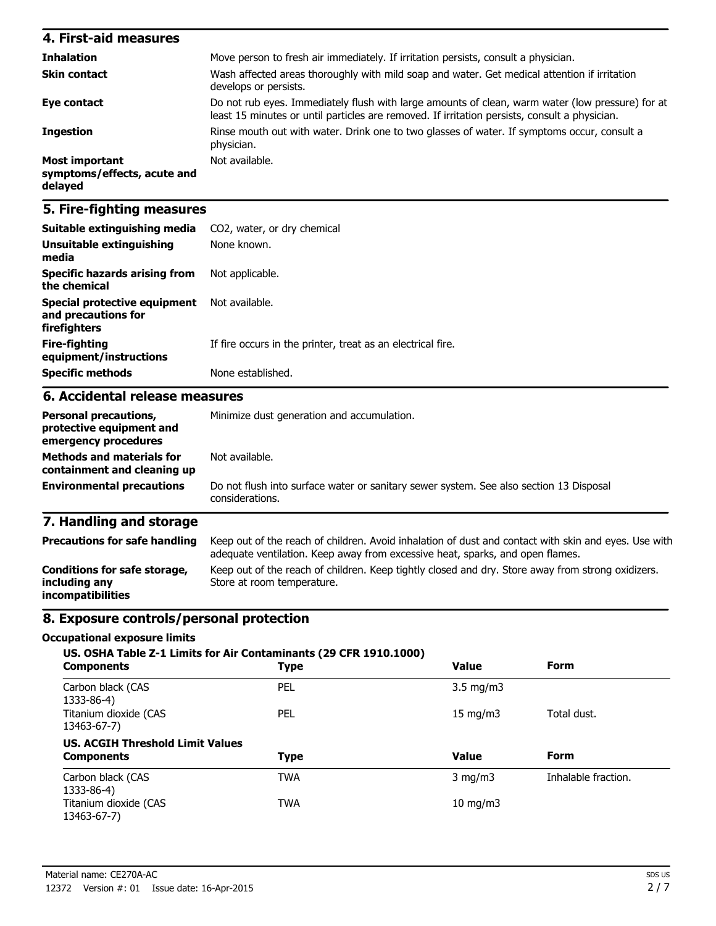| 4. First-aid measures                                    |                                                                                                                                                                                                   |
|----------------------------------------------------------|---------------------------------------------------------------------------------------------------------------------------------------------------------------------------------------------------|
| <b>Inhalation</b>                                        | Move person to fresh air immediately. If irritation persists, consult a physician.                                                                                                                |
| <b>Skin contact</b>                                      | Wash affected areas thoroughly with mild soap and water. Get medical attention if irritation<br>develops or persists.                                                                             |
| Eye contact                                              | Do not rub eyes. Immediately flush with large amounts of clean, warm water (low pressure) for at<br>least 15 minutes or until particles are removed. If irritation persists, consult a physician. |
| <b>Ingestion</b>                                         | Rinse mouth out with water. Drink one to two glasses of water. If symptoms occur, consult a<br>physician.                                                                                         |
| Most important<br>symptoms/effects, acute and<br>delayed | Not available.                                                                                                                                                                                    |

## **5. Fire-fighting measures**

| Suitable extinguishing media                                                                 | CO2, water, or dry chemical                                                                                                                                                           |  |  |
|----------------------------------------------------------------------------------------------|---------------------------------------------------------------------------------------------------------------------------------------------------------------------------------------|--|--|
| <b>Unsuitable extinguishing</b><br>media                                                     | None known.                                                                                                                                                                           |  |  |
| <b>Specific hazards arising from</b><br>the chemical                                         | Not applicable.                                                                                                                                                                       |  |  |
| <b>Special protective equipment</b><br>Not available.<br>and precautions for<br>firefighters |                                                                                                                                                                                       |  |  |
| <b>Fire-fighting</b><br>equipment/instructions                                               | If fire occurs in the printer, treat as an electrical fire.                                                                                                                           |  |  |
| <b>Specific methods</b>                                                                      | None established.                                                                                                                                                                     |  |  |
| 6. Accidental release measures                                                               |                                                                                                                                                                                       |  |  |
| <b>Personal precautions,</b><br>protective equipment and<br>emergency procedures             | Minimize dust generation and accumulation.                                                                                                                                            |  |  |
| <b>Methods and materials for</b><br>containment and cleaning up                              | Not available.                                                                                                                                                                        |  |  |
| <b>Environmental precautions</b>                                                             | Do not flush into surface water or sanitary sewer system. See also section 13 Disposal<br>considerations.                                                                             |  |  |
| 7. Handling and storage                                                                      |                                                                                                                                                                                       |  |  |
| <b>Precautions for safe handling</b>                                                         | Keep out of the reach of children. Avoid inhalation of dust and contact with skin and eyes. Use with<br>adequate ventilation. Keep away from excessive heat, sparks, and open flames. |  |  |
| <b>Conditions for safe storage,</b><br>including any                                         | Keep out of the reach of children. Keep tightly closed and dry. Store away from strong oxidizers.<br>Store at room temperature.                                                       |  |  |

## **8. Exposure controls/personal protection**

#### **Occupational exposure limits**

**including any incompatibilities**

| <b>Components</b>                       | US. OSHA Table Z-1 Limits for Air Contaminants (29 CFR 1910.1000)<br><b>Type</b> | <b>Value</b>       | <b>Form</b>         |
|-----------------------------------------|----------------------------------------------------------------------------------|--------------------|---------------------|
| Carbon black (CAS<br>1333-86-4)         | PEL                                                                              | $3.5 \text{ mg/m}$ |                     |
| Titanium dioxide (CAS<br>13463-67-7)    | PEL                                                                              | $15 \text{ mg/m}$  | Total dust.         |
| <b>US. ACGIH Threshold Limit Values</b> |                                                                                  |                    |                     |
| <b>Components</b>                       | Type                                                                             | <b>Value</b>       | Form                |
| Carbon black (CAS<br>1333-86-4)         | TWA                                                                              | $3 \text{ mg/m}$   | Inhalable fraction. |
| Titanium dioxide (CAS<br>13463-67-7)    | <b>TWA</b>                                                                       | $10$ mg/m $3$      |                     |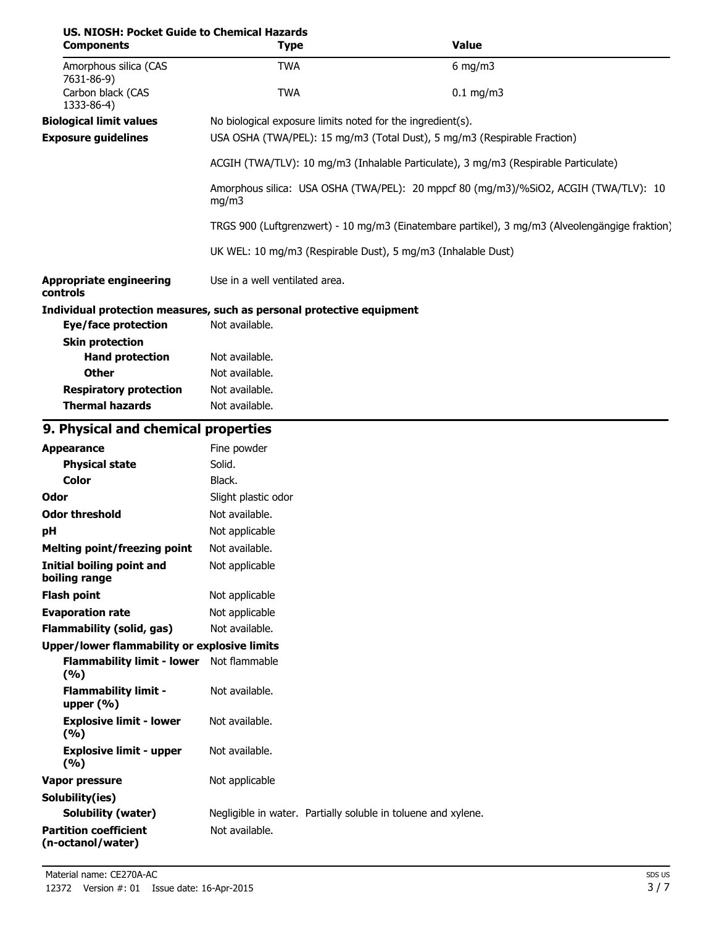| US. NIOSH: Pocket Guide to Chemical Hazards<br><b>Components</b>      | <b>Type</b>                                                                                    |                                                               | <b>Value</b>                                                                         |  |
|-----------------------------------------------------------------------|------------------------------------------------------------------------------------------------|---------------------------------------------------------------|--------------------------------------------------------------------------------------|--|
| Amorphous silica (CAS<br>7631-86-9)                                   | <b>TWA</b>                                                                                     |                                                               | 6 mg/m $3$                                                                           |  |
| Carbon black (CAS<br>1333-86-4)                                       | <b>TWA</b>                                                                                     |                                                               | $0.1$ mg/m3                                                                          |  |
| <b>Biological limit values</b>                                        | No biological exposure limits noted for the ingredient(s).                                     |                                                               |                                                                                      |  |
| <b>Exposure guidelines</b>                                            |                                                                                                |                                                               | USA OSHA (TWA/PEL): 15 mg/m3 (Total Dust), 5 mg/m3 (Respirable Fraction)             |  |
|                                                                       |                                                                                                |                                                               | ACGIH (TWA/TLV): 10 mg/m3 (Inhalable Particulate), 3 mg/m3 (Respirable Particulate)  |  |
|                                                                       | mg/m3                                                                                          |                                                               | Amorphous silica: USA OSHA (TWA/PEL): 20 mppcf 80 (mg/m3)/%SiO2, ACGIH (TWA/TLV): 10 |  |
|                                                                       | TRGS 900 (Luftgrenzwert) - 10 mg/m3 (Einatembare partikel), 3 mg/m3 (Alveolengängige fraktion) |                                                               |                                                                                      |  |
|                                                                       |                                                                                                | UK WEL: 10 mg/m3 (Respirable Dust), 5 mg/m3 (Inhalable Dust)  |                                                                                      |  |
| <b>Appropriate engineering</b><br>controls                            | Use in a well ventilated area.                                                                 |                                                               |                                                                                      |  |
| Individual protection measures, such as personal protective equipment |                                                                                                |                                                               |                                                                                      |  |
| Eye/face protection                                                   | Not available.                                                                                 |                                                               |                                                                                      |  |
| <b>Skin protection</b>                                                |                                                                                                |                                                               |                                                                                      |  |
| <b>Hand protection</b>                                                | Not available.                                                                                 |                                                               |                                                                                      |  |
| <b>Other</b>                                                          | Not available.                                                                                 |                                                               |                                                                                      |  |
| <b>Respiratory protection</b>                                         | Not available.                                                                                 |                                                               |                                                                                      |  |
| <b>Thermal hazards</b>                                                | Not available.                                                                                 |                                                               |                                                                                      |  |
| 9. Physical and chemical properties                                   |                                                                                                |                                                               |                                                                                      |  |
| <b>Appearance</b>                                                     | Fine powder                                                                                    |                                                               |                                                                                      |  |
| <b>Physical state</b>                                                 | Solid.                                                                                         |                                                               |                                                                                      |  |
| <b>Color</b>                                                          | Black.                                                                                         |                                                               |                                                                                      |  |
| Odor                                                                  | Slight plastic odor                                                                            |                                                               |                                                                                      |  |
| <b>Odor threshold</b>                                                 | Not available.                                                                                 |                                                               |                                                                                      |  |
| pH                                                                    | Not applicable                                                                                 |                                                               |                                                                                      |  |
| <b>Melting point/freezing point</b>                                   | Not available.                                                                                 |                                                               |                                                                                      |  |
| <b>Initial boiling point and</b><br>boiling range                     | Not applicable                                                                                 |                                                               |                                                                                      |  |
| <b>Flash point</b>                                                    | Not applicable                                                                                 |                                                               |                                                                                      |  |
| <b>Evaporation rate</b>                                               | Not applicable                                                                                 |                                                               |                                                                                      |  |
| <b>Flammability (solid, gas)</b>                                      | Not available.                                                                                 |                                                               |                                                                                      |  |
| Upper/lower flammability or explosive limits                          |                                                                                                |                                                               |                                                                                      |  |
| Flammability limit - lower Not flammable<br>(%)                       |                                                                                                |                                                               |                                                                                      |  |
| <b>Flammability limit -</b><br>upper $(% )$                           | Not available.                                                                                 |                                                               |                                                                                      |  |
| <b>Explosive limit - lower</b><br>(%)                                 | Not available.                                                                                 |                                                               |                                                                                      |  |
| <b>Explosive limit - upper</b><br>(%)                                 | Not available.                                                                                 |                                                               |                                                                                      |  |
| <b>Vapor pressure</b>                                                 | Not applicable                                                                                 |                                                               |                                                                                      |  |
| Solubility(ies)                                                       |                                                                                                |                                                               |                                                                                      |  |
| <b>Solubility (water)</b>                                             |                                                                                                | Negligible in water. Partially soluble in toluene and xylene. |                                                                                      |  |
| <b>Partition coefficient</b><br>(n-octanol/water)                     | Not available.                                                                                 |                                                               |                                                                                      |  |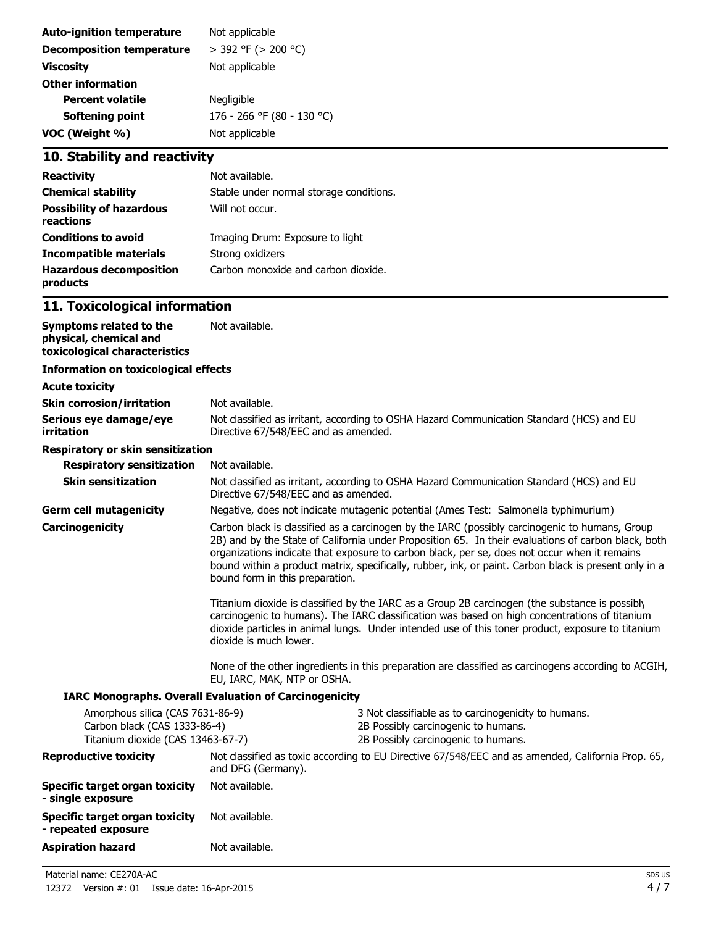| <b>Auto-ignition temperature</b> | Not applicable             |
|----------------------------------|----------------------------|
| <b>Decomposition temperature</b> | $>$ 392 °F ( $>$ 200 °C)   |
| <b>Viscosity</b>                 | Not applicable             |
| <b>Other information</b>         |                            |
| <b>Percent volatile</b>          | <b>Negligible</b>          |
| Softening point                  | 176 - 266 °F (80 - 130 °C) |
| VOC (Weight %)                   | Not applicable             |

# **10. Stability and reactivity**

| <b>Reactivity</b>                            | Not available.                          |
|----------------------------------------------|-----------------------------------------|
| <b>Chemical stability</b>                    | Stable under normal storage conditions. |
| <b>Possibility of hazardous</b><br>reactions | Will not occur.                         |
| <b>Conditions to avoid</b>                   | Imaging Drum: Exposure to light         |
| Incompatible materials                       | Strong oxidizers                        |
| <b>Hazardous decomposition</b><br>products   | Carbon monoxide and carbon dioxide.     |

# **11. Toxicological information**

| Symptoms related to the<br>physical, chemical and<br>toxicological characteristics                    | Not available.                                                                                                                                                                                                                                                                                                                                                                                                                                    |                                                                                                                                                                                                                                                                                                      |  |
|-------------------------------------------------------------------------------------------------------|---------------------------------------------------------------------------------------------------------------------------------------------------------------------------------------------------------------------------------------------------------------------------------------------------------------------------------------------------------------------------------------------------------------------------------------------------|------------------------------------------------------------------------------------------------------------------------------------------------------------------------------------------------------------------------------------------------------------------------------------------------------|--|
| <b>Information on toxicological effects</b>                                                           |                                                                                                                                                                                                                                                                                                                                                                                                                                                   |                                                                                                                                                                                                                                                                                                      |  |
| <b>Acute toxicity</b>                                                                                 |                                                                                                                                                                                                                                                                                                                                                                                                                                                   |                                                                                                                                                                                                                                                                                                      |  |
| Skin corrosion/irritation                                                                             | Not available.                                                                                                                                                                                                                                                                                                                                                                                                                                    |                                                                                                                                                                                                                                                                                                      |  |
| Serious eye damage/eye<br>irritation                                                                  | Directive 67/548/EEC and as amended.                                                                                                                                                                                                                                                                                                                                                                                                              | Not classified as irritant, according to OSHA Hazard Communication Standard (HCS) and EU                                                                                                                                                                                                             |  |
| Respiratory or skin sensitization                                                                     |                                                                                                                                                                                                                                                                                                                                                                                                                                                   |                                                                                                                                                                                                                                                                                                      |  |
| <b>Respiratory sensitization</b>                                                                      | Not available.                                                                                                                                                                                                                                                                                                                                                                                                                                    |                                                                                                                                                                                                                                                                                                      |  |
| <b>Skin sensitization</b>                                                                             | Directive 67/548/EEC and as amended.                                                                                                                                                                                                                                                                                                                                                                                                              | Not classified as irritant, according to OSHA Hazard Communication Standard (HCS) and EU                                                                                                                                                                                                             |  |
| Germ cell mutagenicity                                                                                |                                                                                                                                                                                                                                                                                                                                                                                                                                                   | Negative, does not indicate mutagenic potential (Ames Test: Salmonella typhimurium)                                                                                                                                                                                                                  |  |
| <b>Carcinogenicity</b>                                                                                | Carbon black is classified as a carcinogen by the IARC (possibly carcinogenic to humans, Group<br>2B) and by the State of California under Proposition 65. In their evaluations of carbon black, both<br>organizations indicate that exposure to carbon black, per se, does not occur when it remains<br>bound within a product matrix, specifically, rubber, ink, or paint. Carbon black is present only in a<br>bound form in this preparation. |                                                                                                                                                                                                                                                                                                      |  |
|                                                                                                       | dioxide is much lower.                                                                                                                                                                                                                                                                                                                                                                                                                            | Titanium dioxide is classified by the IARC as a Group 2B carcinogen (the substance is possibly<br>carcinogenic to humans). The IARC classification was based on high concentrations of titanium<br>dioxide particles in animal lungs. Under intended use of this toner product, exposure to titanium |  |
|                                                                                                       | EU, IARC, MAK, NTP or OSHA.                                                                                                                                                                                                                                                                                                                                                                                                                       | None of the other ingredients in this preparation are classified as carcinogens according to ACGIH,                                                                                                                                                                                                  |  |
|                                                                                                       | <b>IARC Monographs. Overall Evaluation of Carcinogenicity</b>                                                                                                                                                                                                                                                                                                                                                                                     |                                                                                                                                                                                                                                                                                                      |  |
| Amorphous silica (CAS 7631-86-9)<br>Carbon black (CAS 1333-86-4)<br>Titanium dioxide (CAS 13463-67-7) |                                                                                                                                                                                                                                                                                                                                                                                                                                                   | 3 Not classifiable as to carcinogenicity to humans.<br>2B Possibly carcinogenic to humans.<br>2B Possibly carcinogenic to humans.                                                                                                                                                                    |  |
| <b>Reproductive toxicity</b>                                                                          | and DFG (Germany).                                                                                                                                                                                                                                                                                                                                                                                                                                | Not classified as toxic according to EU Directive 67/548/EEC and as amended, California Prop. 65,                                                                                                                                                                                                    |  |
| Specific target organ toxicity<br>- single exposure                                                   | Not available.                                                                                                                                                                                                                                                                                                                                                                                                                                    |                                                                                                                                                                                                                                                                                                      |  |
| Specific target organ toxicity<br>- repeated exposure                                                 | Not available.                                                                                                                                                                                                                                                                                                                                                                                                                                    |                                                                                                                                                                                                                                                                                                      |  |
| <b>Aspiration hazard</b>                                                                              | Not available.                                                                                                                                                                                                                                                                                                                                                                                                                                    |                                                                                                                                                                                                                                                                                                      |  |
|                                                                                                       |                                                                                                                                                                                                                                                                                                                                                                                                                                                   |                                                                                                                                                                                                                                                                                                      |  |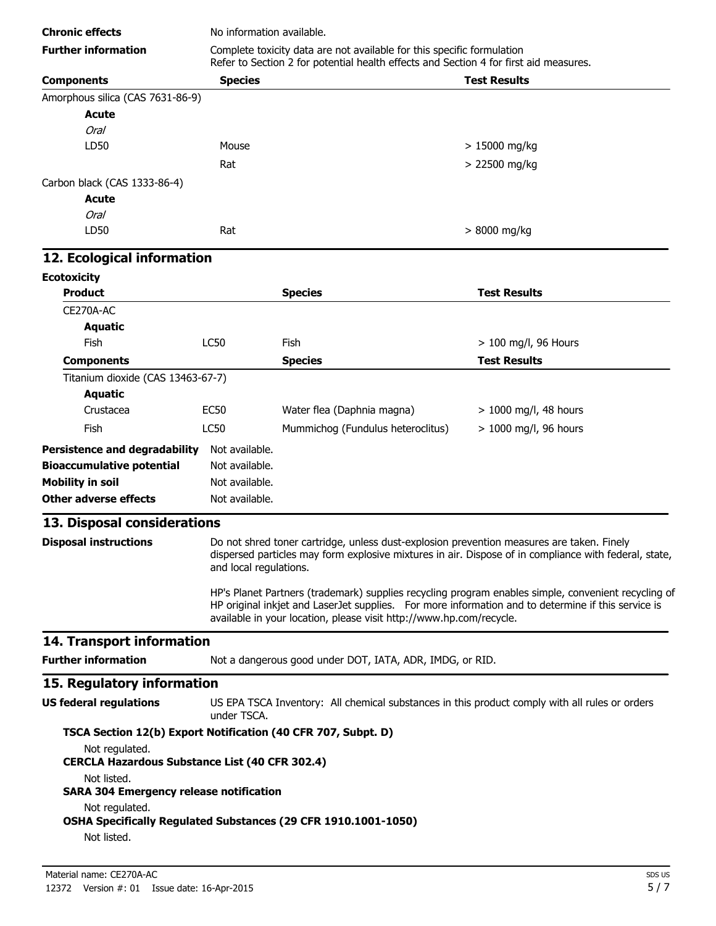| <b>Chronic effects</b>           | No information available. |                                                                                                                                                                 |  |
|----------------------------------|---------------------------|-----------------------------------------------------------------------------------------------------------------------------------------------------------------|--|
| <b>Further information</b>       |                           | Complete toxicity data are not available for this specific formulation<br>Refer to Section 2 for potential health effects and Section 4 for first aid measures. |  |
| <b>Components</b>                | <b>Species</b>            | <b>Test Results</b>                                                                                                                                             |  |
| Amorphous silica (CAS 7631-86-9) |                           |                                                                                                                                                                 |  |
| <b>Acute</b>                     |                           |                                                                                                                                                                 |  |
| Oral                             |                           |                                                                                                                                                                 |  |
| LD50                             | Mouse                     | $>15000$ mg/kg                                                                                                                                                  |  |
|                                  | Rat                       | $> 22500$ mg/kg                                                                                                                                                 |  |
| Carbon black (CAS 1333-86-4)     |                           |                                                                                                                                                                 |  |
| <b>Acute</b>                     |                           |                                                                                                                                                                 |  |
| Oral                             |                           |                                                                                                                                                                 |  |
| LD50                             | Rat                       | > 8000 mg/kg                                                                                                                                                    |  |

## **12. Ecological information**

| <b>Ecotoxicity</b>                                                                                                                       |                                                                                                                                                                                                                              |                                                                     |                                                                                                                                                                                                           |
|------------------------------------------------------------------------------------------------------------------------------------------|------------------------------------------------------------------------------------------------------------------------------------------------------------------------------------------------------------------------------|---------------------------------------------------------------------|-----------------------------------------------------------------------------------------------------------------------------------------------------------------------------------------------------------|
| <b>Product</b>                                                                                                                           |                                                                                                                                                                                                                              | <b>Species</b>                                                      | <b>Test Results</b>                                                                                                                                                                                       |
| CE270A-AC                                                                                                                                |                                                                                                                                                                                                                              |                                                                     |                                                                                                                                                                                                           |
| <b>Aquatic</b>                                                                                                                           |                                                                                                                                                                                                                              |                                                                     |                                                                                                                                                                                                           |
| Fish                                                                                                                                     | <b>LC50</b>                                                                                                                                                                                                                  | Fish                                                                | > 100 mg/l, 96 Hours                                                                                                                                                                                      |
| <b>Components</b>                                                                                                                        |                                                                                                                                                                                                                              | <b>Species</b>                                                      | <b>Test Results</b>                                                                                                                                                                                       |
| Titanium dioxide (CAS 13463-67-7)                                                                                                        |                                                                                                                                                                                                                              |                                                                     |                                                                                                                                                                                                           |
| <b>Aquatic</b>                                                                                                                           |                                                                                                                                                                                                                              |                                                                     |                                                                                                                                                                                                           |
| Crustacea                                                                                                                                | <b>EC50</b>                                                                                                                                                                                                                  | Water flea (Daphnia magna)                                          | $> 1000$ mg/l, 48 hours                                                                                                                                                                                   |
| Fish                                                                                                                                     | <b>LC50</b>                                                                                                                                                                                                                  | Mummichog (Fundulus heteroclitus)                                   | $> 1000$ mg/l, 96 hours                                                                                                                                                                                   |
| <b>Persistence and degradability</b>                                                                                                     | Not available.                                                                                                                                                                                                               |                                                                     |                                                                                                                                                                                                           |
| <b>Bioaccumulative potential</b>                                                                                                         | Not available.                                                                                                                                                                                                               |                                                                     |                                                                                                                                                                                                           |
| <b>Mobility in soil</b>                                                                                                                  | Not available.                                                                                                                                                                                                               |                                                                     |                                                                                                                                                                                                           |
| <b>Other adverse effects</b>                                                                                                             | Not available.                                                                                                                                                                                                               |                                                                     |                                                                                                                                                                                                           |
| 13. Disposal considerations                                                                                                              |                                                                                                                                                                                                                              |                                                                     |                                                                                                                                                                                                           |
| <b>Disposal instructions</b>                                                                                                             | Do not shred toner cartridge, unless dust-explosion prevention measures are taken. Finely<br>dispersed particles may form explosive mixtures in air. Dispose of in compliance with federal, state,<br>and local regulations. |                                                                     |                                                                                                                                                                                                           |
|                                                                                                                                          |                                                                                                                                                                                                                              | available in your location, please visit http://www.hp.com/recycle. | HP's Planet Partners (trademark) supplies recycling program enables simple, convenient recycling of<br>HP original inkjet and LaserJet supplies. For more information and to determine if this service is |
| 14. Transport information                                                                                                                |                                                                                                                                                                                                                              |                                                                     |                                                                                                                                                                                                           |
| <b>Further information</b>                                                                                                               |                                                                                                                                                                                                                              | Not a dangerous good under DOT, IATA, ADR, IMDG, or RID.            |                                                                                                                                                                                                           |
| 15. Regulatory information                                                                                                               |                                                                                                                                                                                                                              |                                                                     |                                                                                                                                                                                                           |
| <b>US federal regulations</b>                                                                                                            | under TSCA.                                                                                                                                                                                                                  |                                                                     | US EPA TSCA Inventory: All chemical substances in this product comply with all rules or orders                                                                                                            |
| TSCA Section 12(b) Export Notification (40 CFR 707, Subpt. D)<br>Not regulated.<br><b>CERCLA Hazardous Substance List (40 CFR 302.4)</b> |                                                                                                                                                                                                                              |                                                                     |                                                                                                                                                                                                           |

Not listed.

**SARA 304 Emergency release notification**

Not regulated.

**OSHA Specifically Regulated Substances (29 CFR 1910.1001-1050)**

Not listed.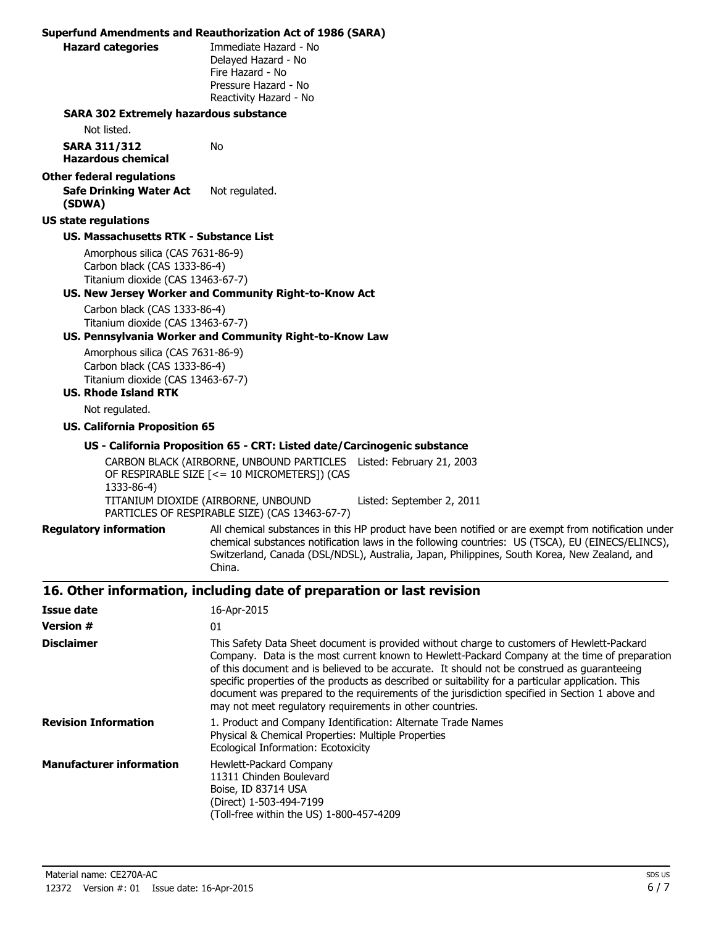|                                                                                                                                      | <b>Superfund Amendments and Reauthorization Act of 1986 (SARA)</b>                                                                                                                                                                                                                                                                                                                                                                                                                                                                                             |
|--------------------------------------------------------------------------------------------------------------------------------------|----------------------------------------------------------------------------------------------------------------------------------------------------------------------------------------------------------------------------------------------------------------------------------------------------------------------------------------------------------------------------------------------------------------------------------------------------------------------------------------------------------------------------------------------------------------|
| <b>Hazard categories</b>                                                                                                             | Immediate Hazard - No<br>Delayed Hazard - No<br>Fire Hazard - No<br>Pressure Hazard - No<br>Reactivity Hazard - No                                                                                                                                                                                                                                                                                                                                                                                                                                             |
| <b>SARA 302 Extremely hazardous substance</b>                                                                                        |                                                                                                                                                                                                                                                                                                                                                                                                                                                                                                                                                                |
| Not listed.                                                                                                                          |                                                                                                                                                                                                                                                                                                                                                                                                                                                                                                                                                                |
| <b>SARA 311/312</b><br><b>Hazardous chemical</b>                                                                                     | <b>No</b>                                                                                                                                                                                                                                                                                                                                                                                                                                                                                                                                                      |
| <b>Other federal regulations</b><br><b>Safe Drinking Water Act</b><br>(SDWA)                                                         | Not regulated.                                                                                                                                                                                                                                                                                                                                                                                                                                                                                                                                                 |
| <b>US state regulations</b>                                                                                                          |                                                                                                                                                                                                                                                                                                                                                                                                                                                                                                                                                                |
| <b>US. Massachusetts RTK - Substance List</b>                                                                                        |                                                                                                                                                                                                                                                                                                                                                                                                                                                                                                                                                                |
| Amorphous silica (CAS 7631-86-9)<br>Carbon black (CAS 1333-86-4)<br>Titanium dioxide (CAS 13463-67-7)                                | US. New Jersey Worker and Community Right-to-Know Act                                                                                                                                                                                                                                                                                                                                                                                                                                                                                                          |
| Carbon black (CAS 1333-86-4)<br>Titanium dioxide (CAS 13463-67-7)                                                                    | US. Pennsylvania Worker and Community Right-to-Know Law                                                                                                                                                                                                                                                                                                                                                                                                                                                                                                        |
| Amorphous silica (CAS 7631-86-9)<br>Carbon black (CAS 1333-86-4)<br>Titanium dioxide (CAS 13463-67-7)<br><b>US. Rhode Island RTK</b> |                                                                                                                                                                                                                                                                                                                                                                                                                                                                                                                                                                |
| Not regulated.                                                                                                                       |                                                                                                                                                                                                                                                                                                                                                                                                                                                                                                                                                                |
| <b>US. California Proposition 65</b>                                                                                                 |                                                                                                                                                                                                                                                                                                                                                                                                                                                                                                                                                                |
|                                                                                                                                      | US - California Proposition 65 - CRT: Listed date/Carcinogenic substance                                                                                                                                                                                                                                                                                                                                                                                                                                                                                       |
| 1333-86-4)                                                                                                                           | CARBON BLACK (AIRBORNE, UNBOUND PARTICLES Listed: February 21, 2003<br>OF RESPIRABLE SIZE [<= 10 MICROMETERS]) (CAS<br>TITANIUM DIOXIDE (AIRBORNE, UNBOUND<br>Listed: September 2, 2011<br>PARTICLES OF RESPIRABLE SIZE) (CAS 13463-67-7)                                                                                                                                                                                                                                                                                                                      |
| <b>Regulatory information</b>                                                                                                        | All chemical substances in this HP product have been notified or are exempt from notification under<br>chemical substances notification laws in the following countries: US (TSCA), EU (EINECS/ELINCS),<br>Switzerland, Canada (DSL/NDSL), Australia, Japan, Philippines, South Korea, New Zealand, and<br>China.                                                                                                                                                                                                                                              |
|                                                                                                                                      | 16. Other information, including date of preparation or last revision                                                                                                                                                                                                                                                                                                                                                                                                                                                                                          |
| <b>Issue date</b>                                                                                                                    | 16-Apr-2015                                                                                                                                                                                                                                                                                                                                                                                                                                                                                                                                                    |
| <b>Version #</b>                                                                                                                     | 01                                                                                                                                                                                                                                                                                                                                                                                                                                                                                                                                                             |
| <b>Disclaimer</b>                                                                                                                    | This Safety Data Sheet document is provided without charge to customers of Hewlett-Packard<br>Company. Data is the most current known to Hewlett-Packard Company at the time of preparation<br>of this document and is believed to be accurate. It should not be construed as guaranteeing<br>specific properties of the products as described or suitability for a particular application. This<br>document was prepared to the requirements of the jurisdiction specified in Section 1 above and<br>may not meet regulatory requirements in other countries. |
| <b>Revision Information</b>                                                                                                          | 1. Product and Company Identification: Alternate Trade Names<br>Physical & Chemical Properties: Multiple Properties<br>Ecological Information: Ecotoxicity                                                                                                                                                                                                                                                                                                                                                                                                     |
| <b>Manufacturer information</b>                                                                                                      | Hewlett-Packard Company<br>11311 Chinden Boulevard                                                                                                                                                                                                                                                                                                                                                                                                                                                                                                             |

Boise, ID 83714 USA (Direct) 1-503-494-7199

(Toll-free within the US) 1-800-457-4209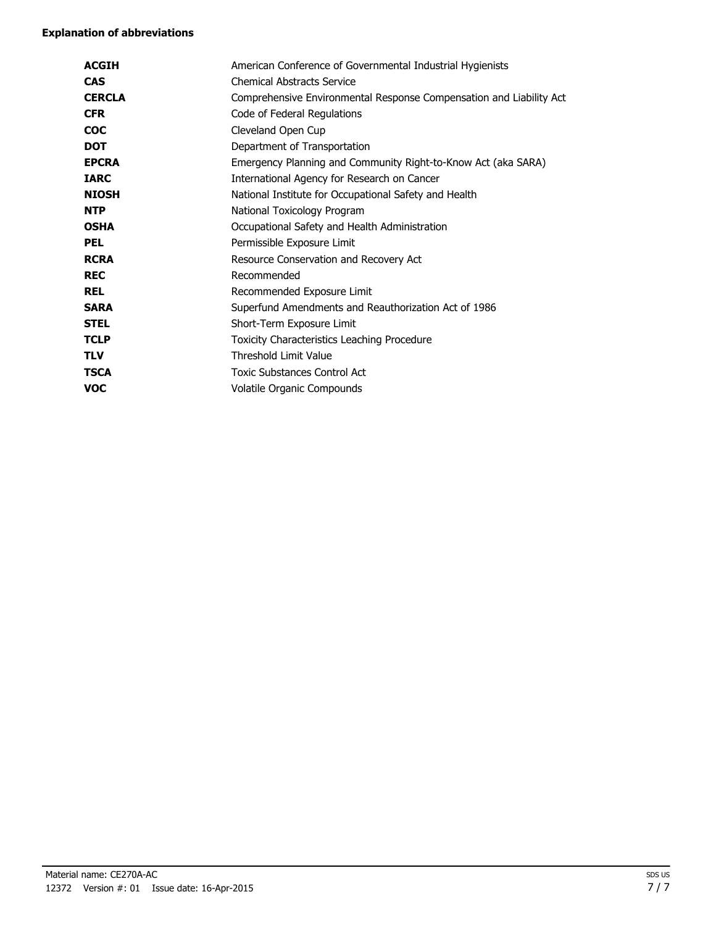#### **Explanation of abbreviations**

| <b>ACGIH</b>  | American Conference of Governmental Industrial Hygienists           |
|---------------|---------------------------------------------------------------------|
| <b>CAS</b>    | <b>Chemical Abstracts Service</b>                                   |
| <b>CERCLA</b> | Comprehensive Environmental Response Compensation and Liability Act |
| <b>CFR</b>    | Code of Federal Regulations                                         |
| <b>COC</b>    | Cleveland Open Cup                                                  |
| <b>DOT</b>    | Department of Transportation                                        |
| <b>EPCRA</b>  | Emergency Planning and Community Right-to-Know Act (aka SARA)       |
| <b>IARC</b>   | International Agency for Research on Cancer                         |
| <b>NIOSH</b>  | National Institute for Occupational Safety and Health               |
| <b>NTP</b>    | National Toxicology Program                                         |
| <b>OSHA</b>   | Occupational Safety and Health Administration                       |
| <b>PEL</b>    | Permissible Exposure Limit                                          |
| <b>RCRA</b>   | Resource Conservation and Recovery Act                              |
| <b>REC</b>    | Recommended                                                         |
| <b>REL</b>    | Recommended Exposure Limit                                          |
| <b>SARA</b>   | Superfund Amendments and Reauthorization Act of 1986                |
| <b>STEL</b>   | Short-Term Exposure Limit                                           |
| <b>TCLP</b>   | Toxicity Characteristics Leaching Procedure                         |
| <b>TLV</b>    | Threshold Limit Value                                               |
| <b>TSCA</b>   | <b>Toxic Substances Control Act</b>                                 |
| <b>VOC</b>    | Volatile Organic Compounds                                          |
|               |                                                                     |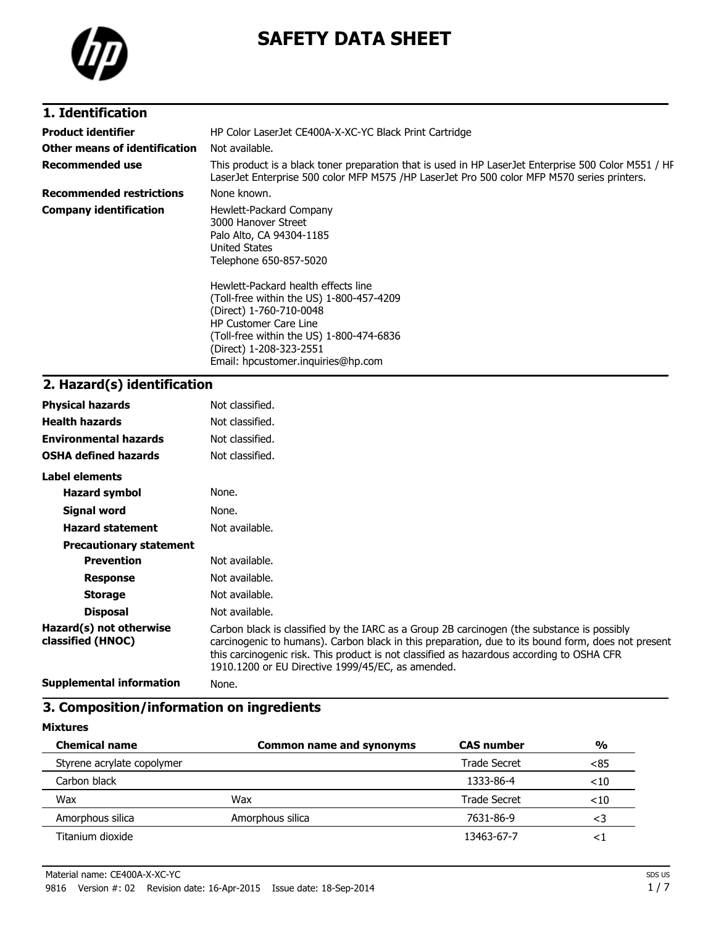

# **SAFETY DATA SHEET**

| 1. Identification |  |
|-------------------|--|
|-------------------|--|

| <b>Product identifier</b>       | HP Color LaserJet CE400A-X-XC-YC Black Print Cartridge                                                                                                                                                                                                  |  |  |
|---------------------------------|---------------------------------------------------------------------------------------------------------------------------------------------------------------------------------------------------------------------------------------------------------|--|--|
| Other means of identification   | Not available.                                                                                                                                                                                                                                          |  |  |
| Recommended use                 | This product is a black toner preparation that is used in HP LaserJet Enterprise 500 Color M551 / HF<br>LaserJet Enterprise 500 color MFP M575 /HP LaserJet Pro 500 color MFP M570 series printers.                                                     |  |  |
| <b>Recommended restrictions</b> | None known.                                                                                                                                                                                                                                             |  |  |
| <b>Company identification</b>   | Hewlett-Packard Company<br>3000 Hanover Street<br>Palo Alto, CA 94304-1185<br>United States<br>Telephone 650-857-5020                                                                                                                                   |  |  |
|                                 | Hewlett-Packard health effects line<br>(Toll-free within the US) 1-800-457-4209<br>(Direct) 1-760-710-0048<br><b>HP Customer Care Line</b><br>(Toll-free within the US) 1-800-474-6836<br>(Direct) 1-208-323-2551<br>Email: hpcustomer.inguiries@hp.com |  |  |

# **2. Hazard(s) identification**

| <b>Physical hazards</b>                      | Not classified.                                                                                                                                                                                                                                                                                                                                    |
|----------------------------------------------|----------------------------------------------------------------------------------------------------------------------------------------------------------------------------------------------------------------------------------------------------------------------------------------------------------------------------------------------------|
| <b>Health hazards</b>                        | Not classified.                                                                                                                                                                                                                                                                                                                                    |
| <b>Environmental hazards</b>                 | Not classified.                                                                                                                                                                                                                                                                                                                                    |
| <b>OSHA defined hazards</b>                  | Not classified.                                                                                                                                                                                                                                                                                                                                    |
| <b>Label elements</b>                        |                                                                                                                                                                                                                                                                                                                                                    |
| Hazard symbol                                | None.                                                                                                                                                                                                                                                                                                                                              |
| Signal word                                  | None.                                                                                                                                                                                                                                                                                                                                              |
| <b>Hazard statement</b>                      | Not available.                                                                                                                                                                                                                                                                                                                                     |
| <b>Precautionary statement</b>               |                                                                                                                                                                                                                                                                                                                                                    |
| <b>Prevention</b>                            | Not available.                                                                                                                                                                                                                                                                                                                                     |
| <b>Response</b>                              | Not available.                                                                                                                                                                                                                                                                                                                                     |
| <b>Storage</b>                               | Not available.                                                                                                                                                                                                                                                                                                                                     |
| <b>Disposal</b>                              | Not available.                                                                                                                                                                                                                                                                                                                                     |
| Hazard(s) not otherwise<br>classified (HNOC) | Carbon black is classified by the IARC as a Group 2B carcinogen (the substance is possibly<br>carcinogenic to humans). Carbon black in this preparation, due to its bound form, does not present<br>this carcinogenic risk. This product is not classified as hazardous according to OSHA CFR<br>1910.1200 or EU Directive 1999/45/EC, as amended. |
| <b>Supplemental information</b>              | None.                                                                                                                                                                                                                                                                                                                                              |

### **3. Composition/information on ingredients**

**Mixtures**

| <b>Chemical name</b>       | <b>Common name and synonyms</b> | <b>CAS</b> number | $\frac{0}{0}$ |
|----------------------------|---------------------------------|-------------------|---------------|
| Styrene acrylate copolymer |                                 | Trade Secret      | <85           |
| Carbon black               |                                 | 1333-86-4         | ~10           |
| Wax                        | Wax                             | Trade Secret      | ~10           |
| Amorphous silica           | Amorphous silica                | 7631-86-9         | <3            |
| Titanium dioxide           |                                 | 13463-67-7        | <1            |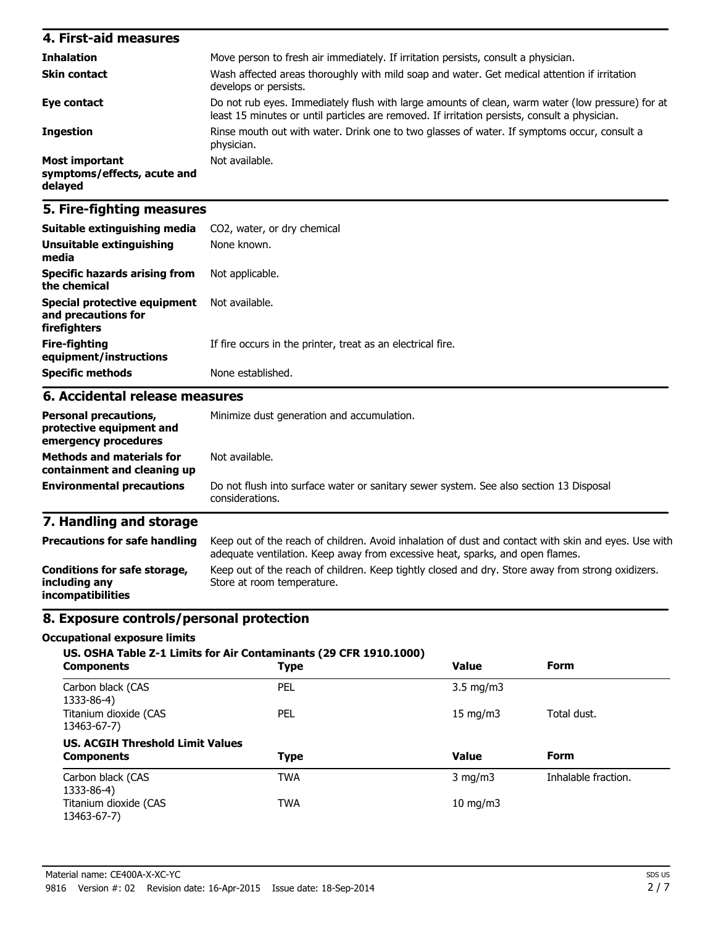| 4. First-aid measures                                    |                                                                                                                                                                                                   |
|----------------------------------------------------------|---------------------------------------------------------------------------------------------------------------------------------------------------------------------------------------------------|
| <b>Inhalation</b>                                        | Move person to fresh air immediately. If irritation persists, consult a physician.                                                                                                                |
| <b>Skin contact</b>                                      | Wash affected areas thoroughly with mild soap and water. Get medical attention if irritation<br>develops or persists.                                                                             |
| Eye contact                                              | Do not rub eyes. Immediately flush with large amounts of clean, warm water (low pressure) for at<br>least 15 minutes or until particles are removed. If irritation persists, consult a physician. |
| <b>Ingestion</b>                                         | Rinse mouth out with water. Drink one to two glasses of water. If symptoms occur, consult a<br>physician.                                                                                         |
| Most important<br>symptoms/effects, acute and<br>delayed | Not available.                                                                                                                                                                                    |

## **5. Fire-fighting measures**

| Suitable extinguishing media                                                     | CO <sub>2</sub> , water, or dry chemical                                                                                                                                              |  |  |  |
|----------------------------------------------------------------------------------|---------------------------------------------------------------------------------------------------------------------------------------------------------------------------------------|--|--|--|
| <b>Unsuitable extinguishing</b><br>media                                         | None known.                                                                                                                                                                           |  |  |  |
| <b>Specific hazards arising from</b><br>the chemical                             | Not applicable.                                                                                                                                                                       |  |  |  |
| <b>Special protective equipment</b><br>and precautions for<br>firefighters       | Not available.                                                                                                                                                                        |  |  |  |
| <b>Fire-fighting</b><br>equipment/instructions                                   | If fire occurs in the printer, treat as an electrical fire.                                                                                                                           |  |  |  |
| <b>Specific methods</b>                                                          | None established.                                                                                                                                                                     |  |  |  |
| 6. Accidental release measures                                                   |                                                                                                                                                                                       |  |  |  |
| <b>Personal precautions,</b><br>protective equipment and<br>emergency procedures | Minimize dust generation and accumulation.                                                                                                                                            |  |  |  |
| <b>Methods and materials for</b><br>containment and cleaning up                  | Not available.                                                                                                                                                                        |  |  |  |
| <b>Environmental precautions</b>                                                 | Do not flush into surface water or sanitary sewer system. See also section 13 Disposal<br>considerations.                                                                             |  |  |  |
| 7. Handling and storage                                                          |                                                                                                                                                                                       |  |  |  |
| <b>Precautions for safe handling</b>                                             | Keep out of the reach of children. Avoid inhalation of dust and contact with skin and eyes. Use with<br>adequate ventilation. Keep away from excessive heat, sparks, and open flames. |  |  |  |
| <b>Conditions for safe storage,</b>                                              | Keep out of the reach of children. Keep tightly closed and dry. Store away from strong oxidizers.                                                                                     |  |  |  |

## **8. Exposure controls/personal protection**

Store at room temperature.

#### **Occupational exposure limits**

**including any incompatibilities**

| <b>Components</b>                       | US. OSHA Table Z-1 Limits for Air Contaminants (29 CFR 1910.1000)<br><b>Type</b> | <b>Form</b><br><b>Value</b> |                     |  |
|-----------------------------------------|----------------------------------------------------------------------------------|-----------------------------|---------------------|--|
| Carbon black (CAS<br>1333-86-4)         | PEL                                                                              | $3.5 \text{ mg/m}$          |                     |  |
| Titanium dioxide (CAS<br>13463-67-7)    | PEL                                                                              | $15 \text{ mg/m}$           | Total dust.         |  |
| <b>US. ACGIH Threshold Limit Values</b> |                                                                                  |                             |                     |  |
| <b>Components</b>                       | Type                                                                             | <b>Value</b>                | Form                |  |
| Carbon black (CAS<br>1333-86-4)         | TWA                                                                              | $3 \text{ mg/m}$            | Inhalable fraction. |  |
| Titanium dioxide (CAS<br>13463-67-7)    | <b>TWA</b>                                                                       | $10$ mg/m $3$               |                     |  |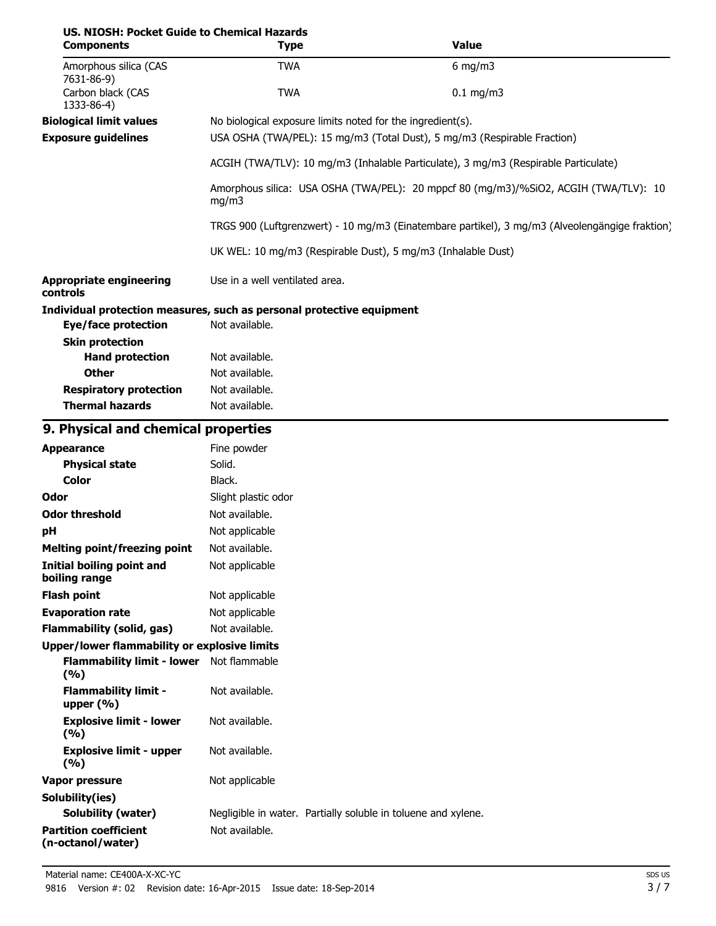| US. NIOSH: Pocket Guide to Chemical Hazards<br><b>Components</b>      | <b>Type</b>                                                                                    |                                                               | <b>Value</b>                                                                        |  |
|-----------------------------------------------------------------------|------------------------------------------------------------------------------------------------|---------------------------------------------------------------|-------------------------------------------------------------------------------------|--|
| Amorphous silica (CAS<br>7631-86-9)                                   | <b>TWA</b>                                                                                     |                                                               | 6 mg/m $3$                                                                          |  |
| Carbon black (CAS<br>1333-86-4)                                       | <b>TWA</b>                                                                                     |                                                               | $0.1$ mg/m3                                                                         |  |
| <b>Biological limit values</b>                                        | No biological exposure limits noted for the ingredient(s).                                     |                                                               |                                                                                     |  |
| <b>Exposure guidelines</b>                                            |                                                                                                |                                                               | USA OSHA (TWA/PEL): 15 mg/m3 (Total Dust), 5 mg/m3 (Respirable Fraction)            |  |
|                                                                       |                                                                                                |                                                               | ACGIH (TWA/TLV): 10 mg/m3 (Inhalable Particulate), 3 mg/m3 (Respirable Particulate) |  |
|                                                                       | Amorphous silica: USA OSHA (TWA/PEL): 20 mppcf 80 (mg/m3)/%SiO2, ACGIH (TWA/TLV): 10<br>mg/m3  |                                                               |                                                                                     |  |
|                                                                       | TRGS 900 (Luftgrenzwert) - 10 mg/m3 (Einatembare partikel), 3 mg/m3 (Alveolengängige fraktion) |                                                               |                                                                                     |  |
|                                                                       |                                                                                                | UK WEL: 10 mg/m3 (Respirable Dust), 5 mg/m3 (Inhalable Dust)  |                                                                                     |  |
| <b>Appropriate engineering</b><br>controls                            | Use in a well ventilated area.                                                                 |                                                               |                                                                                     |  |
| Individual protection measures, such as personal protective equipment |                                                                                                |                                                               |                                                                                     |  |
| Eye/face protection                                                   | Not available.                                                                                 |                                                               |                                                                                     |  |
| <b>Skin protection</b>                                                |                                                                                                |                                                               |                                                                                     |  |
| <b>Hand protection</b>                                                | Not available.                                                                                 |                                                               |                                                                                     |  |
| <b>Other</b>                                                          | Not available.                                                                                 |                                                               |                                                                                     |  |
| <b>Respiratory protection</b>                                         | Not available.                                                                                 |                                                               |                                                                                     |  |
| <b>Thermal hazards</b>                                                | Not available.                                                                                 |                                                               |                                                                                     |  |
| 9. Physical and chemical properties                                   |                                                                                                |                                                               |                                                                                     |  |
| <b>Appearance</b>                                                     | Fine powder                                                                                    |                                                               |                                                                                     |  |
| <b>Physical state</b>                                                 | Solid.                                                                                         |                                                               |                                                                                     |  |
| <b>Color</b>                                                          | Black.                                                                                         |                                                               |                                                                                     |  |
| Odor                                                                  | Slight plastic odor                                                                            |                                                               |                                                                                     |  |
| <b>Odor threshold</b>                                                 | Not available.                                                                                 |                                                               |                                                                                     |  |
| pH                                                                    | Not applicable                                                                                 |                                                               |                                                                                     |  |
| <b>Melting point/freezing point</b>                                   | Not available.                                                                                 |                                                               |                                                                                     |  |
| <b>Initial boiling point and</b><br>boiling range                     | Not applicable                                                                                 |                                                               |                                                                                     |  |
| <b>Flash point</b>                                                    | Not applicable                                                                                 |                                                               |                                                                                     |  |
| <b>Evaporation rate</b>                                               | Not applicable                                                                                 |                                                               |                                                                                     |  |
| <b>Flammability (solid, gas)</b>                                      | Not available.                                                                                 |                                                               |                                                                                     |  |
| Upper/lower flammability or explosive limits                          |                                                                                                |                                                               |                                                                                     |  |
| Flammability limit - lower Not flammable<br>(%)                       |                                                                                                |                                                               |                                                                                     |  |
| <b>Flammability limit -</b><br>upper $(% )$                           | Not available.                                                                                 |                                                               |                                                                                     |  |
| <b>Explosive limit - lower</b><br>(%)                                 | Not available.                                                                                 |                                                               |                                                                                     |  |
| <b>Explosive limit - upper</b><br>(%)                                 | Not available.                                                                                 |                                                               |                                                                                     |  |
| <b>Vapor pressure</b>                                                 | Not applicable                                                                                 |                                                               |                                                                                     |  |
| Solubility(ies)                                                       |                                                                                                |                                                               |                                                                                     |  |
| <b>Solubility (water)</b>                                             |                                                                                                | Negligible in water. Partially soluble in toluene and xylene. |                                                                                     |  |
| <b>Partition coefficient</b><br>(n-octanol/water)                     | Not available.                                                                                 |                                                               |                                                                                     |  |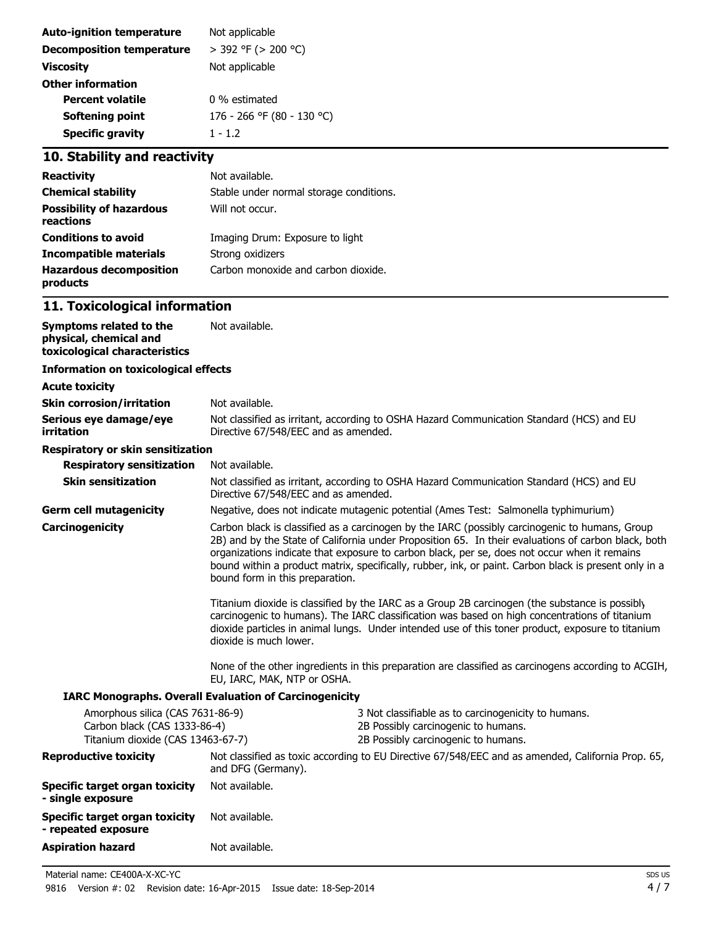| Not applicable             |
|----------------------------|
| $>$ 392 °F ( $>$ 200 °C)   |
| Not applicable             |
|                            |
| 0 % estimated              |
| 176 - 266 °F (80 - 130 °C) |
| $1 - 1.2$                  |
|                            |

# **10. Stability and reactivity**

| <b>Reactivity</b>                            | Not available.                          |
|----------------------------------------------|-----------------------------------------|
| <b>Chemical stability</b>                    | Stable under normal storage conditions. |
| <b>Possibility of hazardous</b><br>reactions | Will not occur.                         |
| <b>Conditions to avoid</b>                   | Imaging Drum: Exposure to light         |
| Incompatible materials                       | Strong oxidizers                        |
| <b>Hazardous decomposition</b><br>products   | Carbon monoxide and carbon dioxide.     |

# **11. Toxicological information**

| Symptoms related to the<br>physical, chemical and<br>toxicological characteristics                    | Not available.                                                                                                                                                                                                                                                                                                                 |                                                                                                                                                                                                                                                                                                                                                                                                                |  |  |
|-------------------------------------------------------------------------------------------------------|--------------------------------------------------------------------------------------------------------------------------------------------------------------------------------------------------------------------------------------------------------------------------------------------------------------------------------|----------------------------------------------------------------------------------------------------------------------------------------------------------------------------------------------------------------------------------------------------------------------------------------------------------------------------------------------------------------------------------------------------------------|--|--|
| <b>Information on toxicological effects</b>                                                           |                                                                                                                                                                                                                                                                                                                                |                                                                                                                                                                                                                                                                                                                                                                                                                |  |  |
| <b>Acute toxicity</b>                                                                                 |                                                                                                                                                                                                                                                                                                                                |                                                                                                                                                                                                                                                                                                                                                                                                                |  |  |
| Skin corrosion/irritation                                                                             | Not available.                                                                                                                                                                                                                                                                                                                 |                                                                                                                                                                                                                                                                                                                                                                                                                |  |  |
| Serious eye damage/eye<br>irritation                                                                  | Not classified as irritant, according to OSHA Hazard Communication Standard (HCS) and EU<br>Directive 67/548/EEC and as amended.                                                                                                                                                                                               |                                                                                                                                                                                                                                                                                                                                                                                                                |  |  |
| Respiratory or skin sensitization                                                                     |                                                                                                                                                                                                                                                                                                                                |                                                                                                                                                                                                                                                                                                                                                                                                                |  |  |
| <b>Respiratory sensitization</b>                                                                      | Not available.                                                                                                                                                                                                                                                                                                                 |                                                                                                                                                                                                                                                                                                                                                                                                                |  |  |
| <b>Skin sensitization</b>                                                                             | Not classified as irritant, according to OSHA Hazard Communication Standard (HCS) and EU<br>Directive 67/548/EEC and as amended.                                                                                                                                                                                               |                                                                                                                                                                                                                                                                                                                                                                                                                |  |  |
| <b>Germ cell mutagenicity</b>                                                                         | Negative, does not indicate mutagenic potential (Ames Test: Salmonella typhimurium)                                                                                                                                                                                                                                            |                                                                                                                                                                                                                                                                                                                                                                                                                |  |  |
| <b>Carcinogenicity</b><br>bound form in this preparation.                                             |                                                                                                                                                                                                                                                                                                                                | Carbon black is classified as a carcinogen by the IARC (possibly carcinogenic to humans, Group<br>2B) and by the State of California under Proposition 65. In their evaluations of carbon black, both<br>organizations indicate that exposure to carbon black, per se, does not occur when it remains<br>bound within a product matrix, specifically, rubber, ink, or paint. Carbon black is present only in a |  |  |
|                                                                                                       | Titanium dioxide is classified by the IARC as a Group 2B carcinogen (the substance is possibly<br>carcinogenic to humans). The IARC classification was based on high concentrations of titanium<br>dioxide particles in animal lungs. Under intended use of this toner product, exposure to titanium<br>dioxide is much lower. |                                                                                                                                                                                                                                                                                                                                                                                                                |  |  |
|                                                                                                       | None of the other ingredients in this preparation are classified as carcinogens according to ACGIH,<br>EU, IARC, MAK, NTP or OSHA.                                                                                                                                                                                             |                                                                                                                                                                                                                                                                                                                                                                                                                |  |  |
|                                                                                                       | <b>IARC Monographs. Overall Evaluation of Carcinogenicity</b>                                                                                                                                                                                                                                                                  |                                                                                                                                                                                                                                                                                                                                                                                                                |  |  |
| Amorphous silica (CAS 7631-86-9)<br>Carbon black (CAS 1333-86-4)<br>Titanium dioxide (CAS 13463-67-7) |                                                                                                                                                                                                                                                                                                                                | 3 Not classifiable as to carcinogenicity to humans.<br>2B Possibly carcinogenic to humans.<br>2B Possibly carcinogenic to humans.                                                                                                                                                                                                                                                                              |  |  |
| <b>Reproductive toxicity</b>                                                                          | Not classified as toxic according to EU Directive 67/548/EEC and as amended, California Prop. 65,<br>and DFG (Germany).                                                                                                                                                                                                        |                                                                                                                                                                                                                                                                                                                                                                                                                |  |  |
| Specific target organ toxicity<br>- single exposure                                                   | Not available.                                                                                                                                                                                                                                                                                                                 |                                                                                                                                                                                                                                                                                                                                                                                                                |  |  |
| Specific target organ toxicity<br>- repeated exposure                                                 | Not available.                                                                                                                                                                                                                                                                                                                 |                                                                                                                                                                                                                                                                                                                                                                                                                |  |  |
| <b>Aspiration hazard</b>                                                                              | Not available.                                                                                                                                                                                                                                                                                                                 |                                                                                                                                                                                                                                                                                                                                                                                                                |  |  |
|                                                                                                       |                                                                                                                                                                                                                                                                                                                                |                                                                                                                                                                                                                                                                                                                                                                                                                |  |  |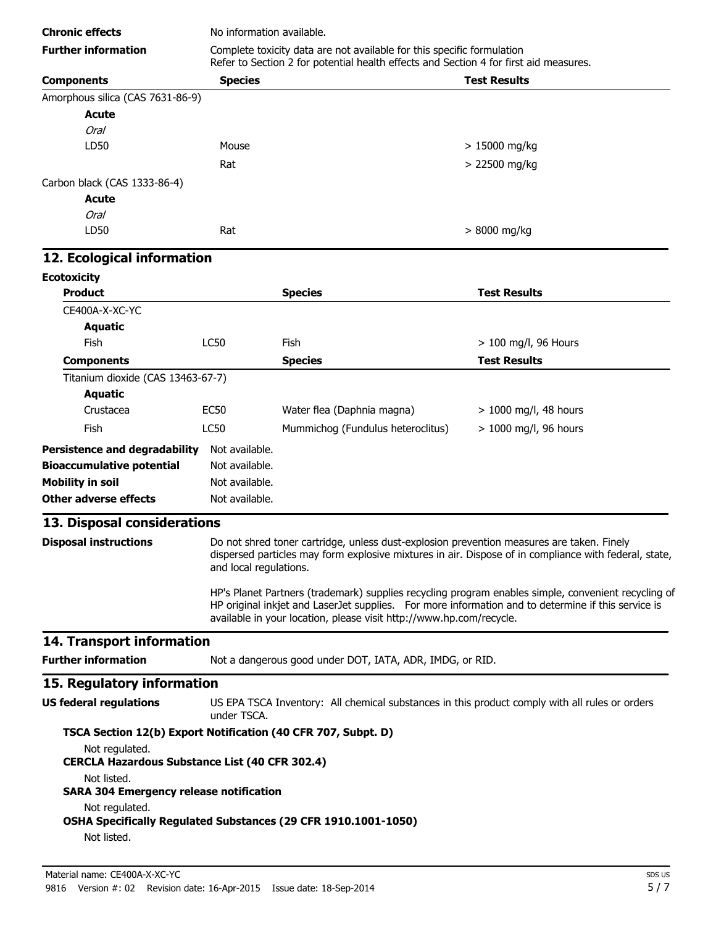| <b>Chronic effects</b>           | No information available. |                                                                                                                                                                 |  |
|----------------------------------|---------------------------|-----------------------------------------------------------------------------------------------------------------------------------------------------------------|--|
| <b>Further information</b>       |                           | Complete toxicity data are not available for this specific formulation<br>Refer to Section 2 for potential health effects and Section 4 for first aid measures. |  |
| <b>Components</b>                | <b>Species</b>            | <b>Test Results</b>                                                                                                                                             |  |
| Amorphous silica (CAS 7631-86-9) |                           |                                                                                                                                                                 |  |
| <b>Acute</b>                     |                           |                                                                                                                                                                 |  |
| Oral                             |                           |                                                                                                                                                                 |  |
| LD50                             | Mouse                     | $>15000$ mg/kg                                                                                                                                                  |  |
|                                  | Rat                       | $> 22500$ mg/kg                                                                                                                                                 |  |
| Carbon black (CAS 1333-86-4)     |                           |                                                                                                                                                                 |  |
| <b>Acute</b>                     |                           |                                                                                                                                                                 |  |
| Oral                             |                           |                                                                                                                                                                 |  |
| LD50                             | Rat                       | > 8000 mg/kg                                                                                                                                                    |  |

### **12. Ecological information**

| <b>Ecotoxicity</b>                                                                                                                                                                                                                                                               |                                                                                                                                                                                                                              |                                                          |                         |
|----------------------------------------------------------------------------------------------------------------------------------------------------------------------------------------------------------------------------------------------------------------------------------|------------------------------------------------------------------------------------------------------------------------------------------------------------------------------------------------------------------------------|----------------------------------------------------------|-------------------------|
| <b>Product</b>                                                                                                                                                                                                                                                                   |                                                                                                                                                                                                                              | <b>Species</b>                                           | <b>Test Results</b>     |
| CE400A-X-XC-YC                                                                                                                                                                                                                                                                   |                                                                                                                                                                                                                              |                                                          |                         |
| <b>Aquatic</b>                                                                                                                                                                                                                                                                   |                                                                                                                                                                                                                              |                                                          |                         |
| Fish                                                                                                                                                                                                                                                                             | <b>LC50</b>                                                                                                                                                                                                                  | Fish                                                     | $> 100$ mg/l, 96 Hours  |
| <b>Components</b>                                                                                                                                                                                                                                                                |                                                                                                                                                                                                                              | <b>Species</b>                                           | <b>Test Results</b>     |
| Titanium dioxide (CAS 13463-67-7)                                                                                                                                                                                                                                                |                                                                                                                                                                                                                              |                                                          |                         |
| <b>Aquatic</b>                                                                                                                                                                                                                                                                   |                                                                                                                                                                                                                              |                                                          |                         |
| Crustacea                                                                                                                                                                                                                                                                        | <b>EC50</b>                                                                                                                                                                                                                  | Water flea (Daphnia magna)                               | $> 1000$ mg/l, 48 hours |
| Fish                                                                                                                                                                                                                                                                             | <b>LC50</b>                                                                                                                                                                                                                  | Mummichog (Fundulus heteroclitus)                        | $> 1000$ mg/l, 96 hours |
| <b>Persistence and degradability</b>                                                                                                                                                                                                                                             | Not available.                                                                                                                                                                                                               |                                                          |                         |
| <b>Bioaccumulative potential</b>                                                                                                                                                                                                                                                 | Not available.                                                                                                                                                                                                               |                                                          |                         |
| <b>Mobility in soil</b>                                                                                                                                                                                                                                                          | Not available.                                                                                                                                                                                                               |                                                          |                         |
| <b>Other adverse effects</b>                                                                                                                                                                                                                                                     | Not available.                                                                                                                                                                                                               |                                                          |                         |
| 13. Disposal considerations                                                                                                                                                                                                                                                      |                                                                                                                                                                                                                              |                                                          |                         |
| <b>Disposal instructions</b>                                                                                                                                                                                                                                                     | Do not shred toner cartridge, unless dust-explosion prevention measures are taken. Finely<br>dispersed particles may form explosive mixtures in air. Dispose of in compliance with federal, state,<br>and local regulations. |                                                          |                         |
| HP's Planet Partners (trademark) supplies recycling program enables simple, convenient recycling of<br>HP original inkjet and LaserJet supplies. For more information and to determine if this service is<br>available in your location, please visit http://www.hp.com/recycle. |                                                                                                                                                                                                                              |                                                          |                         |
| 14. Transport information                                                                                                                                                                                                                                                        |                                                                                                                                                                                                                              |                                                          |                         |
| <b>Further information</b>                                                                                                                                                                                                                                                       |                                                                                                                                                                                                                              | Not a dangerous good under DOT, IATA, ADR, IMDG, or RID. |                         |
| 15. Regulatory information                                                                                                                                                                                                                                                       |                                                                                                                                                                                                                              |                                                          |                         |
| <b>US federal regulations</b>                                                                                                                                                                                                                                                    | US EPA TSCA Inventory: All chemical substances in this product comply with all rules or orders<br>under TSCA.                                                                                                                |                                                          |                         |
| TSCA Section 12(b) Export Notification (40 CFR 707, Subpt. D)<br>Not regulated.<br><b>CERCLA Hazardous Substance List (40 CFR 302.4)</b>                                                                                                                                         |                                                                                                                                                                                                                              |                                                          |                         |

Not listed.

**SARA 304 Emergency release notification**

Not regulated.

**OSHA Specifically Regulated Substances (29 CFR 1910.1001-1050)**

Not listed.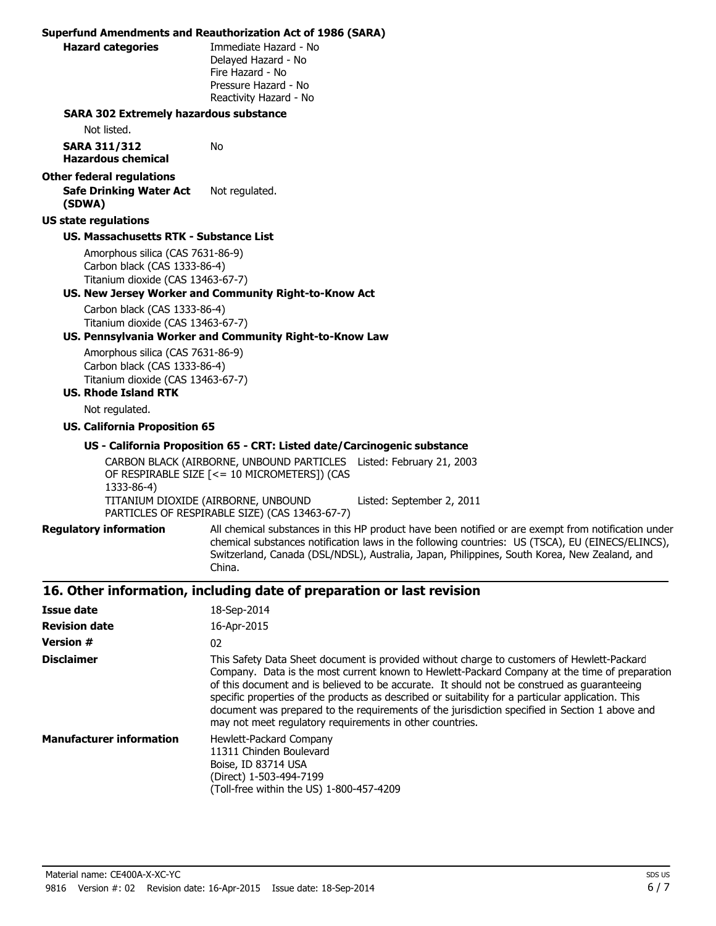|                             |                                                                                                                                      | <b>Superfund Amendments and Reauthorization Act of 1986 (SARA)</b>                                                                                                                                                                                                                                                                                                                                                                                                                                                                                             |
|-----------------------------|--------------------------------------------------------------------------------------------------------------------------------------|----------------------------------------------------------------------------------------------------------------------------------------------------------------------------------------------------------------------------------------------------------------------------------------------------------------------------------------------------------------------------------------------------------------------------------------------------------------------------------------------------------------------------------------------------------------|
|                             | <b>Hazard categories</b>                                                                                                             | Immediate Hazard - No<br>Delayed Hazard - No<br>Fire Hazard - No<br>Pressure Hazard - No<br>Reactivity Hazard - No                                                                                                                                                                                                                                                                                                                                                                                                                                             |
|                             | <b>SARA 302 Extremely hazardous substance</b>                                                                                        |                                                                                                                                                                                                                                                                                                                                                                                                                                                                                                                                                                |
|                             | Not listed.                                                                                                                          |                                                                                                                                                                                                                                                                                                                                                                                                                                                                                                                                                                |
|                             | <b>SARA 311/312</b><br><b>Hazardous chemical</b>                                                                                     | <b>No</b>                                                                                                                                                                                                                                                                                                                                                                                                                                                                                                                                                      |
| (SDWA)                      | <b>Other federal regulations</b><br><b>Safe Drinking Water Act</b>                                                                   | Not regulated.                                                                                                                                                                                                                                                                                                                                                                                                                                                                                                                                                 |
| <b>US state regulations</b> |                                                                                                                                      |                                                                                                                                                                                                                                                                                                                                                                                                                                                                                                                                                                |
|                             | <b>US. Massachusetts RTK - Substance List</b>                                                                                        |                                                                                                                                                                                                                                                                                                                                                                                                                                                                                                                                                                |
|                             | Amorphous silica (CAS 7631-86-9)<br>Carbon black (CAS 1333-86-4)<br>Titanium dioxide (CAS 13463-67-7)                                |                                                                                                                                                                                                                                                                                                                                                                                                                                                                                                                                                                |
|                             |                                                                                                                                      | US. New Jersey Worker and Community Right-to-Know Act                                                                                                                                                                                                                                                                                                                                                                                                                                                                                                          |
|                             | Carbon black (CAS 1333-86-4)<br>Titanium dioxide (CAS 13463-67-7)                                                                    | US. Pennsylvania Worker and Community Right-to-Know Law                                                                                                                                                                                                                                                                                                                                                                                                                                                                                                        |
|                             | Amorphous silica (CAS 7631-86-9)<br>Carbon black (CAS 1333-86-4)<br>Titanium dioxide (CAS 13463-67-7)<br><b>US. Rhode Island RTK</b> |                                                                                                                                                                                                                                                                                                                                                                                                                                                                                                                                                                |
|                             | Not regulated.                                                                                                                       |                                                                                                                                                                                                                                                                                                                                                                                                                                                                                                                                                                |
|                             | <b>US. California Proposition 65</b>                                                                                                 |                                                                                                                                                                                                                                                                                                                                                                                                                                                                                                                                                                |
|                             | 1333-86-4)                                                                                                                           | US - California Proposition 65 - CRT: Listed date/Carcinogenic substance<br>CARBON BLACK (AIRBORNE, UNBOUND PARTICLES Listed: February 21, 2003<br>OF RESPIRABLE SIZE [<= 10 MICROMETERS]) (CAS<br>TITANIUM DIOXIDE (AIRBORNE, UNBOUND<br>Listed: September 2, 2011<br>PARTICLES OF RESPIRABLE SIZE) (CAS 13463-67-7)                                                                                                                                                                                                                                          |
|                             | <b>Regulatory information</b>                                                                                                        | All chemical substances in this HP product have been notified or are exempt from notification under<br>chemical substances notification laws in the following countries: US (TSCA), EU (EINECS/ELINCS),<br>Switzerland, Canada (DSL/NDSL), Australia, Japan, Philippines, South Korea, New Zealand, and<br>China.                                                                                                                                                                                                                                              |
|                             |                                                                                                                                      | 16. Other information, including date of preparation or last revision                                                                                                                                                                                                                                                                                                                                                                                                                                                                                          |
| <b>Issue date</b>           |                                                                                                                                      | 18-Sep-2014                                                                                                                                                                                                                                                                                                                                                                                                                                                                                                                                                    |
| <b>Revision date</b>        |                                                                                                                                      | 16-Apr-2015                                                                                                                                                                                                                                                                                                                                                                                                                                                                                                                                                    |
| <b>Version #</b>            |                                                                                                                                      | 02                                                                                                                                                                                                                                                                                                                                                                                                                                                                                                                                                             |
| <b>Disclaimer</b>           |                                                                                                                                      | This Safety Data Sheet document is provided without charge to customers of Hewlett-Packard<br>Company. Data is the most current known to Hewlett-Packard Company at the time of preparation<br>of this document and is believed to be accurate. It should not be construed as guaranteeing<br>specific properties of the products as described or suitability for a particular application. This<br>document was prepared to the requirements of the jurisdiction specified in Section 1 above and<br>may not meet regulatory requirements in other countries. |
|                             | <b>Manufacturer information</b>                                                                                                      | Hewlett-Packard Company<br>11311 Chinden Boulevard<br>Boise, ID 83714 USA                                                                                                                                                                                                                                                                                                                                                                                                                                                                                      |

(Direct) 1-503-494-7199

(Toll-free within the US) 1-800-457-4209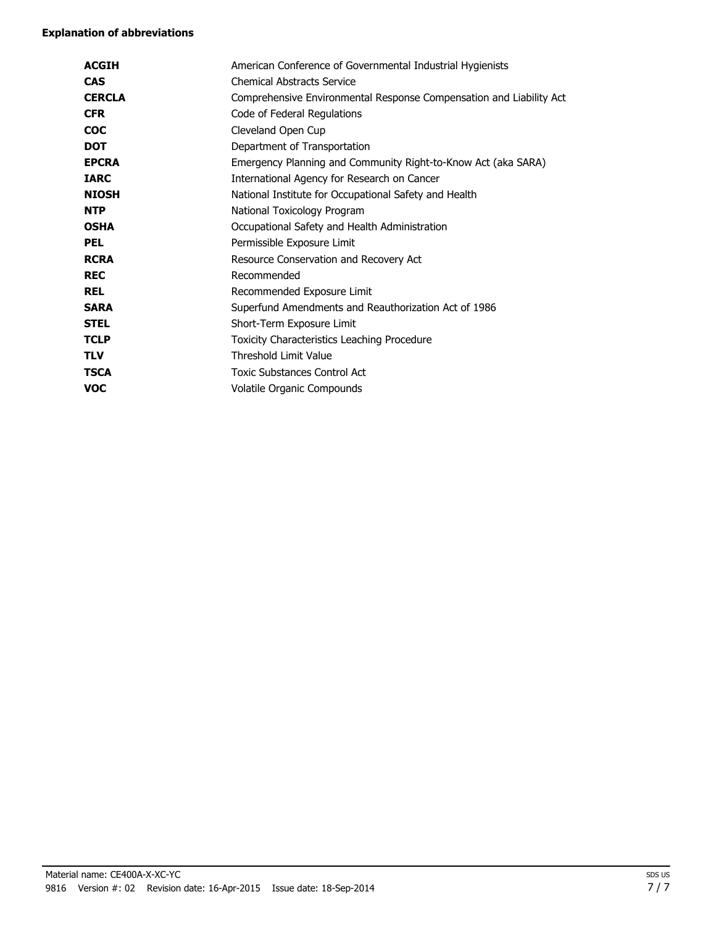#### **Explanation of abbreviations**

| <b>ACGIH</b>  | American Conference of Governmental Industrial Hygienists           |
|---------------|---------------------------------------------------------------------|
| <b>CAS</b>    | <b>Chemical Abstracts Service</b>                                   |
| <b>CERCLA</b> | Comprehensive Environmental Response Compensation and Liability Act |
| <b>CFR</b>    | Code of Federal Regulations                                         |
| <b>COC</b>    | Cleveland Open Cup                                                  |
| <b>DOT</b>    | Department of Transportation                                        |
| <b>EPCRA</b>  | Emergency Planning and Community Right-to-Know Act (aka SARA)       |
| <b>IARC</b>   | International Agency for Research on Cancer                         |
| <b>NIOSH</b>  | National Institute for Occupational Safety and Health               |
| <b>NTP</b>    | National Toxicology Program                                         |
| <b>OSHA</b>   | Occupational Safety and Health Administration                       |
| <b>PEL</b>    | Permissible Exposure Limit                                          |
| <b>RCRA</b>   | Resource Conservation and Recovery Act                              |
| <b>REC</b>    | Recommended                                                         |
| <b>REL</b>    | Recommended Exposure Limit                                          |
| <b>SARA</b>   | Superfund Amendments and Reauthorization Act of 1986                |
| <b>STEL</b>   | Short-Term Exposure Limit                                           |
| <b>TCLP</b>   | Toxicity Characteristics Leaching Procedure                         |
| <b>TLV</b>    | Threshold Limit Value                                               |
| <b>TSCA</b>   | <b>Toxic Substances Control Act</b>                                 |
| <b>VOC</b>    | Volatile Organic Compounds                                          |
|               |                                                                     |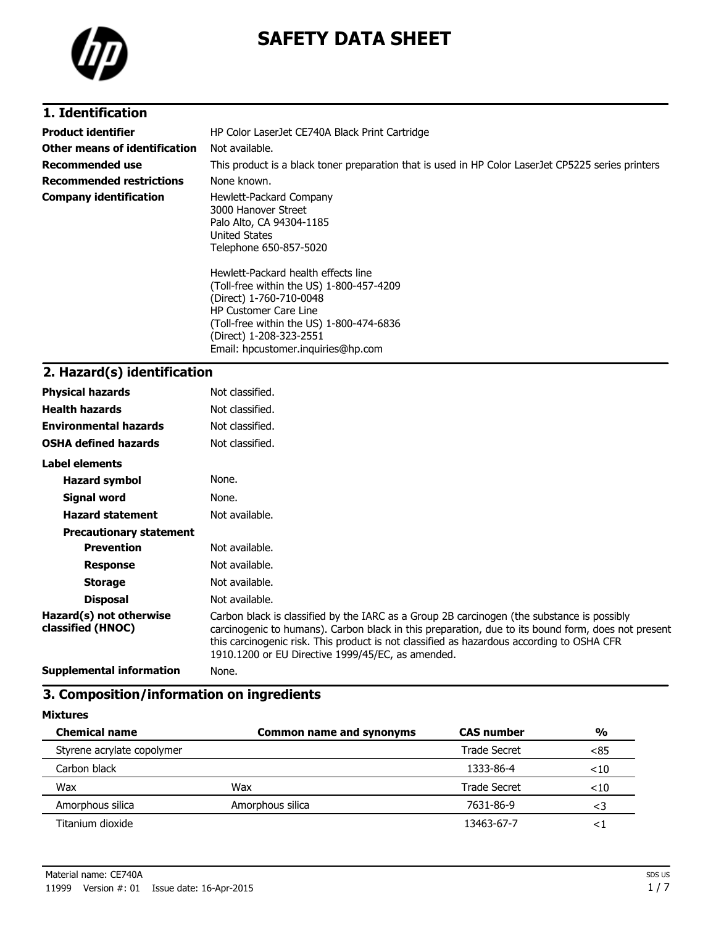

# **SAFETY DATA SHEET**

## **1. Identification**

| <b>Product identifier</b>       | HP Color LaserJet CE740A Black Print Cartridge                                                                        |
|---------------------------------|-----------------------------------------------------------------------------------------------------------------------|
| Other means of identification   | Not available.                                                                                                        |
| <b>Recommended use</b>          | This product is a black toner preparation that is used in HP Color LaserJet CP5225 series printers                    |
| <b>Recommended restrictions</b> | None known.                                                                                                           |
| <b>Company identification</b>   | Hewlett-Packard Company<br>3000 Hanover Street<br>Palo Alto, CA 94304-1185<br>United States<br>Telephone 650-857-5020 |
|                                 | Hewlett-Packard health effects line<br>(Toll-free within the US) 1-800-457-4209                                       |

(Toll-free within the US) 1-800-457-4209 (Direct) 1-760-710-0048 HP Customer Care Line (Toll-free within the US) 1-800-474-6836 (Direct) 1-208-323-2551 Email: hpcustomer.inquiries@hp.com

### **2. Hazard(s) identification**

| <b>Physical hazards</b>                      | Not classified.                                                                                                                                                                                                                                                                                                                                    |
|----------------------------------------------|----------------------------------------------------------------------------------------------------------------------------------------------------------------------------------------------------------------------------------------------------------------------------------------------------------------------------------------------------|
| <b>Health hazards</b>                        | Not classified.                                                                                                                                                                                                                                                                                                                                    |
| <b>Environmental hazards</b>                 | Not classified.                                                                                                                                                                                                                                                                                                                                    |
| <b>OSHA defined hazards</b>                  | Not classified.                                                                                                                                                                                                                                                                                                                                    |
| <b>Label elements</b>                        |                                                                                                                                                                                                                                                                                                                                                    |
| Hazard symbol                                | None.                                                                                                                                                                                                                                                                                                                                              |
| Signal word                                  | None.                                                                                                                                                                                                                                                                                                                                              |
| <b>Hazard statement</b>                      | Not available.                                                                                                                                                                                                                                                                                                                                     |
| <b>Precautionary statement</b>               |                                                                                                                                                                                                                                                                                                                                                    |
| <b>Prevention</b>                            | Not available.                                                                                                                                                                                                                                                                                                                                     |
| <b>Response</b>                              | Not available.                                                                                                                                                                                                                                                                                                                                     |
| <b>Storage</b>                               | Not available.                                                                                                                                                                                                                                                                                                                                     |
| <b>Disposal</b>                              | Not available.                                                                                                                                                                                                                                                                                                                                     |
| Hazard(s) not otherwise<br>classified (HNOC) | Carbon black is classified by the IARC as a Group 2B carcinogen (the substance is possibly<br>carcinogenic to humans). Carbon black in this preparation, due to its bound form, does not present<br>this carcinogenic risk. This product is not classified as hazardous according to OSHA CFR<br>1910.1200 or EU Directive 1999/45/EC, as amended. |
| <b>Supplemental information</b>              | None.                                                                                                                                                                                                                                                                                                                                              |

## **3. Composition/information on ingredients**

#### **Mixtures**

| <b>Chemical name</b>       | <b>Common name and synonyms</b> | <b>CAS number</b>   | $\frac{0}{0}$ |
|----------------------------|---------------------------------|---------------------|---------------|
| Styrene acrylate copolymer |                                 | <b>Trade Secret</b> | < 85          |
| Carbon black               |                                 | 1333-86-4           | $<$ 10        |
| Wax                        | Wax                             | Trade Secret        | $<$ 10        |
| Amorphous silica           | Amorphous silica                | 7631-86-9           | <3            |
| Titanium dioxide           |                                 | 13463-67-7          | $\leq$        |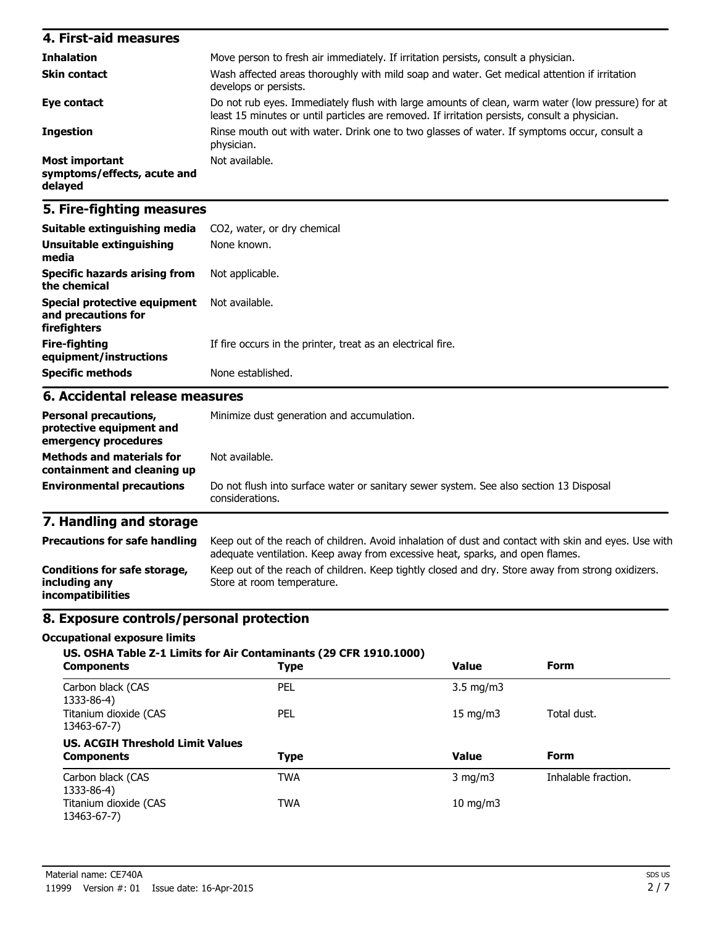| 4. First-aid measures                                    |                                                                                                                                                                                                   |
|----------------------------------------------------------|---------------------------------------------------------------------------------------------------------------------------------------------------------------------------------------------------|
| <b>Inhalation</b>                                        | Move person to fresh air immediately. If irritation persists, consult a physician.                                                                                                                |
| <b>Skin contact</b>                                      | Wash affected areas thoroughly with mild soap and water. Get medical attention if irritation<br>develops or persists.                                                                             |
| Eye contact                                              | Do not rub eyes. Immediately flush with large amounts of clean, warm water (low pressure) for at<br>least 15 minutes or until particles are removed. If irritation persists, consult a physician. |
| <b>Ingestion</b>                                         | Rinse mouth out with water. Drink one to two glasses of water. If symptoms occur, consult a<br>physician.                                                                                         |
| Most important<br>symptoms/effects, acute and<br>delayed | Not available.                                                                                                                                                                                    |

## **5. Fire-fighting measures**

| Suitable extinguishing media                                                     | CO <sub>2</sub> , water, or dry chemical                                                                                                                                              |  |  |
|----------------------------------------------------------------------------------|---------------------------------------------------------------------------------------------------------------------------------------------------------------------------------------|--|--|
| <b>Unsuitable extinguishing</b><br>media                                         | None known.                                                                                                                                                                           |  |  |
| <b>Specific hazards arising from</b><br>the chemical                             | Not applicable.                                                                                                                                                                       |  |  |
| <b>Special protective equipment</b><br>and precautions for<br>firefighters       | Not available.                                                                                                                                                                        |  |  |
| <b>Fire-fighting</b><br>equipment/instructions                                   | If fire occurs in the printer, treat as an electrical fire.                                                                                                                           |  |  |
| <b>Specific methods</b>                                                          | None established.                                                                                                                                                                     |  |  |
| 6. Accidental release measures                                                   |                                                                                                                                                                                       |  |  |
| <b>Personal precautions,</b><br>protective equipment and<br>emergency procedures | Minimize dust generation and accumulation.                                                                                                                                            |  |  |
| <b>Methods and materials for</b><br>containment and cleaning up                  | Not available.                                                                                                                                                                        |  |  |
| <b>Environmental precautions</b>                                                 | Do not flush into surface water or sanitary sewer system. See also section 13 Disposal<br>considerations.                                                                             |  |  |
| 7. Handling and storage                                                          |                                                                                                                                                                                       |  |  |
| <b>Precautions for safe handling</b>                                             | Keep out of the reach of children. Avoid inhalation of dust and contact with skin and eyes. Use with<br>adequate ventilation. Keep away from excessive heat, sparks, and open flames. |  |  |
| <b>Conditions for safe storage,</b>                                              | Keep out of the reach of children. Keep tightly closed and dry. Store away from strong oxidizers.                                                                                     |  |  |

## **8. Exposure controls/personal protection**

Store at room temperature.

#### **Occupational exposure limits**

**including any incompatibilities**

| US. OSHA Table Z-1 Limits for Air Contaminants (29 CFR 1910.1000)<br><b>Form</b><br><b>Value</b><br><b>Type</b><br><b>Components</b> |            |                    |                     |  |
|--------------------------------------------------------------------------------------------------------------------------------------|------------|--------------------|---------------------|--|
| Carbon black (CAS<br>1333-86-4)                                                                                                      | PEL        | $3.5 \text{ mg/m}$ |                     |  |
| Titanium dioxide (CAS<br>13463-67-7)                                                                                                 | <b>PEL</b> | 15 mg/m $3$        | Total dust.         |  |
| <b>US. ACGIH Threshold Limit Values</b>                                                                                              |            |                    |                     |  |
| <b>Components</b>                                                                                                                    | Type       | <b>Value</b>       | <b>Form</b>         |  |
| Carbon black (CAS<br>1333-86-4)                                                                                                      | <b>TWA</b> | $3$ mg/m $3$       | Inhalable fraction. |  |
| Titanium dioxide (CAS<br>13463-67-7)                                                                                                 | TWA        | 10 mg/m $3$        |                     |  |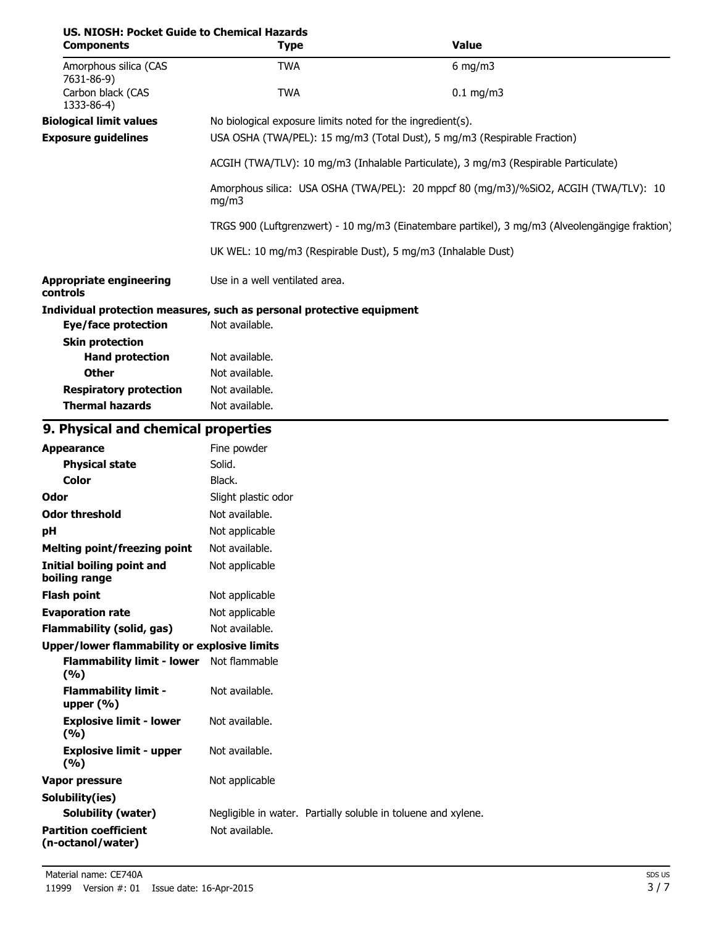| US. NIOSH: Pocket Guide to Chemical Hazards<br><b>Components</b>      | <b>Type</b>                                                                                    |                                                               | <b>Value</b>                                                                        |  |
|-----------------------------------------------------------------------|------------------------------------------------------------------------------------------------|---------------------------------------------------------------|-------------------------------------------------------------------------------------|--|
| Amorphous silica (CAS<br>7631-86-9)                                   | <b>TWA</b>                                                                                     |                                                               | 6 mg/m $3$                                                                          |  |
| Carbon black (CAS<br>1333-86-4)                                       | <b>TWA</b>                                                                                     |                                                               | $0.1$ mg/m3                                                                         |  |
| <b>Biological limit values</b>                                        | No biological exposure limits noted for the ingredient(s).                                     |                                                               |                                                                                     |  |
| <b>Exposure guidelines</b>                                            |                                                                                                |                                                               | USA OSHA (TWA/PEL): 15 mg/m3 (Total Dust), 5 mg/m3 (Respirable Fraction)            |  |
|                                                                       |                                                                                                |                                                               | ACGIH (TWA/TLV): 10 mg/m3 (Inhalable Particulate), 3 mg/m3 (Respirable Particulate) |  |
|                                                                       | Amorphous silica: USA OSHA (TWA/PEL): 20 mppcf 80 (mg/m3)/%SiO2, ACGIH (TWA/TLV): 10<br>mg/m3  |                                                               |                                                                                     |  |
|                                                                       | TRGS 900 (Luftgrenzwert) - 10 mg/m3 (Einatembare partikel), 3 mg/m3 (Alveolengängige fraktion) |                                                               |                                                                                     |  |
|                                                                       |                                                                                                | UK WEL: 10 mg/m3 (Respirable Dust), 5 mg/m3 (Inhalable Dust)  |                                                                                     |  |
| <b>Appropriate engineering</b><br>controls                            | Use in a well ventilated area.                                                                 |                                                               |                                                                                     |  |
| Individual protection measures, such as personal protective equipment |                                                                                                |                                                               |                                                                                     |  |
| Eye/face protection                                                   | Not available.                                                                                 |                                                               |                                                                                     |  |
| <b>Skin protection</b>                                                |                                                                                                |                                                               |                                                                                     |  |
| <b>Hand protection</b>                                                | Not available.                                                                                 |                                                               |                                                                                     |  |
| <b>Other</b>                                                          | Not available.                                                                                 |                                                               |                                                                                     |  |
| <b>Respiratory protection</b>                                         | Not available.                                                                                 |                                                               |                                                                                     |  |
| <b>Thermal hazards</b>                                                | Not available.                                                                                 |                                                               |                                                                                     |  |
| 9. Physical and chemical properties                                   |                                                                                                |                                                               |                                                                                     |  |
| <b>Appearance</b>                                                     | Fine powder                                                                                    |                                                               |                                                                                     |  |
| <b>Physical state</b>                                                 | Solid.                                                                                         |                                                               |                                                                                     |  |
| <b>Color</b>                                                          | Black.                                                                                         |                                                               |                                                                                     |  |
| Odor                                                                  | Slight plastic odor                                                                            |                                                               |                                                                                     |  |
| <b>Odor threshold</b>                                                 | Not available.                                                                                 |                                                               |                                                                                     |  |
| pH                                                                    | Not applicable                                                                                 |                                                               |                                                                                     |  |
| <b>Melting point/freezing point</b>                                   | Not available.                                                                                 |                                                               |                                                                                     |  |
| <b>Initial boiling point and</b><br>boiling range                     | Not applicable                                                                                 |                                                               |                                                                                     |  |
| <b>Flash point</b>                                                    | Not applicable                                                                                 |                                                               |                                                                                     |  |
| <b>Evaporation rate</b>                                               | Not applicable                                                                                 |                                                               |                                                                                     |  |
| <b>Flammability (solid, gas)</b>                                      | Not available.                                                                                 |                                                               |                                                                                     |  |
| Upper/lower flammability or explosive limits                          |                                                                                                |                                                               |                                                                                     |  |
| Flammability limit - lower Not flammable<br>(%)                       |                                                                                                |                                                               |                                                                                     |  |
| <b>Flammability limit -</b><br>upper $(% )$                           | Not available.                                                                                 |                                                               |                                                                                     |  |
| <b>Explosive limit - lower</b><br>(%)                                 | Not available.                                                                                 |                                                               |                                                                                     |  |
| <b>Explosive limit - upper</b><br>(%)                                 | Not available.                                                                                 |                                                               |                                                                                     |  |
| <b>Vapor pressure</b>                                                 | Not applicable                                                                                 |                                                               |                                                                                     |  |
| Solubility(ies)                                                       |                                                                                                |                                                               |                                                                                     |  |
| <b>Solubility (water)</b>                                             |                                                                                                | Negligible in water. Partially soluble in toluene and xylene. |                                                                                     |  |
| <b>Partition coefficient</b><br>(n-octanol/water)                     | Not available.                                                                                 |                                                               |                                                                                     |  |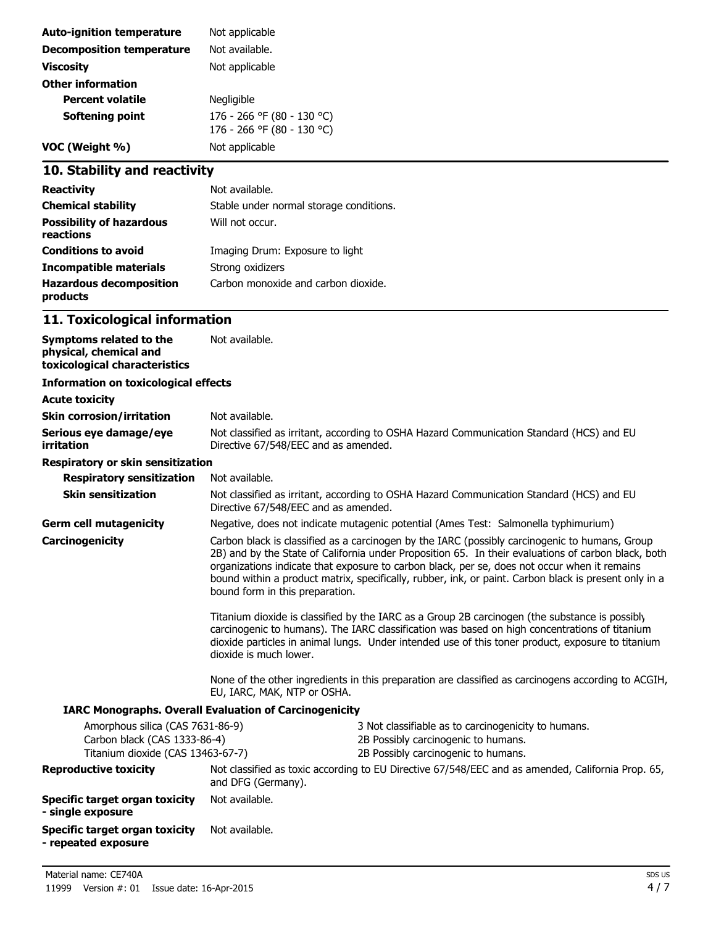| <b>Auto-ignition temperature</b><br><b>Decomposition temperature</b><br><b>Viscosity</b> | Not applicable<br>Not available.<br>Not applicable       |
|------------------------------------------------------------------------------------------|----------------------------------------------------------|
| <b>Other information</b><br><b>Percent volatile</b>                                      | <b>Negligible</b>                                        |
| Softening point                                                                          | 176 - 266 °F (80 - 130 °C)<br>176 - 266 °F (80 - 130 °C) |
| VOC (Weight %)                                                                           | Not applicable                                           |

# **10. Stability and reactivity**

| <b>Reactivity</b>                            | Not available.                          |
|----------------------------------------------|-----------------------------------------|
| <b>Chemical stability</b>                    | Stable under normal storage conditions. |
| <b>Possibility of hazardous</b><br>reactions | Will not occur.                         |
| <b>Conditions to avoid</b>                   | Imaging Drum: Exposure to light         |
| <b>Incompatible materials</b>                | Strong oxidizers                        |
| <b>Hazardous decomposition</b><br>products   | Carbon monoxide and carbon dioxide.     |

# **11. Toxicological information**

| Symptoms related to the<br>physical, chemical and<br>toxicological characteristics                                                                                     | Not available.                                                                                                                                                                                                                                                                                                                                                                                                                                                                                                                                                                                                                                                                                                                                                                                                                                                                                                            |                                                                                                                                   |  |
|------------------------------------------------------------------------------------------------------------------------------------------------------------------------|---------------------------------------------------------------------------------------------------------------------------------------------------------------------------------------------------------------------------------------------------------------------------------------------------------------------------------------------------------------------------------------------------------------------------------------------------------------------------------------------------------------------------------------------------------------------------------------------------------------------------------------------------------------------------------------------------------------------------------------------------------------------------------------------------------------------------------------------------------------------------------------------------------------------------|-----------------------------------------------------------------------------------------------------------------------------------|--|
| <b>Information on toxicological effects</b>                                                                                                                            |                                                                                                                                                                                                                                                                                                                                                                                                                                                                                                                                                                                                                                                                                                                                                                                                                                                                                                                           |                                                                                                                                   |  |
| <b>Acute toxicity</b>                                                                                                                                                  |                                                                                                                                                                                                                                                                                                                                                                                                                                                                                                                                                                                                                                                                                                                                                                                                                                                                                                                           |                                                                                                                                   |  |
| <b>Skin corrosion/irritation</b>                                                                                                                                       | Not available.                                                                                                                                                                                                                                                                                                                                                                                                                                                                                                                                                                                                                                                                                                                                                                                                                                                                                                            |                                                                                                                                   |  |
| Serious eye damage/eye<br>irritation                                                                                                                                   | Not classified as irritant, according to OSHA Hazard Communication Standard (HCS) and EU<br>Directive 67/548/EEC and as amended.                                                                                                                                                                                                                                                                                                                                                                                                                                                                                                                                                                                                                                                                                                                                                                                          |                                                                                                                                   |  |
| <b>Respiratory or skin sensitization</b>                                                                                                                               |                                                                                                                                                                                                                                                                                                                                                                                                                                                                                                                                                                                                                                                                                                                                                                                                                                                                                                                           |                                                                                                                                   |  |
| <b>Respiratory sensitization</b>                                                                                                                                       | Not available.                                                                                                                                                                                                                                                                                                                                                                                                                                                                                                                                                                                                                                                                                                                                                                                                                                                                                                            |                                                                                                                                   |  |
| <b>Skin sensitization</b>                                                                                                                                              | Not classified as irritant, according to OSHA Hazard Communication Standard (HCS) and EU<br>Directive 67/548/EEC and as amended.                                                                                                                                                                                                                                                                                                                                                                                                                                                                                                                                                                                                                                                                                                                                                                                          |                                                                                                                                   |  |
| <b>Germ cell mutagenicity</b>                                                                                                                                          | Negative, does not indicate mutagenic potential (Ames Test: Salmonella typhimurium)                                                                                                                                                                                                                                                                                                                                                                                                                                                                                                                                                                                                                                                                                                                                                                                                                                       |                                                                                                                                   |  |
| Carcinogenicity                                                                                                                                                        | Carbon black is classified as a carcinogen by the IARC (possibly carcinogenic to humans, Group<br>2B) and by the State of California under Proposition 65. In their evaluations of carbon black, both<br>organizations indicate that exposure to carbon black, per se, does not occur when it remains<br>bound within a product matrix, specifically, rubber, ink, or paint. Carbon black is present only in a<br>bound form in this preparation.<br>Titanium dioxide is classified by the IARC as a Group 2B carcinogen (the substance is possibly<br>carcinogenic to humans). The IARC classification was based on high concentrations of titanium<br>dioxide particles in animal lungs. Under intended use of this toner product, exposure to titanium<br>dioxide is much lower.<br>None of the other ingredients in this preparation are classified as carcinogens according to ACGIH,<br>EU, IARC, MAK, NTP or OSHA. |                                                                                                                                   |  |
|                                                                                                                                                                        |                                                                                                                                                                                                                                                                                                                                                                                                                                                                                                                                                                                                                                                                                                                                                                                                                                                                                                                           |                                                                                                                                   |  |
| <b>IARC Monographs. Overall Evaluation of Carcinogenicity</b><br>Amorphous silica (CAS 7631-86-9)<br>Carbon black (CAS 1333-86-4)<br>Titanium dioxide (CAS 13463-67-7) |                                                                                                                                                                                                                                                                                                                                                                                                                                                                                                                                                                                                                                                                                                                                                                                                                                                                                                                           | 3 Not classifiable as to carcinogenicity to humans.<br>2B Possibly carcinogenic to humans.<br>2B Possibly carcinogenic to humans. |  |
| <b>Reproductive toxicity</b>                                                                                                                                           | Not classified as toxic according to EU Directive 67/548/EEC and as amended, California Prop. 65,<br>and DFG (Germany).                                                                                                                                                                                                                                                                                                                                                                                                                                                                                                                                                                                                                                                                                                                                                                                                   |                                                                                                                                   |  |
| <b>Specific target organ toxicity</b><br>- single exposure                                                                                                             | Not available.                                                                                                                                                                                                                                                                                                                                                                                                                                                                                                                                                                                                                                                                                                                                                                                                                                                                                                            |                                                                                                                                   |  |
| <b>Specific target organ toxicity</b><br>- repeated exposure                                                                                                           | Not available.                                                                                                                                                                                                                                                                                                                                                                                                                                                                                                                                                                                                                                                                                                                                                                                                                                                                                                            |                                                                                                                                   |  |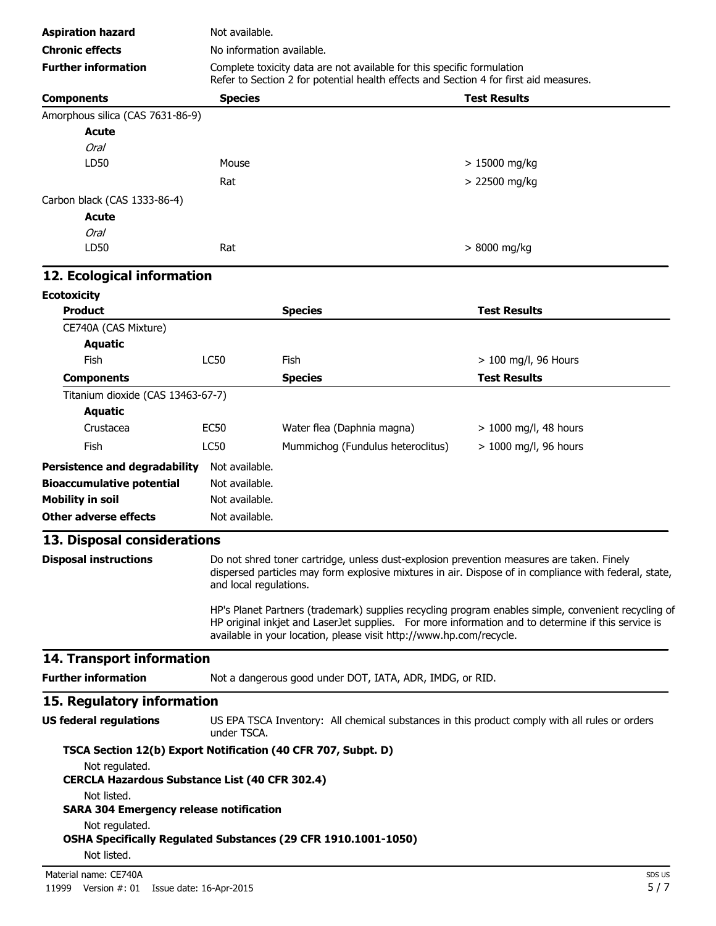| <b>Aspiration hazard</b>                                                                                                                 | Not available.                                                                                                                                                                                                                                                                   |                                                                                           |                                                                                                       |  |
|------------------------------------------------------------------------------------------------------------------------------------------|----------------------------------------------------------------------------------------------------------------------------------------------------------------------------------------------------------------------------------------------------------------------------------|-------------------------------------------------------------------------------------------|-------------------------------------------------------------------------------------------------------|--|
| <b>Chronic effects</b>                                                                                                                   |                                                                                                                                                                                                                                                                                  | No information available.                                                                 |                                                                                                       |  |
| <b>Further information</b>                                                                                                               | Complete toxicity data are not available for this specific formulation<br>Refer to Section 2 for potential health effects and Section 4 for first aid measures.                                                                                                                  |                                                                                           |                                                                                                       |  |
| <b>Components</b>                                                                                                                        | <b>Species</b>                                                                                                                                                                                                                                                                   |                                                                                           | <b>Test Results</b>                                                                                   |  |
| Amorphous silica (CAS 7631-86-9)                                                                                                         |                                                                                                                                                                                                                                                                                  |                                                                                           |                                                                                                       |  |
| <b>Acute</b>                                                                                                                             |                                                                                                                                                                                                                                                                                  |                                                                                           |                                                                                                       |  |
| <b>Oral</b>                                                                                                                              |                                                                                                                                                                                                                                                                                  |                                                                                           |                                                                                                       |  |
| LD50                                                                                                                                     | Mouse                                                                                                                                                                                                                                                                            |                                                                                           | > 15000 mg/kg                                                                                         |  |
|                                                                                                                                          | Rat                                                                                                                                                                                                                                                                              |                                                                                           | > 22500 mg/kg                                                                                         |  |
| Carbon black (CAS 1333-86-4)                                                                                                             |                                                                                                                                                                                                                                                                                  |                                                                                           |                                                                                                       |  |
| <b>Acute</b>                                                                                                                             |                                                                                                                                                                                                                                                                                  |                                                                                           |                                                                                                       |  |
| Oral                                                                                                                                     |                                                                                                                                                                                                                                                                                  |                                                                                           |                                                                                                       |  |
| LD50                                                                                                                                     | Rat                                                                                                                                                                                                                                                                              |                                                                                           | > 8000 mg/kg                                                                                          |  |
| 12. Ecological information                                                                                                               |                                                                                                                                                                                                                                                                                  |                                                                                           |                                                                                                       |  |
| <b>Ecotoxicity</b>                                                                                                                       |                                                                                                                                                                                                                                                                                  |                                                                                           |                                                                                                       |  |
| <b>Product</b>                                                                                                                           |                                                                                                                                                                                                                                                                                  | <b>Species</b>                                                                            | <b>Test Results</b>                                                                                   |  |
| CE740A (CAS Mixture)                                                                                                                     |                                                                                                                                                                                                                                                                                  |                                                                                           |                                                                                                       |  |
| <b>Aquatic</b>                                                                                                                           |                                                                                                                                                                                                                                                                                  |                                                                                           |                                                                                                       |  |
| Fish                                                                                                                                     | <b>LC50</b>                                                                                                                                                                                                                                                                      | Fish                                                                                      | > 100 mg/l, 96 Hours                                                                                  |  |
| <b>Components</b>                                                                                                                        |                                                                                                                                                                                                                                                                                  | <b>Species</b>                                                                            | <b>Test Results</b>                                                                                   |  |
| Titanium dioxide (CAS 13463-67-7)                                                                                                        |                                                                                                                                                                                                                                                                                  |                                                                                           |                                                                                                       |  |
| <b>Aquatic</b>                                                                                                                           |                                                                                                                                                                                                                                                                                  |                                                                                           |                                                                                                       |  |
| Crustacea                                                                                                                                | EC <sub>50</sub>                                                                                                                                                                                                                                                                 | Water flea (Daphnia magna)                                                                | $> 1000$ mg/l, 48 hours                                                                               |  |
| Fish                                                                                                                                     | <b>LC50</b>                                                                                                                                                                                                                                                                      | Mummichog (Fundulus heteroclitus)                                                         | > 1000 mg/l, 96 hours                                                                                 |  |
| <b>Persistence and degradability</b>                                                                                                     | Not available.                                                                                                                                                                                                                                                                   |                                                                                           |                                                                                                       |  |
| <b>Bioaccumulative potential</b>                                                                                                         | Not available.                                                                                                                                                                                                                                                                   |                                                                                           |                                                                                                       |  |
| <b>Mobility in soil</b>                                                                                                                  | Not available.                                                                                                                                                                                                                                                                   |                                                                                           |                                                                                                       |  |
| <b>Other adverse effects</b>                                                                                                             | Not available.                                                                                                                                                                                                                                                                   |                                                                                           |                                                                                                       |  |
| 13. Disposal considerations                                                                                                              |                                                                                                                                                                                                                                                                                  |                                                                                           |                                                                                                       |  |
| <b>Disposal instructions</b>                                                                                                             | and local regulations.                                                                                                                                                                                                                                                           | Do not shred toner cartridge, unless dust-explosion prevention measures are taken. Finely | dispersed particles may form explosive mixtures in air. Dispose of in compliance with federal, state, |  |
|                                                                                                                                          | HP's Planet Partners (trademark) supplies recycling program enables simple, convenient recycling of<br>HP original inkjet and LaserJet supplies. For more information and to determine if this service is<br>available in your location, please visit http://www.hp.com/recycle. |                                                                                           |                                                                                                       |  |
| 14. Transport information                                                                                                                |                                                                                                                                                                                                                                                                                  |                                                                                           |                                                                                                       |  |
| <b>Further information</b>                                                                                                               |                                                                                                                                                                                                                                                                                  | Not a dangerous good under DOT, IATA, ADR, IMDG, or RID.                                  |                                                                                                       |  |
| 15. Regulatory information                                                                                                               |                                                                                                                                                                                                                                                                                  |                                                                                           |                                                                                                       |  |
| <b>US federal regulations</b>                                                                                                            | under TSCA.                                                                                                                                                                                                                                                                      |                                                                                           | US EPA TSCA Inventory: All chemical substances in this product comply with all rules or orders        |  |
| TSCA Section 12(b) Export Notification (40 CFR 707, Subpt. D)<br>Not regulated.<br><b>CERCLA Hazardous Substance List (40 CFR 302.4)</b> |                                                                                                                                                                                                                                                                                  |                                                                                           |                                                                                                       |  |
| Not listed.<br><b>SARA 304 Emergency release notification</b>                                                                            |                                                                                                                                                                                                                                                                                  |                                                                                           |                                                                                                       |  |
| Not regulated.<br>Not listed.                                                                                                            |                                                                                                                                                                                                                                                                                  | OSHA Specifically Regulated Substances (29 CFR 1910.1001-1050)                            |                                                                                                       |  |
| Material name: CE740A                                                                                                                    |                                                                                                                                                                                                                                                                                  |                                                                                           | SDS US                                                                                                |  |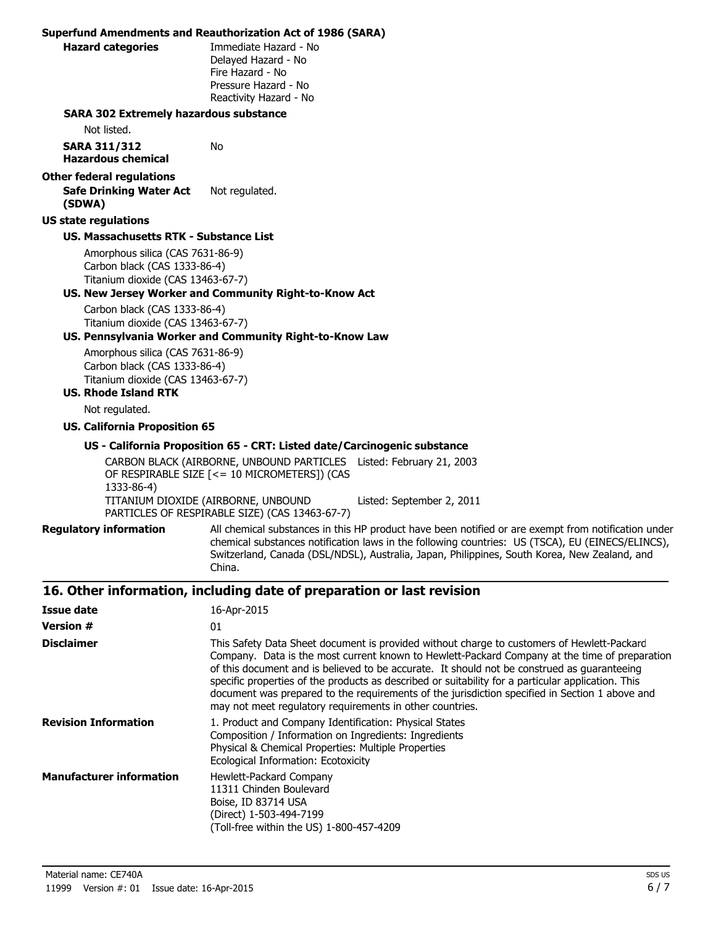|                                                                                                                                      | <b>Superfund Amendments and Reauthorization Act of 1986 (SARA)</b>                                                                                                                                                                                                                                                                                                                                                                                                                                                                                             |
|--------------------------------------------------------------------------------------------------------------------------------------|----------------------------------------------------------------------------------------------------------------------------------------------------------------------------------------------------------------------------------------------------------------------------------------------------------------------------------------------------------------------------------------------------------------------------------------------------------------------------------------------------------------------------------------------------------------|
| <b>Hazard categories</b>                                                                                                             | Immediate Hazard - No<br>Delayed Hazard - No<br>Fire Hazard - No<br>Pressure Hazard - No<br>Reactivity Hazard - No                                                                                                                                                                                                                                                                                                                                                                                                                                             |
| <b>SARA 302 Extremely hazardous substance</b>                                                                                        |                                                                                                                                                                                                                                                                                                                                                                                                                                                                                                                                                                |
| Not listed.                                                                                                                          |                                                                                                                                                                                                                                                                                                                                                                                                                                                                                                                                                                |
| <b>SARA 311/312</b><br><b>Hazardous chemical</b>                                                                                     | <b>No</b>                                                                                                                                                                                                                                                                                                                                                                                                                                                                                                                                                      |
| <b>Other federal regulations</b>                                                                                                     |                                                                                                                                                                                                                                                                                                                                                                                                                                                                                                                                                                |
| <b>Safe Drinking Water Act</b><br>(SDWA)                                                                                             | Not regulated.                                                                                                                                                                                                                                                                                                                                                                                                                                                                                                                                                 |
| <b>US state regulations</b>                                                                                                          |                                                                                                                                                                                                                                                                                                                                                                                                                                                                                                                                                                |
| <b>US. Massachusetts RTK - Substance List</b>                                                                                        |                                                                                                                                                                                                                                                                                                                                                                                                                                                                                                                                                                |
| Amorphous silica (CAS 7631-86-9)<br>Carbon black (CAS 1333-86-4)<br>Titanium dioxide (CAS 13463-67-7)                                | US. New Jersey Worker and Community Right-to-Know Act                                                                                                                                                                                                                                                                                                                                                                                                                                                                                                          |
| Carbon black (CAS 1333-86-4)<br>Titanium dioxide (CAS 13463-67-7)                                                                    | US. Pennsylvania Worker and Community Right-to-Know Law                                                                                                                                                                                                                                                                                                                                                                                                                                                                                                        |
| Amorphous silica (CAS 7631-86-9)<br>Carbon black (CAS 1333-86-4)<br>Titanium dioxide (CAS 13463-67-7)<br><b>US. Rhode Island RTK</b> |                                                                                                                                                                                                                                                                                                                                                                                                                                                                                                                                                                |
| Not regulated.                                                                                                                       |                                                                                                                                                                                                                                                                                                                                                                                                                                                                                                                                                                |
| <b>US. California Proposition 65</b>                                                                                                 |                                                                                                                                                                                                                                                                                                                                                                                                                                                                                                                                                                |
| 1333-86-4)                                                                                                                           | US - California Proposition 65 - CRT: Listed date/Carcinogenic substance<br>CARBON BLACK (AIRBORNE, UNBOUND PARTICLES Listed: February 21, 2003<br>OF RESPIRABLE SIZE [<= 10 MICROMETERS]) (CAS<br>TITANIUM DIOXIDE (AIRBORNE, UNBOUND<br>Listed: September 2, 2011<br>PARTICLES OF RESPIRABLE SIZE) (CAS 13463-67-7)                                                                                                                                                                                                                                          |
| <b>Regulatory information</b>                                                                                                        | All chemical substances in this HP product have been notified or are exempt from notification under<br>chemical substances notification laws in the following countries: US (TSCA), EU (EINECS/ELINCS),<br>Switzerland, Canada (DSL/NDSL), Australia, Japan, Philippines, South Korea, New Zealand, and<br>China.                                                                                                                                                                                                                                              |
|                                                                                                                                      | 16. Other information, including date of preparation or last revision                                                                                                                                                                                                                                                                                                                                                                                                                                                                                          |
| <b>Issue date</b>                                                                                                                    | 16-Apr-2015                                                                                                                                                                                                                                                                                                                                                                                                                                                                                                                                                    |
| <b>Version #</b>                                                                                                                     | 01                                                                                                                                                                                                                                                                                                                                                                                                                                                                                                                                                             |
| <b>Disclaimer</b>                                                                                                                    | This Safety Data Sheet document is provided without charge to customers of Hewlett-Packard<br>Company. Data is the most current known to Hewlett-Packard Company at the time of preparation<br>of this document and is believed to be accurate. It should not be construed as guaranteeing<br>specific properties of the products as described or suitability for a particular application. This<br>document was prepared to the requirements of the jurisdiction specified in Section 1 above and<br>may not meet regulatory requirements in other countries. |
| <b>Revision Information</b>                                                                                                          | 1. Product and Company Identification: Physical States<br>Composition / Information on Ingredients: Ingredients<br>Physical & Chemical Properties: Multiple Properties<br>Ecological Information: Ecotoxicity                                                                                                                                                                                                                                                                                                                                                  |
| <b>Manufacturer information</b>                                                                                                      | Hewlett-Packard Company<br>11311 Chinden Boulevard                                                                                                                                                                                                                                                                                                                                                                                                                                                                                                             |

Boise, ID 83714 USA (Direct) 1-503-494-7199

(Toll-free within the US) 1-800-457-4209